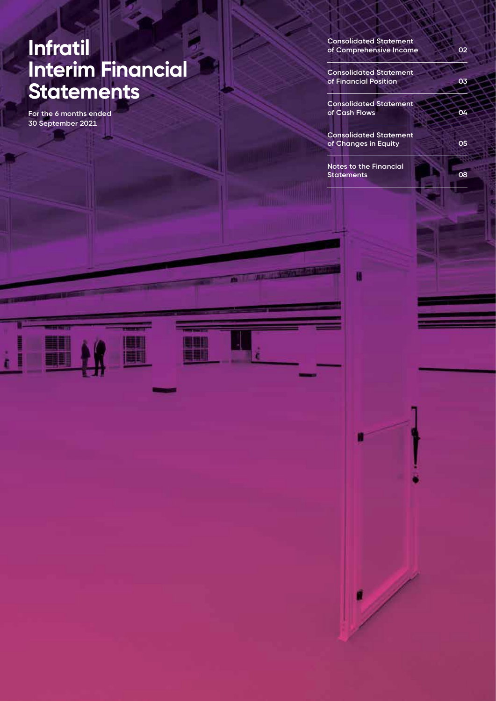# **Infratil Interim Financial Statements**

**For the 6 months ended 30 September 2021**

**Consolidated Statement of Comprehensive Income 02**

2.

**Consolidated Statement of Financial Position 03**

**Consolidated Statement of Cash Flows 04**

**Consolidated Statement of Changes in Equity 05**

**Notes to the Financial Statements 08**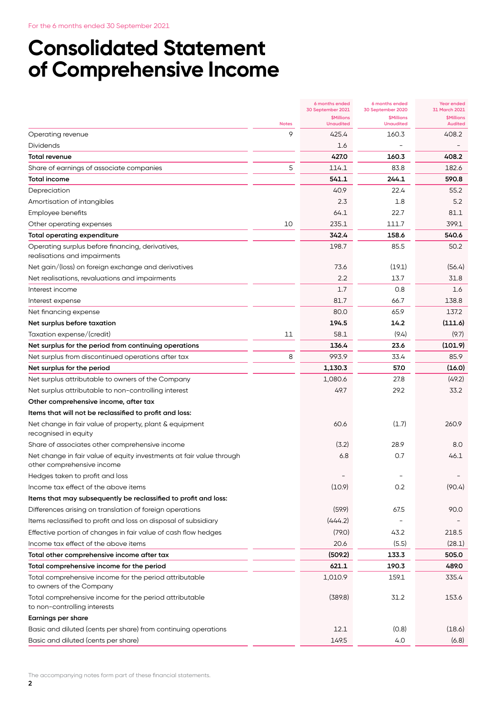# **Consolidated Statement of Comprehensive Income**

|                                                                                                    |              | 6 months ended<br>30 September 2021   | 6 months ended<br>30 September 2020   | <b>Year ended</b><br>31 March 2021  |
|----------------------------------------------------------------------------------------------------|--------------|---------------------------------------|---------------------------------------|-------------------------------------|
|                                                                                                    | <b>Notes</b> | <b>\$Millions</b><br><b>Unaudited</b> | <b>\$Millions</b><br><b>Unaudited</b> | <b>\$Millions</b><br><b>Audited</b> |
| Operating revenue                                                                                  | 9            | 425.4                                 | 160.3                                 | 408.2                               |
| Dividends                                                                                          |              | 1.6                                   |                                       |                                     |
| Total revenue                                                                                      |              | 427.0                                 | 160.3                                 | 408.2                               |
| Share of earnings of associate companies                                                           | 5            | 114.1                                 | 83.8                                  | 182.6                               |
| Total income                                                                                       |              | 541.1                                 | 244.1                                 | 590.8                               |
| Depreciation                                                                                       |              | 40.9                                  | 22.4                                  | 55.2                                |
| Amortisation of intangibles                                                                        |              | 2.3                                   | 1.8                                   | 5.2                                 |
| Employee benefits                                                                                  |              | 64.1                                  | 22.7                                  | 81.1                                |
| Other operating expenses                                                                           | 10           | 235.1                                 | 111.7                                 | 399.1                               |
| <b>Total operating expenditure</b>                                                                 |              | 342.4                                 | 158.6                                 | 540.6                               |
| Operating surplus before financing, derivatives,                                                   |              | 198.7                                 | 85.5                                  | 50.2                                |
| realisations and impairments                                                                       |              |                                       |                                       |                                     |
| Net gain/(loss) on foreign exchange and derivatives                                                |              | 73.6                                  | (19.1)                                | (56.4)                              |
| Net realisations, revaluations and impairments                                                     |              | 2.2                                   | 13.7                                  | 31.8                                |
| Interest income                                                                                    |              | 1.7                                   | 0.8                                   | 1.6                                 |
| Interest expense                                                                                   |              | 81.7                                  | 66.7                                  | 138.8                               |
| Net financing expense                                                                              |              | 80.0                                  | 65.9                                  | 137.2                               |
| Net surplus before taxation                                                                        |              | 194.5                                 | 14.2                                  | (111.6)                             |
| Taxation expense/(credit)                                                                          | 11           | 58.1                                  | (9.4)                                 | (9.7)                               |
| Net surplus for the period from continuing operations                                              |              | 136.4                                 | 23.6                                  | (101.9)                             |
| Net surplus from discontinued operations after tax                                                 | 8            | 993.9                                 | 33.4                                  | 85.9                                |
| Net surplus for the period                                                                         |              | 1,130.3                               | 57.0                                  | (16.0)                              |
| Net surplus attributable to owners of the Company                                                  |              | 1,080.6                               | 27.8                                  | (49.2)                              |
| Net surplus attributable to non-controlling interest                                               |              | 49.7                                  | 29.2                                  | 33.2                                |
| Other comprehensive income, after tax                                                              |              |                                       |                                       |                                     |
| Items that will not be reclassified to profit and loss:                                            |              |                                       |                                       |                                     |
| Net change in fair value of property, plant & equipment<br>recognised in equity                    |              | 60.6                                  | (1.7)                                 | 260.9                               |
| Share of associates other comprehensive income                                                     |              | (3.2)                                 | 28.9                                  | 8.0                                 |
| Net change in fair value of equity investments at fair value through<br>other comprehensive income |              | 6.8                                   | 0.7                                   | 46.1                                |
| Hedges taken to profit and loss                                                                    |              |                                       |                                       |                                     |
| Income tax effect of the above items                                                               |              | (10.9)                                | 0.2                                   | (90.4)                              |
| Items that may subsequently be reclassified to profit and loss:                                    |              |                                       |                                       |                                     |
| Differences arising on translation of foreign operations                                           |              | (59.9)                                | 67.5                                  | 90.0                                |
| Items reclassified to profit and loss on disposal of subsidiary                                    |              | (444.2)                               |                                       |                                     |
| Effective portion of changes in fair value of cash flow hedges                                     |              | (79.0)                                | 43.2                                  | 218.5                               |
| Income tax effect of the above items                                                               |              | 20.6                                  | (5.5)                                 | (28.1)                              |
| Total other comprehensive income after tax                                                         |              | (509.2)                               | 133.3                                 | 505.0                               |
| Total comprehensive income for the period                                                          |              | 621.1                                 | 190.3                                 | 489.0                               |
| Total comprehensive income for the period attributable<br>to owners of the Company                 |              | 1,010.9                               | 159.1                                 | 335.4                               |
| Total comprehensive income for the period attributable                                             |              | (389.8)                               | 31.2                                  | 153.6                               |
| to non-controlling interests                                                                       |              |                                       |                                       |                                     |
| Earnings per share                                                                                 |              |                                       |                                       |                                     |
| Basic and diluted (cents per share) from continuing operations                                     |              | 12.1                                  | (0.8)                                 | (18.6)                              |
| Basic and diluted (cents per share)                                                                |              | 149.5                                 | 4.0                                   | (6.8)                               |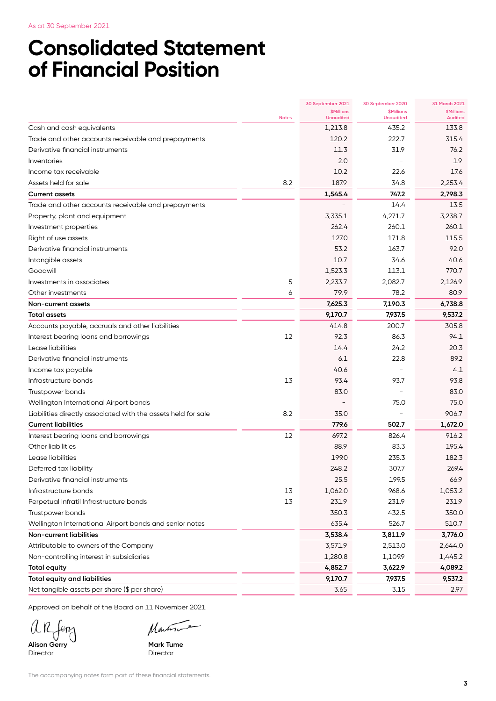As at 30 September 2021

# **Consolidated Statement of Financial Position**

|                                                               |              | 30 September 2021                           | 30 September 2020                     | 31 March 2021                       |
|---------------------------------------------------------------|--------------|---------------------------------------------|---------------------------------------|-------------------------------------|
|                                                               | <b>Notes</b> | <b><i>SMillions</i></b><br><b>Unaudited</b> | <b>\$Millions</b><br><b>Unaudited</b> | <b>\$Millions</b><br><b>Audited</b> |
| Cash and cash equivalents                                     |              | 1,213.8                                     | 435.2                                 | 133.8                               |
| Trade and other accounts receivable and prepayments           |              | 120.2                                       | 222.7                                 | 315.4                               |
| Derivative financial instruments                              |              | 11.3                                        | 31.9                                  | 76.2                                |
| Inventories                                                   |              | 2.0                                         |                                       | 1.9                                 |
| Income tax receivable                                         |              | 10.2                                        | 22.6                                  | 17.6                                |
| Assets held for sale                                          | 8.2          | 187.9                                       | 34.8                                  | 2,253.4                             |
| <b>Current assets</b>                                         |              | 1,545.4                                     | 747.2                                 | 2,798.3                             |
| Trade and other accounts receivable and prepayments           |              |                                             | 14.4                                  | 13.5                                |
| Property, plant and equipment                                 |              | 3,335.1                                     | 4,271.7                               | 3.238.7                             |
| Investment properties                                         |              | 262.4                                       | 260.1                                 | 260.1                               |
| Right of use assets                                           |              | 127.0                                       | 171.8                                 | 115.5                               |
| Derivative financial instruments                              |              | 53.2                                        | 163.7                                 | 92.0                                |
| Intangible assets                                             |              | 10.7                                        | 34.6                                  | 40.6                                |
| Goodwill                                                      |              | 1,523.3                                     | 113.1                                 | 770.7                               |
| Investments in associates                                     | 5            | 2,233.7                                     | 2,082.7                               | 2,126.9                             |
| Other investments                                             | 6            | 79.9                                        | 78.2                                  | 80.9                                |
| Non-current assets                                            |              | 7,625.3                                     | 7,190.3                               | 6,738.8                             |
| <b>Total assets</b>                                           |              | 9,170.7                                     | 7,937.5                               | 9,537.2                             |
| Accounts payable, accruals and other liabilities              |              | 414.8                                       | 200.7                                 | 305.8                               |
| Interest bearing loans and borrowings                         | 12           | 92.3                                        | 86.3                                  | 94.1                                |
| Lease liabilities                                             |              | 14.4                                        | 24.2                                  | 20.3                                |
| Derivative financial instruments                              |              | 6.1                                         | 22.8                                  | 89.2                                |
| Income tax payable                                            |              | 40.6                                        |                                       | 4.1                                 |
| Infrastructure bonds                                          | 13           | 93.4                                        | 93.7                                  | 93.8                                |
| Trustpower bonds                                              |              | 83.0                                        |                                       | 83.0                                |
| Wellington International Airport bonds                        |              |                                             | 75.0                                  | 75.0                                |
| Liabilities directly associated with the assets held for sale | 8.2          | 35.0                                        |                                       | 906.7                               |
| <b>Current liabilities</b>                                    |              | 779.6                                       | 502.7                                 | 1,672.0                             |
| Interest bearing loans and borrowings                         | 12           | 697.2                                       | 826.4                                 | 916.2                               |
| Other liabilities                                             |              | 88.9                                        | 83.3                                  | 195.4                               |
| Lease liabilities                                             |              | 199.0                                       | 235.3                                 | 182.3                               |
| Deferred tax liability                                        |              | 248.2                                       | 307.7                                 | 269.4                               |
| Derivative financial instruments                              |              | 25.5                                        | 199.5                                 | 66.9                                |
| Infrastructure bonds                                          | 13           | 1,062.0                                     | 968.6                                 | 1,053.2                             |
| Perpetual Infratil Infrastructure bonds                       | 13           | 231.9                                       | 231.9                                 | 231.9                               |
| Trustpower bonds                                              |              | 350.3                                       | 432.5                                 | 350.0                               |
| Wellington International Airport bonds and senior notes       |              | 635.4                                       | 526.7                                 | 510.7                               |
| Non-current liabilities                                       |              | 3,538.4                                     | 3,811.9                               | 3,776.0                             |
| Attributable to owners of the Company                         |              | 3,571.9                                     | 2,513.0                               | 2,644.0                             |
| Non-controlling interest in subsidiaries                      |              | 1,280.8                                     | 1,109.9                               | 1,445.2                             |
| <b>Total equity</b>                                           |              | 4,852.7                                     | 3,622.9                               | 4,089.2                             |
| <b>Total equity and liabilities</b>                           |              | 9,170.7                                     | 7,937.5                               | 9,537.2                             |
| Net tangible assets per share (\$ per share)                  |              | 3.65                                        | 3.15                                  | 2.97                                |

Approved on behalf of the Board on 11 November 2021

**Alison Gerry Mark Tume** 

Martin

Director

The accompanying notes form part of these financial statements.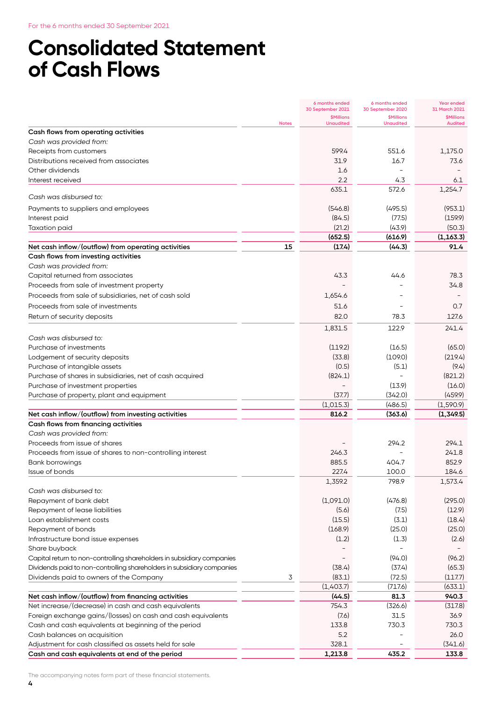# **Consolidated Statement of Cash Flows**

|                                                                                             |              | 6 months ended<br>30 September 2021   | 6 months ended<br>30 September 2020   | Year ended<br>31 March 2021                      |
|---------------------------------------------------------------------------------------------|--------------|---------------------------------------|---------------------------------------|--------------------------------------------------|
|                                                                                             | <b>Notes</b> | <b>\$Millions</b><br><b>Unaudited</b> | <b>\$Millions</b><br><b>Unaudited</b> | <b><i><u>SMillions</u></i></b><br><b>Audited</b> |
| Cash flows from operating activities                                                        |              |                                       |                                       |                                                  |
| Cash was provided from:                                                                     |              |                                       |                                       |                                                  |
| Receipts from customers                                                                     |              | 599.4                                 | 551.6                                 | 1,175.0                                          |
| Distributions received from associates                                                      |              | 31.9                                  | 16.7                                  | 73.6                                             |
| Other dividends                                                                             |              | 1.6                                   |                                       |                                                  |
| Interest received                                                                           |              | 2.2                                   | 4.3                                   | 6.1                                              |
| Cash was disbursed to:                                                                      |              | 635.1                                 | 572.6                                 | 1,254.7                                          |
|                                                                                             |              |                                       |                                       |                                                  |
| Payments to suppliers and employees                                                         |              | (546.8)<br>(84.5)                     | (495.5)                               | (953.1)                                          |
| Interest paid                                                                               |              |                                       | (77.5)                                | (159.9)                                          |
| <b>Taxation paid</b>                                                                        |              | (21.2)<br>(652.5)                     | (43.9)<br>(616.9)                     | (50.3)<br>(1, 163.3)                             |
| Net cash inflow/(outflow) from operating activities                                         | 15           | (17.4)                                | (44.3)                                | 91.4                                             |
| Cash flows from investing activities                                                        |              |                                       |                                       |                                                  |
| Cash was provided from:                                                                     |              |                                       |                                       |                                                  |
| Capital returned from associates                                                            |              | 43.3                                  | 44.6                                  | 78.3                                             |
| Proceeds from sale of investment property                                                   |              |                                       |                                       | 34.8                                             |
| Proceeds from sale of subsidiaries, net of cash sold                                        |              | 1,654.6                               |                                       |                                                  |
| Proceeds from sale of investments                                                           |              | 51.6                                  |                                       | 0.7                                              |
| Return of security deposits                                                                 |              | 82.0                                  | 78.3                                  | 127.6                                            |
|                                                                                             |              |                                       |                                       |                                                  |
|                                                                                             |              | 1,831.5                               | 122.9                                 | 241.4                                            |
| Cash was disbursed to:                                                                      |              |                                       |                                       |                                                  |
| Purchase of investments                                                                     |              | (119.2)<br>(33.8)                     | (16.5)                                | (65.0)                                           |
| Lodgement of security deposits                                                              |              |                                       | (109.0)                               | (219.4)                                          |
| Purchase of intangible assets                                                               |              | (0.5)                                 | (5.1)                                 | (9.4)                                            |
| Purchase of shares in subsidiaries, net of cash acquired                                    |              | (824.1)                               |                                       | (821.2)                                          |
| Purchase of investment properties                                                           |              |                                       | (13.9)                                | (16.0)                                           |
| Purchase of property, plant and equipment                                                   |              | (37.7)                                | (342.0)                               | (459.9)                                          |
|                                                                                             |              | (1,015.3)                             | (486.5)                               | (1,590.9)                                        |
| Net cash inflow/(outflow) from investing activities<br>Cash flows from financing activities |              | 816.2                                 | (363.6)                               | (1,349.5)                                        |
| Cash was provided from:                                                                     |              |                                       |                                       |                                                  |
| Proceeds from issue of shares                                                               |              |                                       | 294.2                                 | 294.1                                            |
| Proceeds from issue of shares to non-controlling interest                                   |              | 246.3                                 |                                       | 241.8                                            |
|                                                                                             |              | 885.5                                 | 404.7                                 | 852.9                                            |
| Bank borrowings<br>Issue of bonds                                                           |              | 227.4                                 | 100.0                                 | 184.6                                            |
|                                                                                             |              | 1,359.2                               | 798.9                                 | 1,573.4                                          |
| Cash was disbursed to:                                                                      |              |                                       |                                       |                                                  |
| Repayment of bank debt                                                                      |              | (1,091.0)                             | (476.8)                               | (295.0)                                          |
| Repayment of lease liabilities                                                              |              | (5.6)                                 | (7.5)                                 | (12.9)                                           |
| Loan establishment costs                                                                    |              | (15.5)                                | (3.1)                                 | (18.4)                                           |
| Repayment of bonds                                                                          |              | (168.9)                               | (25.0)                                | (25.0)                                           |
| Infrastructure bond issue expenses                                                          |              | (1.2)                                 | (1.3)                                 | (2.6)                                            |
| Share buyback                                                                               |              |                                       |                                       |                                                  |
| Capital return to non-controlling shareholders in subsidiary companies                      |              |                                       | (94.0)                                | (96.2)                                           |
| Dividends paid to non-controlling shareholders in subsidiary companies                      |              | (38.4)                                | (37.4)                                | (65.3)                                           |
| Dividends paid to owners of the Company                                                     | 3            | (83.1)                                | (72.5)                                | (117.7)                                          |
|                                                                                             |              | (1,403.7)                             | (717.6)                               | (633.1)                                          |
| Net cash inflow/(outflow) from financing activities                                         |              | (44.5)                                | 81.3                                  | 940.3                                            |
| Net increase/(decrease) in cash and cash equivalents                                        |              | 754.3                                 | (326.6)                               | (317.8)                                          |
| Foreign exchange gains/(losses) on cash and cash equivalents                                |              | (7.6)                                 | 31.5                                  | 36.9                                             |
| Cash and cash equivalents at beginning of the period                                        |              | 133.8                                 | 730.3                                 | 730.3                                            |
| Cash balances on acquisition                                                                |              | 5.2                                   |                                       | 26.0                                             |
| Adjustment for cash classified as assets held for sale                                      |              | 328.1                                 |                                       | (341.6)                                          |
| Cash and cash equivalents at end of the period                                              |              | 1,213.8                               | 435.2                                 | 133.8                                            |

The accompanying notes form part of these financial statements.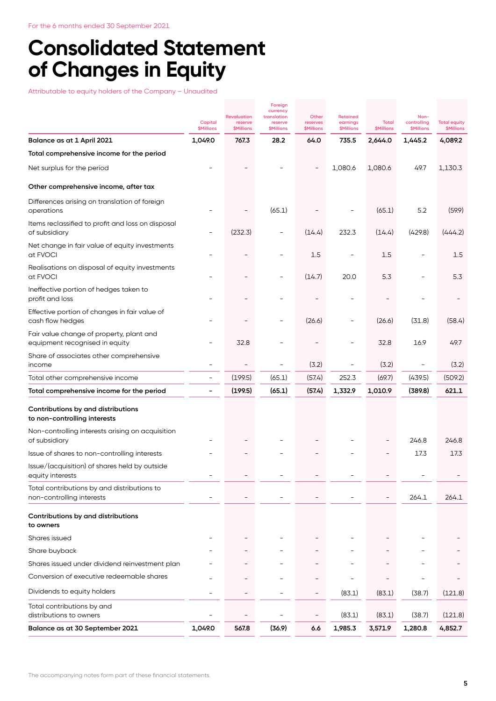# **Consolidated Statement of Changes in Equity**

Attributable to equity holders of the Company – Unaudited

|                                                                            |                              | <b>Revaluation</b>           | Foreign<br>currency<br>translation        | Other                         | <b>Retained</b>               |                            | Non-                             |                                          |
|----------------------------------------------------------------------------|------------------------------|------------------------------|-------------------------------------------|-------------------------------|-------------------------------|----------------------------|----------------------------------|------------------------------------------|
|                                                                            | Capital<br><b>\$Millions</b> | reserve<br><b>\$Millions</b> | reserve<br><b><i><u>SMillions</u></i></b> | reserves<br><b>\$Millions</b> | earnings<br><b>\$Millions</b> | Total<br><b>\$Millions</b> | controlling<br><b>\$Millions</b> | <b>Total equity</b><br><b>\$Millions</b> |
| Balance as at 1 April 2021                                                 | 1,049.0                      | 767.3                        | 28.2                                      | 64.0                          | 735.5                         | 2,644.0                    | 1,445.2                          | 4,089.2                                  |
| Total comprehensive income for the period                                  |                              |                              |                                           |                               |                               |                            |                                  |                                          |
| Net surplus for the period                                                 |                              |                              |                                           |                               | 1,080.6                       | 1,080.6                    | 49.7                             | 1,130.3                                  |
| Other comprehensive income, after tax                                      |                              |                              |                                           |                               |                               |                            |                                  |                                          |
| Differences arising on translation of foreign<br>operations                |                              |                              | (65.1)                                    |                               |                               | (65.1)                     | 5.2                              | (59.9)                                   |
| Items reclassified to profit and loss on disposal<br>of subsidiary         |                              | (232.3)                      |                                           | (14.4)                        | 232.3                         | (14.4)                     | (429.8)                          | (444.2)                                  |
| Net change in fair value of equity investments<br>at FVOCI                 |                              |                              |                                           | 1.5                           | $\overline{\phantom{0}}$      | 1.5                        | $\overline{\phantom{0}}$         | 1.5                                      |
| Realisations on disposal of equity investments<br>at FVOCI                 |                              |                              |                                           | (14.7)                        | 20.0                          | 5.3                        |                                  | 5.3                                      |
| Ineffective portion of hedges taken to<br>profit and loss                  |                              |                              |                                           |                               |                               |                            |                                  |                                          |
| Effective portion of changes in fair value of<br>cash flow hedges          |                              |                              |                                           | (26.6)                        |                               | (26.6)                     | (31.8)                           | (58.4)                                   |
| Fair value change of property, plant and<br>equipment recognised in equity |                              | 32.8                         |                                           |                               |                               | 32.8                       | 16.9                             | 49.7                                     |
| Share of associates other comprehensive<br>income                          |                              |                              | $\overline{a}$                            | (3.2)                         | $\qquad \qquad -$             | (3.2)                      | $\overline{\phantom{0}}$         | (3.2)                                    |
| Total other comprehensive income                                           | $\qquad \qquad -$            | (199.5)                      | (65.1)                                    | (57.4)                        | 252.3                         | (69.7)                     | (439.5)                          | (509.2)                                  |
| Total comprehensive income for the period                                  |                              | (199.5)                      | (65.1)                                    | (57.4)                        | 1,332.9                       | 1,010.9                    | (389.8)                          | 621.1                                    |
| Contributions by and distributions<br>to non-controlling interests         |                              |                              |                                           |                               |                               |                            |                                  |                                          |
| Non-controlling interests arising on acquisition<br>of subsidiary          |                              |                              |                                           |                               |                               |                            | 246.8                            | 246.8                                    |
| Issue of shares to non-controlling interests                               |                              |                              |                                           |                               |                               |                            | 17.3                             | 17.3                                     |
| Issue/(acquisition) of shares held by outside<br>equity interests          |                              |                              |                                           |                               |                               |                            |                                  |                                          |
| Total contributions by and distributions to<br>non-controlling interests   |                              |                              |                                           |                               |                               |                            | 264.1                            | 264.1                                    |
| Contributions by and distributions<br>to owners                            |                              |                              |                                           |                               |                               |                            |                                  |                                          |
| Shares issued                                                              |                              |                              |                                           |                               |                               |                            |                                  |                                          |
| Share buyback                                                              |                              |                              |                                           |                               |                               |                            |                                  |                                          |
| Shares issued under dividend reinvestment plan                             |                              |                              |                                           |                               |                               |                            |                                  |                                          |
| Conversion of executive redeemable shares                                  |                              |                              |                                           |                               |                               |                            |                                  |                                          |
| Dividends to equity holders                                                |                              |                              |                                           |                               | (83.1)                        | (83.1)                     | (38.7)                           | (121.8)                                  |
| Total contributions by and<br>distributions to owners                      |                              |                              |                                           |                               | (83.1)                        | (83.1)                     | (38.7)                           | (121.8)                                  |
| Balance as at 30 September 2021                                            | 1,049.0                      | 567.8                        | (36.9)                                    | 6.6                           | 1,985.3                       | 3,571.9                    | 1,280.8                          | 4,852.7                                  |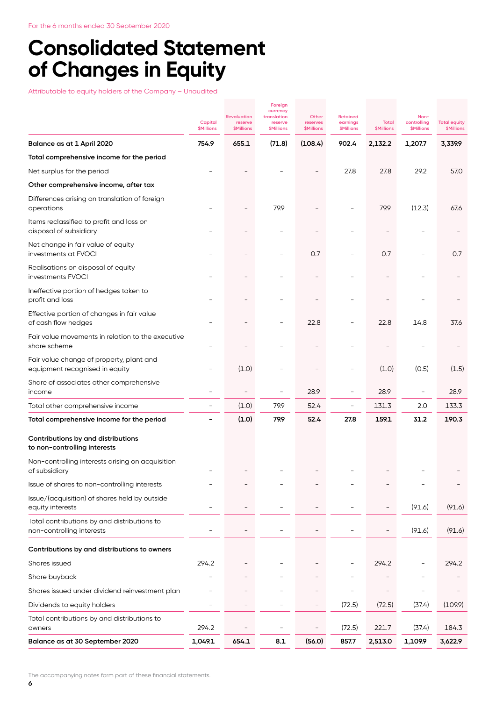# **Consolidated Statement of Changes in Equity**

Attributable to equity holders of the Company – Unaudited

|                                                                            |                              |                                                    | Foreign<br>currency                         |                                        |                                                  |                            |                                          |                                          |
|----------------------------------------------------------------------------|------------------------------|----------------------------------------------------|---------------------------------------------|----------------------------------------|--------------------------------------------------|----------------------------|------------------------------------------|------------------------------------------|
|                                                                            | Capital<br><b>\$Millions</b> | <b>Revaluation</b><br>reserve<br><b>\$Millions</b> | translation<br>reserve<br><b>\$Millions</b> | Other<br>reserves<br><b>\$Millions</b> | <b>Retained</b><br>earnings<br><b>\$Millions</b> | Total<br><b>\$Millions</b> | Non-<br>controlling<br><b>\$Millions</b> | <b>Total equity</b><br><b>\$Millions</b> |
| Balance as at 1 April 2020                                                 | 754.9                        | 655.1                                              | (71.8)                                      | (108.4)                                | 902.4                                            | 2,132.2                    | 1,207.7                                  | 3,339.9                                  |
| Total comprehensive income for the period                                  |                              |                                                    |                                             |                                        |                                                  |                            |                                          |                                          |
| Net surplus for the period                                                 |                              |                                                    |                                             |                                        | 27.8                                             | 27.8                       | 29.2                                     | 57.0                                     |
| Other comprehensive income, after tax                                      |                              |                                                    |                                             |                                        |                                                  |                            |                                          |                                          |
| Differences arising on translation of foreign<br>operations                |                              |                                                    | 79.9                                        |                                        |                                                  | 79.9                       | (12.3)                                   | 67.6                                     |
| Items reclassified to profit and loss on<br>disposal of subsidiary         |                              |                                                    |                                             |                                        |                                                  |                            |                                          |                                          |
| Net change in fair value of equity<br>investments at FVOCI                 |                              |                                                    |                                             | 0.7                                    |                                                  | 0.7                        |                                          | 0.7                                      |
| Realisations on disposal of equity<br>investments FVOCI                    |                              |                                                    |                                             |                                        |                                                  |                            |                                          |                                          |
| Ineffective portion of hedges taken to<br>profit and loss                  |                              |                                                    |                                             |                                        |                                                  |                            |                                          |                                          |
| Effective portion of changes in fair value<br>of cash flow hedges          |                              |                                                    |                                             | 22.8                                   |                                                  | 22.8                       | 14.8                                     | 37.6                                     |
| Fair value movements in relation to the executive<br>share scheme          |                              |                                                    |                                             |                                        |                                                  |                            |                                          |                                          |
| Fair value change of property, plant and<br>equipment recognised in equity |                              | (1.0)                                              |                                             |                                        |                                                  | (1.0)                      | (0.5)                                    | (1.5)                                    |
| Share of associates other comprehensive<br>income                          |                              |                                                    |                                             | 28.9                                   |                                                  | 28.9                       |                                          | 28.9                                     |
| Total other comprehensive income                                           |                              | (1.0)                                              | 79.9                                        | 52.4                                   | $\overline{\phantom{a}}$                         | 131.3                      | 2.0                                      | 133.3                                    |
| Total comprehensive income for the period                                  |                              | (1.0)                                              | 79.9                                        | 52.4                                   | 27.8                                             | 159.1                      | 31.2                                     | 190.3                                    |
| Contributions by and distributions<br>to non-controlling interests         |                              |                                                    |                                             |                                        |                                                  |                            |                                          |                                          |
| Non-controlling interests arising on acquisition<br>of subsidiary          |                              |                                                    |                                             |                                        |                                                  |                            |                                          |                                          |
| Issue of shares to non-controlling interests                               |                              |                                                    |                                             |                                        |                                                  |                            |                                          |                                          |
| Issue/(acquisition) of shares held by outside<br>equity interests          |                              |                                                    |                                             |                                        |                                                  |                            | (91.6)                                   | (91.6)                                   |
| Total contributions by and distributions to<br>non-controlling interests   |                              |                                                    |                                             |                                        |                                                  |                            | (91.6)                                   | (91.6)                                   |
| Contributions by and distributions to owners                               |                              |                                                    |                                             |                                        |                                                  |                            |                                          |                                          |
| Shares issued                                                              | 294.2                        |                                                    |                                             |                                        |                                                  | 294.2                      |                                          | 294.2                                    |
| Share buyback                                                              |                              |                                                    |                                             |                                        |                                                  |                            |                                          |                                          |
| Shares issued under dividend reinvestment plan                             |                              |                                                    |                                             |                                        |                                                  |                            |                                          |                                          |
| Dividends to equity holders                                                |                              |                                                    |                                             |                                        | (72.5)                                           | (72.5)                     | (37.4)                                   | (109.9)                                  |
| Total contributions by and distributions to<br>owners                      | 294.2                        |                                                    | $\overline{a}$                              | $\overline{\phantom{0}}$               | (72.5)                                           | 221.7                      | (37.4)                                   | 184.3                                    |
| Balance as at 30 September 2020                                            | 1,049.1                      | 654.1                                              | 8.1                                         | (56.0)                                 | 857.7                                            | 2,513.0                    | 1,109.9                                  | 3,622.9                                  |

The accompanying notes form part of these financial statements.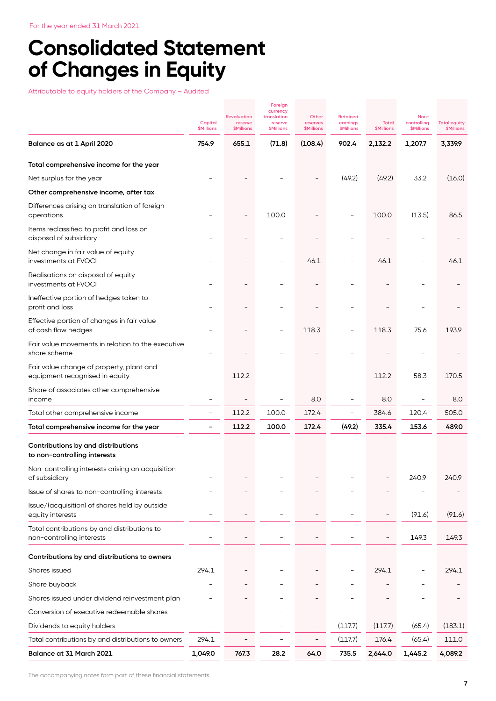# **Consolidated Statement of Changes in Equity**

Attributable to equity holders of the Company – Audited

|                                                                            | Capital<br><b>\$Millions</b> | <b>Revaluation</b><br>reserve<br>\$Millions | Foreign<br>currency<br>translation<br>reserve<br><b>\$Millions</b> | Other<br>reserves<br>\$Millions | <b>Retained</b><br>earnings<br>\$Millions | Total<br><b>\$Millions</b> | Non-<br>controlling<br>\$Millions | <b>Total equity</b><br><b>\$Millions</b> |
|----------------------------------------------------------------------------|------------------------------|---------------------------------------------|--------------------------------------------------------------------|---------------------------------|-------------------------------------------|----------------------------|-----------------------------------|------------------------------------------|
| Balance as at 1 April 2020                                                 | 754.9                        | 655.1                                       | (71.8)                                                             | (108.4)                         | 902.4                                     | 2,132.2                    | 1,207.7                           | 3,339.9                                  |
| Total comprehensive income for the year                                    |                              |                                             |                                                                    |                                 |                                           |                            |                                   |                                          |
| Net surplus for the year                                                   |                              |                                             |                                                                    |                                 | (49.2)                                    | (49.2)                     | 33.2                              | (16.0)                                   |
| Other comprehensive income, after tax                                      |                              |                                             |                                                                    |                                 |                                           |                            |                                   |                                          |
| Differences arising on translation of foreign<br>operations                |                              |                                             | 100.0                                                              |                                 |                                           | 100.0                      | (13.5)                            | 86.5                                     |
| Items reclassified to profit and loss on<br>disposal of subsidiary         |                              |                                             |                                                                    |                                 |                                           |                            |                                   |                                          |
| Net change in fair value of equity<br>investments at FVOCI                 |                              |                                             |                                                                    | 46.1                            |                                           | 46.1                       |                                   | 46.1                                     |
| Realisations on disposal of equity<br>investments at FVOCI                 |                              |                                             |                                                                    |                                 |                                           |                            |                                   |                                          |
| Ineffective portion of hedges taken to<br>profit and loss                  |                              |                                             |                                                                    |                                 |                                           |                            |                                   |                                          |
| Effective portion of changes in fair value<br>of cash flow hedges          |                              |                                             |                                                                    | 118.3                           |                                           | 118.3                      | 75.6                              | 193.9                                    |
| Fair value movements in relation to the executive<br>share scheme          |                              |                                             |                                                                    |                                 |                                           |                            |                                   |                                          |
| Fair value change of property, plant and<br>equipment recognised in equity |                              | 112.2                                       |                                                                    |                                 |                                           | 112.2                      | 58.3                              | 170.5                                    |
| Share of associates other comprehensive<br>income                          |                              |                                             |                                                                    | 8.0                             | $\overline{\phantom{0}}$                  | 8.0                        | $\overline{\phantom{0}}$          | 8.0                                      |
| Total other comprehensive income                                           | $\overline{\phantom{0}}$     | 112.2                                       | 100.0                                                              | 172.4                           | $\overline{\phantom{a}}$                  | 384.6                      | 120.4                             | 505.0                                    |
| Total comprehensive income for the year                                    | -                            | 112.2                                       | 100.0                                                              | 172.4                           | (49.2)                                    | 335.4                      | 153.6                             | 489.0                                    |
| Contributions by and distributions<br>to non-controlling interests         |                              |                                             |                                                                    |                                 |                                           |                            |                                   |                                          |
| Non-controlling interests arising on acquisition<br>of subsidiary          |                              |                                             |                                                                    |                                 |                                           |                            | 240.9                             | 240.9                                    |
| Issue of shares to non-controlling interests                               |                              |                                             |                                                                    |                                 |                                           |                            |                                   |                                          |
| Issue/(acquisition) of shares held by outside<br>equity interests          |                              |                                             |                                                                    |                                 |                                           |                            | (91.6)                            | (91.6)                                   |
| Total contributions by and distributions to<br>non-controlling interests   | $\overline{\phantom{0}}$     |                                             |                                                                    |                                 |                                           | $\overline{\phantom{a}}$   | 149.3                             | 149.3                                    |
| Contributions by and distributions to owners                               |                              |                                             |                                                                    |                                 |                                           |                            |                                   |                                          |
| Shares issued                                                              | 294.1                        |                                             |                                                                    |                                 |                                           | 294.1                      |                                   | 294.1                                    |
| Share buyback                                                              |                              |                                             |                                                                    |                                 |                                           |                            |                                   |                                          |
| Shares issued under dividend reinvestment plan                             |                              |                                             |                                                                    |                                 |                                           |                            |                                   |                                          |
| Conversion of executive redeemable shares                                  |                              |                                             |                                                                    |                                 |                                           |                            |                                   |                                          |
| Dividends to equity holders                                                |                              |                                             |                                                                    |                                 | (117.7)                                   | (117.7)                    | (65.4)                            | (183.1)                                  |
| Total contributions by and distributions to owners                         | 294.1                        |                                             |                                                                    |                                 | (117.7)                                   | 176.4                      | (65.4)                            | 111.0                                    |
| Balance at 31 March 2021                                                   | 1,049.0                      | 767.3                                       | 28.2                                                               | 64.0                            | 735.5                                     | 2,644.0                    | 1,445.2                           | 4,089.2                                  |

The accompanying notes form part of these financial statements.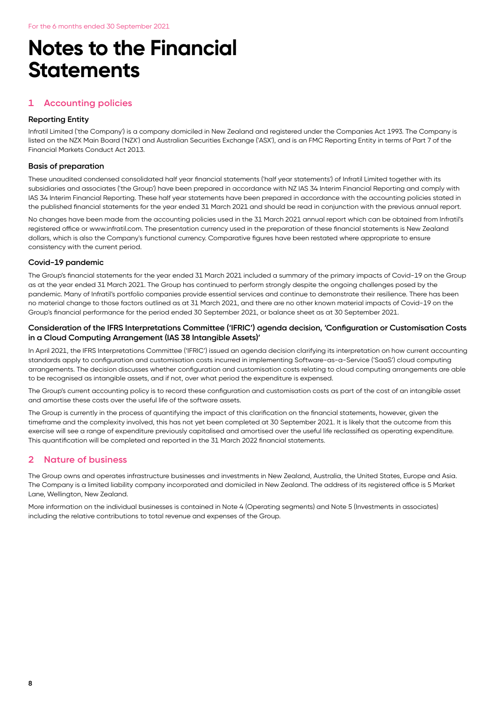# **Notes to the Financial Statements**

## **1 Accounting policies**

#### **Reporting Entity**

Infratil Limited ('the Company') is a company domiciled in New Zealand and registered under the Companies Act 1993. The Company is listed on the NZX Main Board ('NZX') and Australian Securities Exchange ('ASX'), and is an FMC Reporting Entity in terms of Part 7 of the Financial Markets Conduct Act 2013.

#### **Basis of preparation**

These unaudited condensed consolidated half year financial statements ('half year statements') of Infratil Limited together with its subsidiaries and associates ('the Group') have been prepared in accordance with NZ IAS 34 Interim Financial Reporting and comply with IAS 34 Interim Financial Reporting. These half year statements have been prepared in accordance with the accounting policies stated in the published financial statements for the year ended 31 March 2021 and should be read in conjunction with the previous annual report.

No changes have been made from the accounting policies used in the 31 March 2021 annual report which can be obtained from Infratil's registered office or www.infratil.com. The presentation currency used in the preparation of these financial statements is New Zealand dollars, which is also the Company's functional currency. Comparative figures have been restated where appropriate to ensure consistency with the current period.

#### **Covid-19 pandemic**

The Group's financial statements for the year ended 31 March 2021 included a summary of the primary impacts of Covid-19 on the Group as at the year ended 31 March 2021. The Group has continued to perform strongly despite the ongoing challenges posed by the pandemic. Many of Infratil's portfolio companies provide essential services and continue to demonstrate their resilience. There has been no material change to those factors outlined as at 31 March 2021, and there are no other known material impacts of Covid-19 on the Group's financial performance for the period ended 30 September 2021, or balance sheet as at 30 September 2021.

#### **Consideration of the IFRS Interpretations Committee ('IFRIC') agenda decision, 'Configuration or Customisation Costs in a Cloud Computing Arrangement (IAS 38 Intangible Assets)'**

In April 2021, the IFRS Interpretations Committee ('IFRIC') issued an agenda decision clarifying its interpretation on how current accounting standards apply to configuration and customisation costs incurred in implementing Software-as-a-Service ('SaaS') cloud computing arrangements. The decision discusses whether configuration and customisation costs relating to cloud computing arrangements are able to be recognised as intangible assets, and if not, over what period the expenditure is expensed.

The Group's current accounting policy is to record these configuration and customisation costs as part of the cost of an intangible asset and amortise these costs over the useful life of the software assets.

The Group is currently in the process of quantifying the impact of this clarification on the financial statements, however, given the timeframe and the complexity involved, this has not yet been completed at 30 September 2021. It is likely that the outcome from this exercise will see a range of expenditure previously capitalised and amortised over the useful life reclassified as operating expenditure. This quantification will be completed and reported in the 31 March 2022 financial statements.

#### **2 Nature of business**

The Group owns and operates infrastructure businesses and investments in New Zealand, Australia, the United States, Europe and Asia. The Company is a limited liability company incorporated and domiciled in New Zealand. The address of its registered office is 5 Market Lane, Wellington, New Zealand.

More information on the individual businesses is contained in Note 4 (Operating segments) and Note 5 (Investments in associates) including the relative contributions to total revenue and expenses of the Group.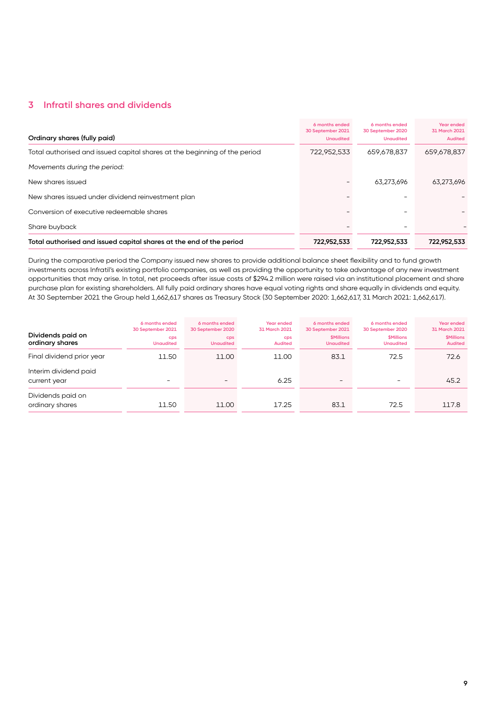## **3 Infratil shares and dividends**

| Ordinary shares (fully paid)                                              | 6 months ended<br>30 September 2021<br><b>Unaudited</b> | 6 months ended<br>30 September 2020<br><b>Unaudited</b> | Year ended<br>31 March 2021<br><b>Audited</b> |
|---------------------------------------------------------------------------|---------------------------------------------------------|---------------------------------------------------------|-----------------------------------------------|
| Total authorised and issued capital shares at the beginning of the period | 722,952,533                                             | 659,678,837                                             | 659,678,837                                   |
| Movements during the period:                                              |                                                         |                                                         |                                               |
| New shares issued                                                         |                                                         | 63.273.696                                              | 63,273,696                                    |
| New shares issued under dividend reinvestment plan                        |                                                         |                                                         |                                               |
| Conversion of executive redeemable shares                                 |                                                         |                                                         |                                               |
| Share buyback                                                             |                                                         |                                                         |                                               |
| Total authorised and issued capital shares at the end of the period       | 722,952,533                                             | 722,952,533                                             | 722,952,533                                   |

During the comparative period the Company issued new shares to provide additional balance sheet flexibility and to fund growth investments across Infratil's existing portfolio companies, as well as providing the opportunity to take advantage of any new investment opportunities that may arise. In total, net proceeds after issue costs of \$294.2 million were raised via an institutional placement and share purchase plan for existing shareholders. All fully paid ordinary shares have equal voting rights and share equally in dividends and equity. At 30 September 2021 the Group held 1,662,617 shares as Treasury Stock (30 September 2020: 1,662,617, 31 March 2021: 1,662,617).

| Dividends paid on<br>ordinary shares  | 6 months ended<br>30 September 2021<br>cps<br><b>Unaudited</b> | 6 months ended<br>30 September 2020<br>cps<br><b>Unaudited</b> | Year ended<br>31 March 2021<br><b>CDS</b><br><b>Audited</b> | 6 months ended<br>30 September 2021<br><b><i>SMillions</i></b><br><b>Unaudited</b> | 6 months ended<br>30 September 2020<br><b><i>SMillions</i></b><br><b>Unaudited</b> | Year ended<br>31 March 2021<br><b><i><u>SMillions</u></i></b><br><b>Audited</b> |
|---------------------------------------|----------------------------------------------------------------|----------------------------------------------------------------|-------------------------------------------------------------|------------------------------------------------------------------------------------|------------------------------------------------------------------------------------|---------------------------------------------------------------------------------|
| Final dividend prior year             | 11.50                                                          | 11.00                                                          | 11.00                                                       | 83.1                                                                               | 72.5                                                                               | 72.6                                                                            |
| Interim dividend paid<br>current year | -                                                              |                                                                | 6.25                                                        | $\overline{\phantom{a}}$                                                           |                                                                                    | 45.2                                                                            |
| Dividends paid on<br>ordinary shares  | 11.50                                                          | 11.00                                                          | 17.25                                                       | 83.1                                                                               | 72.5                                                                               | 117.8                                                                           |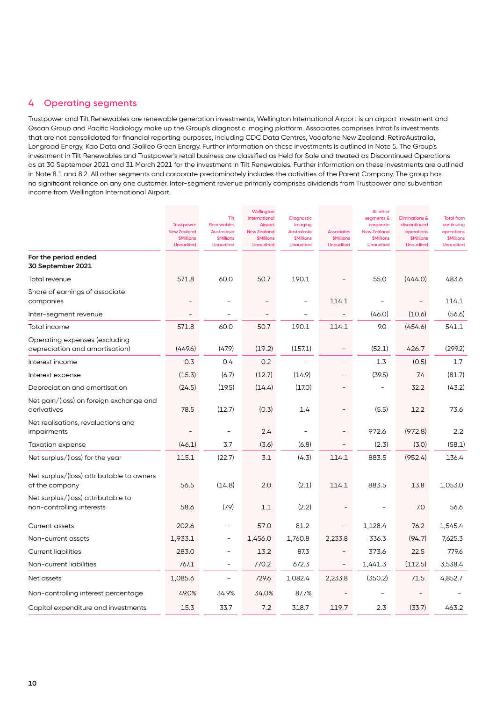#### **4 Operating segments**

Trustpower and Tilt Renewables are renewable generation investments, Wellington International Airport is an airport investment and Qscan Group and Pacific Radiology make up the Group's diagnostic imaging platform. Associates comprises Infratil's investments that are not consolidated for financial reporting purposes, including CDC Data Centres, Vodafone New Zealand, RetireAustralia, Longroad Energy, Kao Data and Galileo Green Energy. Further information on these investments is outlined in Note 5. The Group's investment in Tilt Renewables and Trustpower's retail business are classified as Held for Sale and treated as Discontinued Operations as at 30 September 2021 and 31 March 2021 for the investment in Tilt Renewables. Further information on these investments are outlined in Note 8.1 and 8.2. All other segments and corporate predominately includes the activities of the Parent Company. The group has no significant reliance on any one customer. Inter-segment revenue primarily comprises dividends from Trustpower and subvention income from Wellington International Airport.

|                                                                 | <b>Trustpower</b><br><b>New Zealand</b><br><b>\$Millions</b><br><b>Unaudited</b> | Tilt<br><b>Renewables</b><br>Australasia<br><b>\$Millions</b><br><b>Unaudited</b> | Wellington<br>International<br>Airport<br><b>New Zealand</b><br><b>\$Millions</b><br><b>Unaudited</b> | Diagnostic<br>Imaging<br><b>Australasia</b><br><b>\$Millions</b><br><b>Unaudited</b> | <b>Associates</b><br><b>\$Millions</b><br><b>Unaudited</b> | All other<br>segments &<br>corporate<br><b>New Zealand</b><br><b>\$Millions</b><br><b>Unaudited</b> | <b>Eliminations &amp;</b><br>discontinued<br>operations<br><b>\$Millions</b><br><b>Unaudited</b> | <b>Total from</b><br>continuing<br>operations<br><b>\$Millions</b><br><b>Unaudited</b> |
|-----------------------------------------------------------------|----------------------------------------------------------------------------------|-----------------------------------------------------------------------------------|-------------------------------------------------------------------------------------------------------|--------------------------------------------------------------------------------------|------------------------------------------------------------|-----------------------------------------------------------------------------------------------------|--------------------------------------------------------------------------------------------------|----------------------------------------------------------------------------------------|
| For the period ended<br>30 September 2021                       |                                                                                  |                                                                                   |                                                                                                       |                                                                                      |                                                            |                                                                                                     |                                                                                                  |                                                                                        |
| Total revenue                                                   | 571.8                                                                            | 60.0                                                                              | 50.7                                                                                                  | 190.1                                                                                |                                                            | 55.0                                                                                                | (444.0)                                                                                          | 483.6                                                                                  |
| Share of earnings of associate<br>companies                     |                                                                                  |                                                                                   | $\overline{\phantom{a}}$                                                                              |                                                                                      | 114.1                                                      | $\overline{a}$                                                                                      |                                                                                                  | 114.1                                                                                  |
| Inter-segment revenue                                           |                                                                                  | $\overline{\phantom{0}}$                                                          |                                                                                                       |                                                                                      |                                                            | (46.0)                                                                                              | (10.6)                                                                                           | (56.6)                                                                                 |
| Total income                                                    | 571.8                                                                            | 60.0                                                                              | 50.7                                                                                                  | 190.1                                                                                | 114.1                                                      | 9.0                                                                                                 | (454.6)                                                                                          | 541.1                                                                                  |
| Operating expenses (excluding<br>depreciation and amortisation) | (449.6)                                                                          | (47.9)                                                                            | (19.2)                                                                                                | (157.1)                                                                              |                                                            | (52.1)                                                                                              | 426.7                                                                                            | (299.2)                                                                                |
| Interest income                                                 | 0.3                                                                              | 0.4                                                                               | 0.2                                                                                                   | $\overline{a}$                                                                       | $\overline{a}$                                             | 1.3                                                                                                 | (0.5)                                                                                            | 1.7                                                                                    |
| Interest expense                                                | (15.3)                                                                           | (6.7)                                                                             | (12.7)                                                                                                | (14.9)                                                                               |                                                            | (39.5)                                                                                              | 7.4                                                                                              | (81.7)                                                                                 |
| Depreciation and amortisation                                   | (24.5)                                                                           | (19.5)                                                                            | (14.4)                                                                                                | (17.0)                                                                               |                                                            |                                                                                                     | 32.2                                                                                             | (43.2)                                                                                 |
| Net gain/(loss) on foreign exchange and<br>derivatives          | 78.5                                                                             | (12.7)                                                                            | (0.3)                                                                                                 | 1.4                                                                                  | $\overline{a}$                                             | (5.5)                                                                                               | 12.2                                                                                             | 73.6                                                                                   |
| Net realisations, revaluations and<br>impairments               |                                                                                  |                                                                                   | 2.4                                                                                                   | $\overline{\phantom{0}}$                                                             |                                                            | 972.6                                                                                               | (972.8)                                                                                          | 2.2                                                                                    |
| Taxation expense                                                | (46.1)                                                                           | 3.7                                                                               | (3.6)                                                                                                 | (6.8)                                                                                |                                                            | (2.3)                                                                                               | (3.0)                                                                                            | (58.1)                                                                                 |
| Net surplus/(loss) for the year                                 | 115.1                                                                            | (22.7)                                                                            | 3.1                                                                                                   | (4.3)                                                                                | 114.1                                                      | 883.5                                                                                               | (952.4)                                                                                          | 136.4                                                                                  |
| Net surplus/(loss) attributable to owners<br>of the company     | 56.5                                                                             | (14.8)                                                                            | 2.0                                                                                                   | (2.1)                                                                                | 114.1                                                      | 883.5                                                                                               | 13.8                                                                                             | 1,053.0                                                                                |
| Net surplus/(loss) attributable to<br>non-controlling interests | 58.6                                                                             | (7.9)                                                                             | 1.1                                                                                                   | (2.2)                                                                                |                                                            |                                                                                                     | 7.0                                                                                              | 56.6                                                                                   |
| Current assets                                                  | 202.6                                                                            | $\overline{\phantom{0}}$                                                          | 57.0                                                                                                  | 81.2                                                                                 |                                                            | 1,128.4                                                                                             | 76.2                                                                                             | 1,545.4                                                                                |
| Non-current assets                                              | 1,933.1                                                                          | $\overline{\phantom{0}}$                                                          | 1,456.0                                                                                               | 1,760.8                                                                              | 2,233.8                                                    | 336.3                                                                                               | (94.7)                                                                                           | 7,625.3                                                                                |
| <b>Current liabilities</b>                                      | 283.0                                                                            | $\overline{\phantom{0}}$                                                          | 13.2                                                                                                  | 87.3                                                                                 |                                                            | 373.6                                                                                               | 22.5                                                                                             | 779.6                                                                                  |
| Non-current liabilities                                         | 767.1                                                                            | $\overline{\phantom{0}}$                                                          | 770.2                                                                                                 | 672.3                                                                                | $\overline{\phantom{a}}$                                   | 1,441.3                                                                                             | (112.5)                                                                                          | 3,538.4                                                                                |
| Net assets                                                      | 1,085.6                                                                          | $\overline{a}$                                                                    | 729.6                                                                                                 | 1,082.4                                                                              | 2,233.8                                                    | (350.2)                                                                                             | 71.5                                                                                             | 4,852.7                                                                                |
| Non-controlling interest percentage                             | 49.0%                                                                            | 34.9%                                                                             | 34.0%                                                                                                 | 87.7%                                                                                |                                                            |                                                                                                     |                                                                                                  |                                                                                        |
| Capital expenditure and investments                             | 15.3                                                                             | 33.7                                                                              | 7.2                                                                                                   | 318.7                                                                                | 119.7                                                      | 2.3                                                                                                 | (33.7)                                                                                           | 463.2                                                                                  |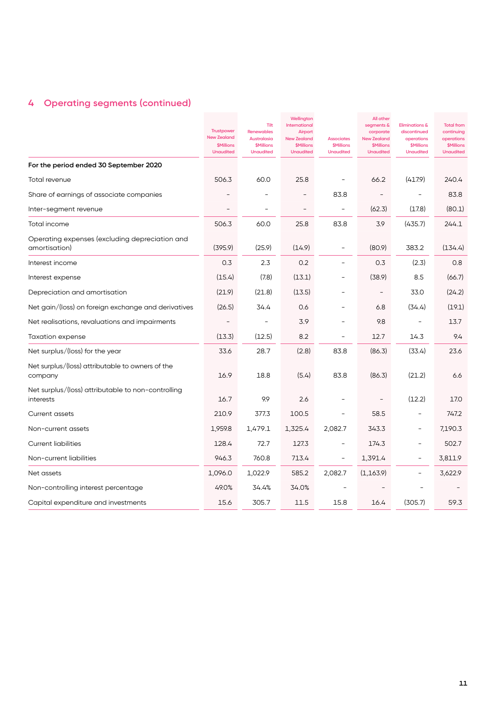# **4 Operating segments (continued)**

|                                                                 | <b>Trustpower</b><br><b>New Zealand</b><br><b>\$Millions</b><br><b>Unaudited</b> | Tilt<br><b>Renewables</b><br>Australasia<br><b>\$Millions</b><br><b>Unaudited</b> | Wellington<br>International<br><b>Airport</b><br><b>New Zealand</b><br><b>\$Millions</b><br><b>Unaudited</b> | <b>Associates</b><br><b>\$Millions</b><br><b>Unaudited</b> | All other<br>segments &<br>corporate<br><b>New Zealand</b><br><b>\$Millions</b><br><b>Unaudited</b> | <b>Eliminations &amp;</b><br>discontinued<br>operations<br><b>\$Millions</b><br><b>Unaudited</b> | <b>Total from</b><br>continuing<br>operations<br><b>\$Millions</b><br><b>Unaudited</b> |
|-----------------------------------------------------------------|----------------------------------------------------------------------------------|-----------------------------------------------------------------------------------|--------------------------------------------------------------------------------------------------------------|------------------------------------------------------------|-----------------------------------------------------------------------------------------------------|--------------------------------------------------------------------------------------------------|----------------------------------------------------------------------------------------|
| For the period ended 30 September 2020                          |                                                                                  |                                                                                   |                                                                                                              |                                                            |                                                                                                     |                                                                                                  |                                                                                        |
| Total revenue                                                   | 506.3                                                                            | 60.0                                                                              | 25.8                                                                                                         | $\qquad \qquad -$                                          | 66.2                                                                                                | (417.9)                                                                                          | 240.4                                                                                  |
| Share of earnings of associate companies                        |                                                                                  |                                                                                   |                                                                                                              | 83.8                                                       |                                                                                                     |                                                                                                  | 83.8                                                                                   |
| Inter-segment revenue                                           |                                                                                  |                                                                                   |                                                                                                              | $\overline{\phantom{a}}$                                   | (62.3)                                                                                              | (17.8)                                                                                           | (80.1)                                                                                 |
| Total income                                                    | 506.3                                                                            | 60.0                                                                              | 25.8                                                                                                         | 83.8                                                       | 3.9                                                                                                 | (435.7)                                                                                          | 244.1                                                                                  |
| Operating expenses (excluding depreciation and<br>amortisation) | (395.9)                                                                          | (25.9)                                                                            | (14.9)                                                                                                       | $\qquad \qquad -$                                          | (80.9)                                                                                              | 383.2                                                                                            | (134.4)                                                                                |
| Interest income                                                 | 0.3                                                                              | 2.3                                                                               | 0.2                                                                                                          | $\overline{\phantom{a}}$                                   | 0.3                                                                                                 | (2.3)                                                                                            | 0.8                                                                                    |
| Interest expense                                                | (15.4)                                                                           | (7.8)                                                                             | (13.1)                                                                                                       | $\overline{a}$                                             | (38.9)                                                                                              | 8.5                                                                                              | (66.7)                                                                                 |
| Depreciation and amortisation                                   | (21.9)                                                                           | (21.8)                                                                            | (13.5)                                                                                                       |                                                            | $\overline{a}$                                                                                      | 33.0                                                                                             | (24.2)                                                                                 |
| Net gain/(loss) on foreign exchange and derivatives             | (26.5)                                                                           | 34.4                                                                              | 0.6                                                                                                          | $\overline{\phantom{m}}$                                   | 6.8                                                                                                 | (34.4)                                                                                           | (19.1)                                                                                 |
| Net realisations, revaluations and impairments                  |                                                                                  |                                                                                   | 3.9                                                                                                          |                                                            | 9.8                                                                                                 | $\overline{\phantom{a}}$                                                                         | 13.7                                                                                   |
| Taxation expense                                                | (13.3)                                                                           | (12.5)                                                                            | 8.2                                                                                                          |                                                            | 12.7                                                                                                | 14.3                                                                                             | 9.4                                                                                    |
| Net surplus/(loss) for the year                                 | 33.6                                                                             | 28.7                                                                              | (2.8)                                                                                                        | 83.8                                                       | (86.3)                                                                                              | (33.4)                                                                                           | 23.6                                                                                   |
| Net surplus/(loss) attributable to owners of the<br>company     | 16.9                                                                             | 18.8                                                                              | (5.4)                                                                                                        | 83.8                                                       | (86.3)                                                                                              | (21.2)                                                                                           | 6.6                                                                                    |
| Net surplus/(loss) attributable to non-controlling<br>interests | 16.7                                                                             | 9.9                                                                               | 2.6                                                                                                          |                                                            |                                                                                                     | (12.2)                                                                                           | 17.0                                                                                   |
| <b>Current assets</b>                                           | 210.9                                                                            | 377.3                                                                             | 100.5                                                                                                        | $\overline{a}$                                             | 58.5                                                                                                | $\overline{\phantom{a}}$                                                                         | 747.2                                                                                  |
| Non-current assets                                              | 1,959.8                                                                          | 1,479.1                                                                           | 1,325.4                                                                                                      | 2,082.7                                                    | 343.3                                                                                               | $\overline{\phantom{0}}$                                                                         | 7,190.3                                                                                |
| <b>Current liabilities</b>                                      | 128.4                                                                            | 72.7                                                                              | 127.3                                                                                                        | $\overline{\phantom{a}}$                                   | 174.3                                                                                               | $\overline{\phantom{a}}$                                                                         | 502.7                                                                                  |
| Non-current liabilities                                         | 946.3                                                                            | 760.8                                                                             | 713.4                                                                                                        | $\qquad \qquad -$                                          | 1,391.4                                                                                             | $\overline{\phantom{a}}$                                                                         | 3,811.9                                                                                |
| Net assets                                                      | 1,096.0                                                                          | 1,022.9                                                                           | 585.2                                                                                                        | 2,082.7                                                    | (1, 163.9)                                                                                          | $\overline{\phantom{a}}$                                                                         | 3,622.9                                                                                |
| Non-controlling interest percentage                             | 49.0%                                                                            | 34.4%                                                                             | 34.0%                                                                                                        |                                                            |                                                                                                     |                                                                                                  |                                                                                        |
| Capital expenditure and investments                             | 15.6                                                                             | 305.7                                                                             | 11.5                                                                                                         | 15.8                                                       | 16.4                                                                                                | (305.7)                                                                                          | 59.3                                                                                   |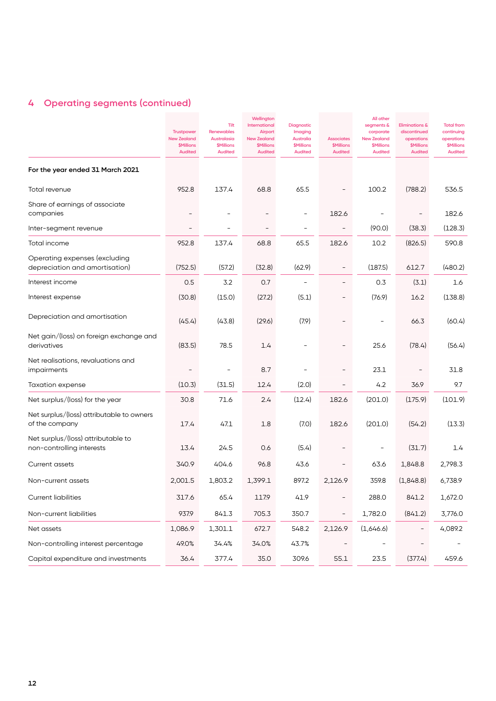# **4 Operating segments (continued)**

|                                                                 | <b>Trustpower</b><br><b>New Zealand</b><br><b>\$Millions</b><br><b>Audited</b> | Tilt<br><b>Renewables</b><br>Australasia<br><b>\$Millions</b><br><b>Audited</b> | Wellington<br>International<br>Airport<br><b>New Zealand</b><br><b>\$Millions</b><br><b>Audited</b> | <b>Diagnostic</b><br>Imaging<br>Australia<br><b>\$Millions</b><br><b>Audited</b> | <b>Associates</b><br><b>\$Millions</b><br><b>Audited</b> | All other<br>segments &<br>corporate<br><b>New Zealand</b><br><b>\$Millions</b><br><b>Audited</b> | <b>Eliminations &amp;</b><br>discontinued<br>operations<br><b>\$Millions</b><br><b>Audited</b> | <b>Total from</b><br>continuing<br>operations<br><b>\$Millions</b><br><b>Audited</b> |
|-----------------------------------------------------------------|--------------------------------------------------------------------------------|---------------------------------------------------------------------------------|-----------------------------------------------------------------------------------------------------|----------------------------------------------------------------------------------|----------------------------------------------------------|---------------------------------------------------------------------------------------------------|------------------------------------------------------------------------------------------------|--------------------------------------------------------------------------------------|
| For the year ended 31 March 2021                                |                                                                                |                                                                                 |                                                                                                     |                                                                                  |                                                          |                                                                                                   |                                                                                                |                                                                                      |
| Total revenue                                                   | 952.8                                                                          | 137.4                                                                           | 68.8                                                                                                | 65.5                                                                             |                                                          | 100.2                                                                                             | (788.2)                                                                                        | 536.5                                                                                |
| Share of earnings of associate<br>companies                     |                                                                                |                                                                                 |                                                                                                     |                                                                                  | 182.6                                                    |                                                                                                   |                                                                                                | 182.6                                                                                |
| Inter-segment revenue                                           |                                                                                |                                                                                 |                                                                                                     | $\overline{a}$                                                                   |                                                          | (90.0)                                                                                            | (38.3)                                                                                         | (128.3)                                                                              |
| Total income                                                    | 952.8                                                                          | 137.4                                                                           | 68.8                                                                                                | 65.5                                                                             | 182.6                                                    | 10.2                                                                                              | (826.5)                                                                                        | 590.8                                                                                |
| Operating expenses (excluding<br>depreciation and amortisation) | (752.5)                                                                        | (57.2)                                                                          | (32.8)                                                                                              | (62.9)                                                                           |                                                          | (187.5)                                                                                           | 612.7                                                                                          | (480.2)                                                                              |
| Interest income                                                 | 0.5                                                                            | 3.2                                                                             | 0.7                                                                                                 | $\qquad \qquad -$                                                                |                                                          | 0.3                                                                                               | (3.1)                                                                                          | 1.6                                                                                  |
| Interest expense                                                | (30.8)                                                                         | (15.0)                                                                          | (27.2)                                                                                              | (5.1)                                                                            |                                                          | (76.9)                                                                                            | 16.2                                                                                           | (138.8)                                                                              |
| Depreciation and amortisation                                   | (45.4)                                                                         | (43.8)                                                                          | (29.6)                                                                                              | (7.9)                                                                            |                                                          |                                                                                                   | 66.3                                                                                           | (60.4)                                                                               |
| Net gain/(loss) on foreign exchange and<br>derivatives          | (83.5)                                                                         | 78.5                                                                            | 1.4                                                                                                 |                                                                                  |                                                          | 25.6                                                                                              | (78.4)                                                                                         | (56.4)                                                                               |
| Net realisations, revaluations and<br>impairments               |                                                                                |                                                                                 | 8.7                                                                                                 |                                                                                  |                                                          | 23.1                                                                                              |                                                                                                | 31.8                                                                                 |
| Taxation expense                                                | (10.3)                                                                         | (31.5)                                                                          | 12.4                                                                                                | (2.0)                                                                            |                                                          | 4.2                                                                                               | 36.9                                                                                           | 9.7                                                                                  |
| Net surplus/(loss) for the year                                 | 30.8                                                                           | 71.6                                                                            | 2.4                                                                                                 | (12.4)                                                                           | 182.6                                                    | (201.0)                                                                                           | (175.9)                                                                                        | (101.9)                                                                              |
| Net surplus/(loss) attributable to owners<br>of the company     | 17.4                                                                           | 47.1                                                                            | 1.8                                                                                                 | (7.0)                                                                            | 182.6                                                    | (201.0)                                                                                           | (54.2)                                                                                         | (13.3)                                                                               |
| Net surplus/(loss) attributable to<br>non-controlling interests | 13.4                                                                           | 24.5                                                                            | 0.6                                                                                                 | (5.4)                                                                            |                                                          |                                                                                                   | (31.7)                                                                                         | 1.4                                                                                  |
| <b>Current assets</b>                                           | 340.9                                                                          | 404.6                                                                           | 96.8                                                                                                | 43.6                                                                             |                                                          | 63.6                                                                                              | 1,848.8                                                                                        | 2,798.3                                                                              |
| Non-current assets                                              | 2,001.5                                                                        | 1,803.2                                                                         | 1,399.1                                                                                             | 897.2                                                                            | 2,126.9                                                  | 359.8                                                                                             | (1,848.8)                                                                                      | 6,738.9                                                                              |
| <b>Current liabilities</b>                                      | 317.6                                                                          | 65.4                                                                            | 117.9                                                                                               | 41.9                                                                             | $\overline{\phantom{0}}$                                 | 288.0                                                                                             | 841.2                                                                                          | 1,672.0                                                                              |
| Non-current liabilities                                         | 937.9                                                                          | 841.3                                                                           | 705.3                                                                                               | 350.7                                                                            | $\overline{\phantom{a}}$                                 | 1,782.0                                                                                           | (841.2)                                                                                        | 3,776.0                                                                              |
| Net assets                                                      | 1,086.9                                                                        | 1,301.1                                                                         | 672.7                                                                                               | 548.2                                                                            | 2,126.9                                                  | (1,646.6)                                                                                         |                                                                                                | 4,089.2                                                                              |
| Non-controlling interest percentage                             | 49.0%                                                                          | 34.4%                                                                           | 34.0%                                                                                               | 43.7%                                                                            |                                                          |                                                                                                   |                                                                                                |                                                                                      |
| Capital expenditure and investments                             | 36.4                                                                           | 377.4                                                                           | 35.0                                                                                                | 309.6                                                                            | 55.1                                                     | 23.5                                                                                              | (377.4)                                                                                        | 459.6                                                                                |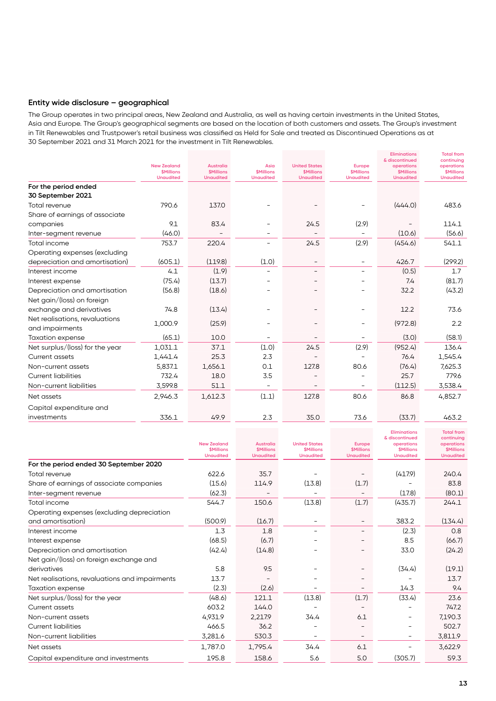#### **Entity wide disclosure – geographical**

The Group operates in two principal areas, New Zealand and Australia, as well as having certain investments in the United States, Asia and Europe. The Group's geographical segments are based on the location of both customers and assets. The Group's investment in Tilt Renewables and Trustpower's retail business was classified as Held for Sale and treated as Discontinued Operations as at 30 September 2021 and 31 March 2021 for the investment in Tilt Renewables.

| & discontinued<br>continuing<br><b>New Zealand</b><br><b>Australia</b><br>Asia<br><b>United States</b><br>operations<br>operations<br><b>Europe</b><br><b><i><u>SMillions</u></i></b><br><b>SMillions</b><br><b><i><u>SMillions</u></i></b><br><b><i>SMillions</i></b><br><b>\$Millions</b><br><b><i><u>SMillions</u></i></b><br><b><i>SMillions</i></b><br><b>Unaudited</b><br><b>Unaudited</b><br><b>Unaudited</b><br><b>Unaudited</b><br><b>Unaudited</b><br><b>Unaudited</b><br><b>Unaudited</b><br>For the period ended<br>30 September 2021<br>790.6<br>(444.0)<br>137.0<br>483.6<br>Total revenue<br>Share of earnings of associate<br>9.1<br>83.4<br>(2.9)<br>114.1<br>24.5<br>companies<br>(46.0)<br>(10.6)<br>(56.6)<br>Inter-segment revenue<br>(2.9)<br>220.4<br>24.5<br>(454.6)<br>753.7<br>541.1<br>Total income<br>Operating expenses (excluding<br>(605.1)<br>(119.8)<br>(1.0)<br>426.7<br>(299.2)<br>depreciation and amortisation)<br>(1.9)<br>(0.5)<br>4.1<br>1.7<br>Interest income<br>(75.4)<br>(13.7)<br>(81.7)<br>7.4<br>Interest expense<br>(56.8)<br>(18.6)<br>(43.2)<br>Depreciation and amortisation<br>32.2<br>Net gain/(loss) on foreign<br>(13.4)<br>74.8<br>73.6<br>exchange and derivatives<br>12.2<br>Net realisations, revaluations<br>(25.9)<br>1,000.9<br>(972.8)<br>2.2<br>and impairments<br>(65.1)<br>(3.0)<br>10.0<br>(58.1)<br><b>Taxation expense</b><br>(2.9)<br>(952.4)<br>37.1<br>(1.0)<br>24.5<br>Net surplus/(loss) for the year<br>1,031.1<br>136.4<br>1,441.4<br>25.3<br>2.3<br>76.4<br>1,545.4<br>Current assets<br>0.1<br>7,625.3<br>5,837.1<br>127.8<br>80.6<br>(76.4)<br>1,656.1<br>Non-current assets<br><b>Current liabilities</b><br>732.4<br>18.0<br>25.7<br>779.6<br>3.5<br>Non-current liabilities<br>51.1<br>(112.5)<br>3,538.4<br>3,599.8<br>$\overline{\phantom{a}}$<br>(1.1)<br>80.6<br>2,946.3<br>1,612.3<br>127.8<br>86.8<br>4,852.7<br>Net assets<br>Capital expenditure and<br>336.1<br>49.9<br>2.3<br>35.0<br>73.6<br>(33.7)<br>463.2<br>investments |  |  |  | <b>Eliminations</b> | <b>Total from</b> |
|--------------------------------------------------------------------------------------------------------------------------------------------------------------------------------------------------------------------------------------------------------------------------------------------------------------------------------------------------------------------------------------------------------------------------------------------------------------------------------------------------------------------------------------------------------------------------------------------------------------------------------------------------------------------------------------------------------------------------------------------------------------------------------------------------------------------------------------------------------------------------------------------------------------------------------------------------------------------------------------------------------------------------------------------------------------------------------------------------------------------------------------------------------------------------------------------------------------------------------------------------------------------------------------------------------------------------------------------------------------------------------------------------------------------------------------------------------------------------------------------------------------------------------------------------------------------------------------------------------------------------------------------------------------------------------------------------------------------------------------------------------------------------------------------------------------------------------------------------------------------------------------------------------------------------------------------------------------------------------------------------------------------------|--|--|--|---------------------|-------------------|
|                                                                                                                                                                                                                                                                                                                                                                                                                                                                                                                                                                                                                                                                                                                                                                                                                                                                                                                                                                                                                                                                                                                                                                                                                                                                                                                                                                                                                                                                                                                                                                                                                                                                                                                                                                                                                                                                                                                                                                                                                          |  |  |  |                     |                   |
|                                                                                                                                                                                                                                                                                                                                                                                                                                                                                                                                                                                                                                                                                                                                                                                                                                                                                                                                                                                                                                                                                                                                                                                                                                                                                                                                                                                                                                                                                                                                                                                                                                                                                                                                                                                                                                                                                                                                                                                                                          |  |  |  |                     |                   |
|                                                                                                                                                                                                                                                                                                                                                                                                                                                                                                                                                                                                                                                                                                                                                                                                                                                                                                                                                                                                                                                                                                                                                                                                                                                                                                                                                                                                                                                                                                                                                                                                                                                                                                                                                                                                                                                                                                                                                                                                                          |  |  |  |                     |                   |
|                                                                                                                                                                                                                                                                                                                                                                                                                                                                                                                                                                                                                                                                                                                                                                                                                                                                                                                                                                                                                                                                                                                                                                                                                                                                                                                                                                                                                                                                                                                                                                                                                                                                                                                                                                                                                                                                                                                                                                                                                          |  |  |  |                     |                   |
|                                                                                                                                                                                                                                                                                                                                                                                                                                                                                                                                                                                                                                                                                                                                                                                                                                                                                                                                                                                                                                                                                                                                                                                                                                                                                                                                                                                                                                                                                                                                                                                                                                                                                                                                                                                                                                                                                                                                                                                                                          |  |  |  |                     |                   |
|                                                                                                                                                                                                                                                                                                                                                                                                                                                                                                                                                                                                                                                                                                                                                                                                                                                                                                                                                                                                                                                                                                                                                                                                                                                                                                                                                                                                                                                                                                                                                                                                                                                                                                                                                                                                                                                                                                                                                                                                                          |  |  |  |                     |                   |
|                                                                                                                                                                                                                                                                                                                                                                                                                                                                                                                                                                                                                                                                                                                                                                                                                                                                                                                                                                                                                                                                                                                                                                                                                                                                                                                                                                                                                                                                                                                                                                                                                                                                                                                                                                                                                                                                                                                                                                                                                          |  |  |  |                     |                   |
|                                                                                                                                                                                                                                                                                                                                                                                                                                                                                                                                                                                                                                                                                                                                                                                                                                                                                                                                                                                                                                                                                                                                                                                                                                                                                                                                                                                                                                                                                                                                                                                                                                                                                                                                                                                                                                                                                                                                                                                                                          |  |  |  |                     |                   |
|                                                                                                                                                                                                                                                                                                                                                                                                                                                                                                                                                                                                                                                                                                                                                                                                                                                                                                                                                                                                                                                                                                                                                                                                                                                                                                                                                                                                                                                                                                                                                                                                                                                                                                                                                                                                                                                                                                                                                                                                                          |  |  |  |                     |                   |
|                                                                                                                                                                                                                                                                                                                                                                                                                                                                                                                                                                                                                                                                                                                                                                                                                                                                                                                                                                                                                                                                                                                                                                                                                                                                                                                                                                                                                                                                                                                                                                                                                                                                                                                                                                                                                                                                                                                                                                                                                          |  |  |  |                     |                   |
|                                                                                                                                                                                                                                                                                                                                                                                                                                                                                                                                                                                                                                                                                                                                                                                                                                                                                                                                                                                                                                                                                                                                                                                                                                                                                                                                                                                                                                                                                                                                                                                                                                                                                                                                                                                                                                                                                                                                                                                                                          |  |  |  |                     |                   |
|                                                                                                                                                                                                                                                                                                                                                                                                                                                                                                                                                                                                                                                                                                                                                                                                                                                                                                                                                                                                                                                                                                                                                                                                                                                                                                                                                                                                                                                                                                                                                                                                                                                                                                                                                                                                                                                                                                                                                                                                                          |  |  |  |                     |                   |
|                                                                                                                                                                                                                                                                                                                                                                                                                                                                                                                                                                                                                                                                                                                                                                                                                                                                                                                                                                                                                                                                                                                                                                                                                                                                                                                                                                                                                                                                                                                                                                                                                                                                                                                                                                                                                                                                                                                                                                                                                          |  |  |  |                     |                   |
|                                                                                                                                                                                                                                                                                                                                                                                                                                                                                                                                                                                                                                                                                                                                                                                                                                                                                                                                                                                                                                                                                                                                                                                                                                                                                                                                                                                                                                                                                                                                                                                                                                                                                                                                                                                                                                                                                                                                                                                                                          |  |  |  |                     |                   |
|                                                                                                                                                                                                                                                                                                                                                                                                                                                                                                                                                                                                                                                                                                                                                                                                                                                                                                                                                                                                                                                                                                                                                                                                                                                                                                                                                                                                                                                                                                                                                                                                                                                                                                                                                                                                                                                                                                                                                                                                                          |  |  |  |                     |                   |
|                                                                                                                                                                                                                                                                                                                                                                                                                                                                                                                                                                                                                                                                                                                                                                                                                                                                                                                                                                                                                                                                                                                                                                                                                                                                                                                                                                                                                                                                                                                                                                                                                                                                                                                                                                                                                                                                                                                                                                                                                          |  |  |  |                     |                   |
|                                                                                                                                                                                                                                                                                                                                                                                                                                                                                                                                                                                                                                                                                                                                                                                                                                                                                                                                                                                                                                                                                                                                                                                                                                                                                                                                                                                                                                                                                                                                                                                                                                                                                                                                                                                                                                                                                                                                                                                                                          |  |  |  |                     |                   |
|                                                                                                                                                                                                                                                                                                                                                                                                                                                                                                                                                                                                                                                                                                                                                                                                                                                                                                                                                                                                                                                                                                                                                                                                                                                                                                                                                                                                                                                                                                                                                                                                                                                                                                                                                                                                                                                                                                                                                                                                                          |  |  |  |                     |                   |
|                                                                                                                                                                                                                                                                                                                                                                                                                                                                                                                                                                                                                                                                                                                                                                                                                                                                                                                                                                                                                                                                                                                                                                                                                                                                                                                                                                                                                                                                                                                                                                                                                                                                                                                                                                                                                                                                                                                                                                                                                          |  |  |  |                     |                   |
|                                                                                                                                                                                                                                                                                                                                                                                                                                                                                                                                                                                                                                                                                                                                                                                                                                                                                                                                                                                                                                                                                                                                                                                                                                                                                                                                                                                                                                                                                                                                                                                                                                                                                                                                                                                                                                                                                                                                                                                                                          |  |  |  |                     |                   |
|                                                                                                                                                                                                                                                                                                                                                                                                                                                                                                                                                                                                                                                                                                                                                                                                                                                                                                                                                                                                                                                                                                                                                                                                                                                                                                                                                                                                                                                                                                                                                                                                                                                                                                                                                                                                                                                                                                                                                                                                                          |  |  |  |                     |                   |
|                                                                                                                                                                                                                                                                                                                                                                                                                                                                                                                                                                                                                                                                                                                                                                                                                                                                                                                                                                                                                                                                                                                                                                                                                                                                                                                                                                                                                                                                                                                                                                                                                                                                                                                                                                                                                                                                                                                                                                                                                          |  |  |  |                     |                   |
|                                                                                                                                                                                                                                                                                                                                                                                                                                                                                                                                                                                                                                                                                                                                                                                                                                                                                                                                                                                                                                                                                                                                                                                                                                                                                                                                                                                                                                                                                                                                                                                                                                                                                                                                                                                                                                                                                                                                                                                                                          |  |  |  |                     |                   |
|                                                                                                                                                                                                                                                                                                                                                                                                                                                                                                                                                                                                                                                                                                                                                                                                                                                                                                                                                                                                                                                                                                                                                                                                                                                                                                                                                                                                                                                                                                                                                                                                                                                                                                                                                                                                                                                                                                                                                                                                                          |  |  |  |                     |                   |
|                                                                                                                                                                                                                                                                                                                                                                                                                                                                                                                                                                                                                                                                                                                                                                                                                                                                                                                                                                                                                                                                                                                                                                                                                                                                                                                                                                                                                                                                                                                                                                                                                                                                                                                                                                                                                                                                                                                                                                                                                          |  |  |  |                     |                   |
|                                                                                                                                                                                                                                                                                                                                                                                                                                                                                                                                                                                                                                                                                                                                                                                                                                                                                                                                                                                                                                                                                                                                                                                                                                                                                                                                                                                                                                                                                                                                                                                                                                                                                                                                                                                                                                                                                                                                                                                                                          |  |  |  |                     |                   |

|                                                |                                                    |                                             |                                                    |                                             | <b>Eliminations</b><br>& discontinued              | <b>Total from</b><br>continuina             |
|------------------------------------------------|----------------------------------------------------|---------------------------------------------|----------------------------------------------------|---------------------------------------------|----------------------------------------------------|---------------------------------------------|
|                                                | <b>New Zealand</b>                                 | <b>Australia</b>                            | <b>United States</b>                               | <b>Europe</b>                               | operations                                         | operations                                  |
|                                                | <b><i><u>SMillions</u></i></b><br><b>Unaudited</b> | <b><i>SMillions</i></b><br><b>Unaudited</b> | <b><i><u>SMillions</u></i></b><br><b>Unaudited</b> | <b><i>SMillions</i></b><br><b>Unaudited</b> | <b><i><u>SMillions</u></i></b><br><b>Unaudited</b> | <b><i>SMillions</i></b><br><b>Unaudited</b> |
| For the period ended 30 September 2020         |                                                    |                                             |                                                    |                                             |                                                    |                                             |
| Total revenue                                  | 622.6                                              | 35.7                                        |                                                    |                                             | (417.9)                                            | 240.4                                       |
| Share of earnings of associate companies       | (15.6)                                             | 114.9                                       | (13.8)                                             | (1.7)                                       |                                                    | 83.8                                        |
| Inter-segment revenue                          | (62.3)                                             |                                             |                                                    |                                             | (17.8)                                             | (80.1)                                      |
| Total income                                   | 544.7                                              | 150.6                                       | (13.8)                                             | (1.7)                                       | (435.7)                                            | 244.1                                       |
| Operating expenses (excluding depreciation     |                                                    |                                             |                                                    |                                             |                                                    |                                             |
| and amortisation)                              | (500.9)                                            | (16.7)                                      |                                                    |                                             | 383.2                                              | (134.4)                                     |
| Interest income                                | 1.3                                                | 1.8                                         |                                                    |                                             | (2.3)                                              | 0.8                                         |
| Interest expense                               | (68.5)                                             | (6.7)                                       |                                                    |                                             | 8.5                                                | (66.7)                                      |
| Depreciation and amortisation                  | (42.4)                                             | (14.8)                                      |                                                    |                                             | 33.0                                               | (24.2)                                      |
| Net gain/(loss) on foreign exchange and        |                                                    |                                             |                                                    |                                             |                                                    |                                             |
| derivatives                                    | 5.8                                                | 9.5                                         |                                                    |                                             | (34.4)                                             | (19.1)                                      |
| Net realisations, revaluations and impairments | 13.7                                               |                                             |                                                    |                                             |                                                    | 13.7                                        |
| <b>Taxation expense</b>                        | (2.3)                                              | (2.6)                                       |                                                    |                                             | 14.3                                               | 9.4                                         |
| Net surplus/(loss) for the year                | (48.6)                                             | 121.1                                       | (13.8)                                             | (1.7)                                       | (33.4)                                             | 23.6                                        |
| Current assets                                 | 603.2                                              | 144.0                                       |                                                    |                                             |                                                    | 747.2                                       |
| Non-current assets                             | 4,931.9                                            | 2,217.9                                     | 34.4                                               | 6.1                                         |                                                    | 7,190.3                                     |
| <b>Current liabilities</b>                     | 466.5                                              | 36.2                                        |                                                    |                                             |                                                    | 502.7                                       |
| Non-current liabilities                        | 3,281.6                                            | 530.3                                       |                                                    |                                             |                                                    | 3,811.9                                     |
| Net assets                                     | 1,787.0                                            | 1,795.4                                     | 34.4                                               | 6.1                                         |                                                    | 3,622.9                                     |
| Capital expenditure and investments            | 195.8                                              | 158.6                                       | 5.6                                                | 5.0                                         | (305.7)                                            | 59.3                                        |
|                                                |                                                    |                                             |                                                    |                                             |                                                    |                                             |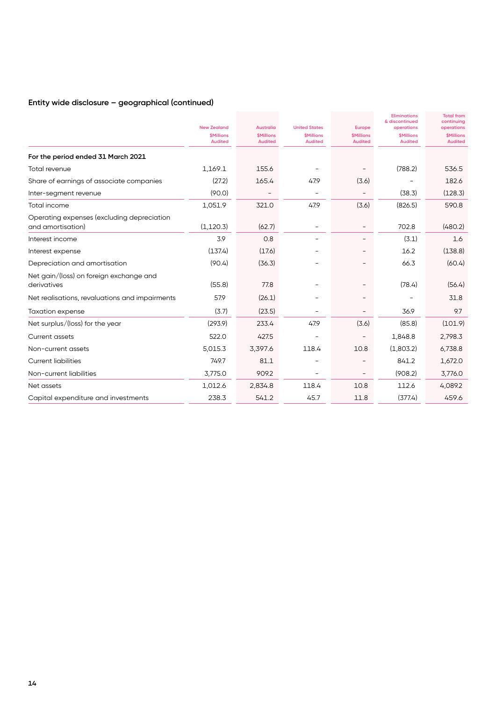## **Entity wide disclosure – geographical (continued)**

|                                                                 | <b>New Zealand</b><br><b><i>SMillions</i></b><br><b>Audited</b> | <b>Australia</b><br><b><i><u>SMillions</u></i></b><br><b>Audited</b> | <b>United States</b><br><b><i><u>SMillions</u></i></b><br><b>Audited</b> | Europe<br><b><i><u>SMillions</u></i></b><br><b>Audited</b> | <b>Eliminations</b><br>& discontinued<br>operations<br><b><i>SMillions</i></b><br><b>Audited</b> | <b>Total from</b><br>continuing<br>operations<br><b><i><u>SMillions</u></i></b><br><b>Audited</b> |
|-----------------------------------------------------------------|-----------------------------------------------------------------|----------------------------------------------------------------------|--------------------------------------------------------------------------|------------------------------------------------------------|--------------------------------------------------------------------------------------------------|---------------------------------------------------------------------------------------------------|
| For the period ended 31 March 2021                              |                                                                 |                                                                      |                                                                          |                                                            |                                                                                                  |                                                                                                   |
| Total revenue                                                   | 1,169.1                                                         | 155.6                                                                |                                                                          |                                                            | (788.2)                                                                                          | 536.5                                                                                             |
| Share of earnings of associate companies                        | (27.2)                                                          | 165.4                                                                | 47.9                                                                     | (3.6)                                                      |                                                                                                  | 182.6                                                                                             |
| Inter-segment revenue                                           | (90.0)                                                          |                                                                      | $\overline{\phantom{0}}$                                                 |                                                            | (38.3)                                                                                           | (128.3)                                                                                           |
| Total income                                                    | 1,051.9                                                         | 321.0                                                                | 47.9                                                                     | (3.6)                                                      | (826.5)                                                                                          | 590.8                                                                                             |
| Operating expenses (excluding depreciation<br>and amortisation) | (1, 120.3)                                                      | (62.7)                                                               |                                                                          |                                                            | 702.8                                                                                            | (480.2)                                                                                           |
| Interest income                                                 | 3.9                                                             | 0.8                                                                  |                                                                          |                                                            | (3.1)                                                                                            | 1.6                                                                                               |
| Interest expense                                                | (137.4)                                                         | (17.6)                                                               |                                                                          |                                                            | 16.2                                                                                             | (138.8)                                                                                           |
| Depreciation and amortisation                                   | (90.4)                                                          | (36.3)                                                               |                                                                          |                                                            | 66.3                                                                                             | (60.4)                                                                                            |
| Net gain/(loss) on foreign exchange and<br>derivatives          | (55.8)                                                          | 77.8                                                                 |                                                                          |                                                            | (78.4)                                                                                           | (56.4)                                                                                            |
| Net realisations, revaluations and impairments                  | 57.9                                                            | (26.1)                                                               |                                                                          |                                                            |                                                                                                  | 31.8                                                                                              |
| <b>Taxation expense</b>                                         | (3.7)                                                           | (23.5)                                                               |                                                                          |                                                            | 36.9                                                                                             | 9.7                                                                                               |
| Net surplus/(loss) for the year                                 | (293.9)                                                         | 233.4                                                                | 47.9                                                                     | (3.6)                                                      | (85.8)                                                                                           | (101.9)                                                                                           |
| Current assets                                                  | 522.0                                                           | 427.5                                                                |                                                                          |                                                            | 1,848.8                                                                                          | 2,798.3                                                                                           |
| Non-current assets                                              | 5,015.3                                                         | 3,397.6                                                              | 118.4                                                                    | 10.8                                                       | (1,803.2)                                                                                        | 6,738.8                                                                                           |
| <b>Current liabilities</b>                                      | 749.7                                                           | 81.1                                                                 |                                                                          |                                                            | 841.2                                                                                            | 1,672.0                                                                                           |
| Non-current liabilities                                         | 3,775.0                                                         | 909.2                                                                | $\overline{\phantom{a}}$                                                 | $\overline{\phantom{a}}$                                   | (908.2)                                                                                          | 3,776.0                                                                                           |
| Net assets                                                      | 1,012.6                                                         | 2,834.8                                                              | 118.4                                                                    | 10.8                                                       | 112.6                                                                                            | 4,089.2                                                                                           |
| Capital expenditure and investments                             | 238.3                                                           | 541.2                                                                | 45.7                                                                     | 11.8                                                       | (377.4)                                                                                          | 459.6                                                                                             |
|                                                                 |                                                                 |                                                                      |                                                                          |                                                            |                                                                                                  |                                                                                                   |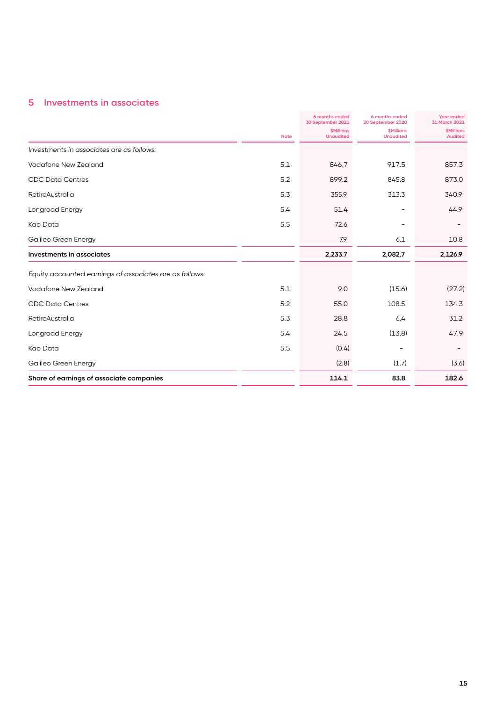## **5 Investments in associates**

|                                                         |             | 6 months ended<br>30 September 2021         | 6 months ended<br>30 September 2020   | <b>Year ended</b><br>31 March 2021        |
|---------------------------------------------------------|-------------|---------------------------------------------|---------------------------------------|-------------------------------------------|
|                                                         | <b>Note</b> | <b><i>SMillions</i></b><br><b>Unaudited</b> | <b>\$Millions</b><br><b>Unaudited</b> | <b><i>SMillions</i></b><br><b>Audited</b> |
| Investments in associates are as follows:               |             |                                             |                                       |                                           |
| Vodafone New Zealand                                    | 5.1         | 846.7                                       | 917.5                                 | 857.3                                     |
| <b>CDC Data Centres</b>                                 | 5.2         | 899.2                                       | 845.8                                 | 873.0                                     |
| <b>RetireAustralia</b>                                  | 5.3         | 355.9                                       | 313.3                                 | 340.9                                     |
| Longroad Energy                                         | 5.4         | 51.4                                        |                                       | 44.9                                      |
| Kao Data                                                | 5.5         | 72.6                                        |                                       |                                           |
| Galileo Green Energy                                    |             | 7.9                                         | 6.1                                   | 10.8                                      |
| Investments in associates                               |             | 2,233.7                                     | 2,082.7                               | 2,126.9                                   |
| Equity accounted earnings of associates are as follows: |             |                                             |                                       |                                           |
| Vodafone New Zealand                                    | 5.1         | 9.0                                         | (15.6)                                | (27.2)                                    |
| <b>CDC Data Centres</b>                                 | 5.2         | 55.0                                        | 108.5                                 | 134.3                                     |
| <b>RetireAustralia</b>                                  | 5.3         | 28.8                                        | 6.4                                   | 31.2                                      |
| Longroad Energy                                         | 5.4         | 24.5                                        | (13.8)                                | 47.9                                      |
| Kao Data                                                | 5.5         | (0.4)                                       |                                       |                                           |
| Galileo Green Energy                                    |             | (2.8)                                       | (1.7)                                 | (3.6)                                     |
| Share of earnings of associate companies                |             | 114.1                                       | 83.8                                  | 182.6                                     |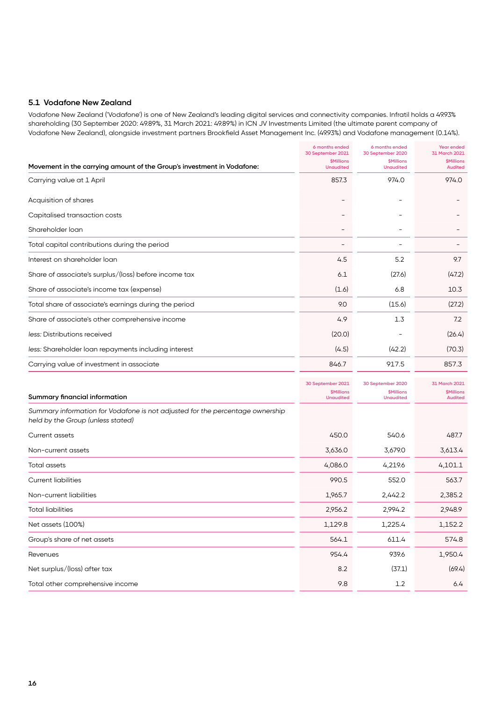#### **5.1 Vodafone New Zealand**

Vodafone New Zealand ('Vodafone') is one of New Zealand's leading digital services and connectivity companies. Infratil holds a 49.93% shareholding (30 September 2020: 49.89%, 31 March 2021: 49.89%) in ICN JV Investments Limited (the ultimate parent company of Vodafone New Zealand), alongside investment partners Brookfield Asset Management Inc. (49.93%) and Vodafone management (0.14%).

|                                                                                                                    | 6 months ended<br>30 September 2021   | 6 months ended<br>30 September 2020 | <b>Year ended</b><br>31 March 2021        |
|--------------------------------------------------------------------------------------------------------------------|---------------------------------------|-------------------------------------|-------------------------------------------|
| Movement in the carrying amount of the Group's investment in Vodafone:                                             | <b>\$Millions</b><br><b>Unaudited</b> | \$Millions<br><b>Unaudited</b>      | <b><i>SMillions</i></b><br><b>Audited</b> |
| Carrying value at 1 April                                                                                          | 857.3                                 | 974.0                               | 974.0                                     |
| Acquisition of shares                                                                                              |                                       |                                     |                                           |
| Capitalised transaction costs                                                                                      |                                       |                                     |                                           |
| Shareholder loan                                                                                                   |                                       |                                     |                                           |
| Total capital contributions during the period                                                                      |                                       |                                     |                                           |
| Interest on shareholder loan                                                                                       | 4.5                                   | 5.2                                 | 9.7                                       |
| Share of associate's surplus/(loss) before income tax                                                              | 6.1                                   | (27.6)                              | (47.2)                                    |
| Share of associate's income tax (expense)                                                                          | (1.6)                                 | 6.8                                 | 10.3                                      |
| Total share of associate's earnings during the period                                                              | 9.0                                   | (15.6)                              | (27.2)                                    |
| Share of associate's other comprehensive income                                                                    | 4.9                                   | 1.3                                 | 7.2                                       |
| less: Distributions received                                                                                       | (20.0)                                |                                     | (26.4)                                    |
| less: Shareholder loan repayments including interest                                                               | (4.5)                                 | (42.2)                              | (70.3)                                    |
| Carrying value of investment in associate                                                                          | 846.7                                 | 917.5                               | 857.3                                     |
|                                                                                                                    | 30 September 2021                     | 30 September 2020                   | 31 March 2021                             |
| Summary financial information                                                                                      | <b>\$Millions</b><br><b>Unaudited</b> | \$Millions<br><b>Unaudited</b>      | <b>\$Millions</b><br><b>Audited</b>       |
| Summary information for Vodafone is not adjusted for the percentage ownership<br>held by the Group (unless stated) |                                       |                                     |                                           |
| Current assets                                                                                                     | 450.0                                 | 540.6                               | 487.7                                     |
| Non-current assets                                                                                                 | 3,636.0                               | 3,679.0                             | 3,613.4                                   |
| Total assets                                                                                                       | 4,086.0                               | 4,219.6                             | 4,101.1                                   |
| <b>Current liabilities</b>                                                                                         | 990.5                                 | 552.0                               | 563.7                                     |
| Non-current liabilities                                                                                            | 1,965.7                               | 2,442.2                             | 2,385.2                                   |
| Total liabilities                                                                                                  | 2,956.2                               | 2,994.2                             | 2,948.9                                   |
| Net assets (100%)                                                                                                  | 1,129.8                               | 1,225.4                             | 1,152.2                                   |
| Group's share of net assets                                                                                        | 564.1                                 | 611.4                               | 574.8                                     |
| Revenues                                                                                                           | 954.4                                 | 939.6                               | 1,950.4                                   |
| Net surplus/(loss) after tax                                                                                       | 8.2                                   | (37.1)                              | (69.4)                                    |
| Total other comprehensive income                                                                                   | 9.8                                   | $1.2\,$                             | 6.4                                       |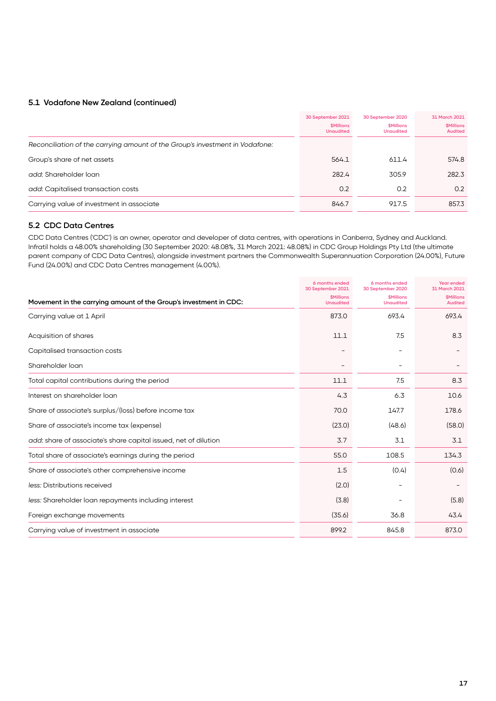#### **5.1 Vodafone New Zealand (continued)**

|                                                                              | 30 September 2021<br><b><i>SMillions</i></b><br><b>Unaudited</b> | 30 September 2020<br><b><i>SMillions</i></b><br><b>Unaudited</b> | 31 March 2021<br><b><i>SMillions</i></b><br><b>Audited</b> |
|------------------------------------------------------------------------------|------------------------------------------------------------------|------------------------------------------------------------------|------------------------------------------------------------|
| Reconciliation of the carrying amount of the Group's investment in Vodafone: |                                                                  |                                                                  |                                                            |
| Group's share of net assets                                                  | 564.1                                                            | 611.4                                                            | 574.8                                                      |
| add: Shareholder Ioan                                                        | 282.4                                                            | 305.9                                                            | 282.3                                                      |
| add: Capitalised transaction costs                                           | 0.2                                                              | 0.2                                                              | 0.2                                                        |
| Carrying value of investment in associate                                    | 846.7                                                            | 917.5                                                            | 857.3                                                      |

#### **5.2 CDC Data Centres**

CDC Data Centres ('CDC') is an owner, operator and developer of data centres, with operations in Canberra, Sydney and Auckland. Infratil holds a 48.00% shareholding (30 September 2020: 48.08%, 31 March 2021: 48.08%) in CDC Group Holdings Pty Ltd (the ultimate parent company of CDC Data Centres), alongside investment partners the Commonwealth Superannuation Corporation (24.00%), Future Fund (24.00%) and CDC Data Centres management (4.00%).

|                                                                   | 6 months ended<br>30 September 2021   | 6 months ended<br>30 September 2020                | <b>Year ended</b><br>31 March 2021               |
|-------------------------------------------------------------------|---------------------------------------|----------------------------------------------------|--------------------------------------------------|
| Movement in the carrying amount of the Group's investment in CDC: | <b>\$Millions</b><br><b>Unaudited</b> | <b><i><u>SMillions</u></i></b><br><b>Unaudited</b> | <b><i><u>SMillions</u></i></b><br><b>Audited</b> |
| Carrying value at 1 April                                         | 873.0                                 | 693.4                                              | 693.4                                            |
| Acquisition of shares                                             | 11.1                                  | 7.5                                                | 8.3                                              |
| Capitalised transaction costs                                     |                                       |                                                    |                                                  |
| Shareholder loan                                                  |                                       |                                                    |                                                  |
| Total capital contributions during the period                     | 11.1                                  | 7.5                                                | 8.3                                              |
| Interest on shareholder loan                                      | 4.3                                   | 6.3                                                | 10.6                                             |
| Share of associate's surplus/(loss) before income tax             | 70.0                                  | 147.7                                              | 178.6                                            |
| Share of associate's income tax (expense)                         | (23.0)                                | (48.6)                                             | (58.0)                                           |
| add: share of associate's share capital issued, net of dilution   | 3.7                                   | 3.1                                                | 3.1                                              |
| Total share of associate's earnings during the period             | 55.0                                  | 108.5                                              | 134.3                                            |
| Share of associate's other comprehensive income                   | 1.5                                   | (0.4)                                              | (0.6)                                            |
| less: Distributions received                                      | (2.0)                                 |                                                    |                                                  |
| less: Shareholder loan repayments including interest              | (3.8)                                 |                                                    | (5.8)                                            |
| Foreign exchange movements                                        | (35.6)                                | 36.8                                               | 43.4                                             |
| Carrying value of investment in associate                         | 899.2                                 | 845.8                                              | 873.0                                            |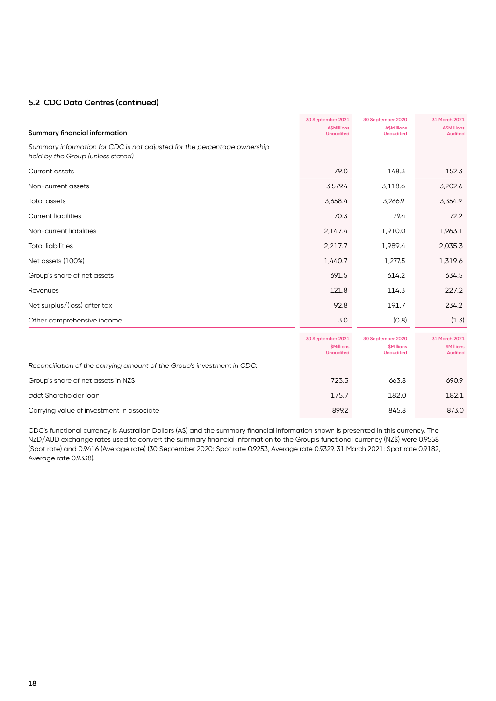#### **5.2 CDC Data Centres (continued)**

|                                                                                                               | 30 September 2021                                                | 30 September 2020                                                       | 31 March 2021<br><b>A</b> \$Millions                              |
|---------------------------------------------------------------------------------------------------------------|------------------------------------------------------------------|-------------------------------------------------------------------------|-------------------------------------------------------------------|
| Summary financial information                                                                                 | <b>A\$Millions</b><br><b>Unaudited</b>                           | <b>A\$Millions</b><br><b>Unaudited</b>                                  | <b>Audited</b>                                                    |
| Summary information for CDC is not adjusted for the percentage ownership<br>held by the Group (unless stated) |                                                                  |                                                                         |                                                                   |
| <b>Current assets</b>                                                                                         | 79.0                                                             | 148.3                                                                   | 152.3                                                             |
| Non-current assets                                                                                            | 3,579.4                                                          | 3,118.6                                                                 | 3,202.6                                                           |
| <b>Total assets</b>                                                                                           | 3,658.4                                                          | 3,266.9                                                                 | 3,354.9                                                           |
| <b>Current liabilities</b>                                                                                    | 70.3                                                             | 79.4                                                                    | 72.2                                                              |
| Non-current liabilities                                                                                       | 2,147.4                                                          | 1,910.0                                                                 | 1,963.1                                                           |
| <b>Total liabilities</b>                                                                                      | 2,217.7                                                          | 1,989.4                                                                 | 2,035.3                                                           |
| Net assets (100%)                                                                                             | 1,440.7                                                          | 1,277.5                                                                 | 1,319.6                                                           |
| Group's share of net assets                                                                                   | 691.5                                                            | 614.2                                                                   | 634.5                                                             |
| Revenues                                                                                                      | 121.8                                                            | 114.3                                                                   | 227.2                                                             |
| Net surplus/(loss) after tax                                                                                  | 92.8                                                             | 191.7                                                                   | 234.2                                                             |
| Other comprehensive income                                                                                    | 3.0                                                              | (0.8)                                                                   | (1.3)                                                             |
|                                                                                                               | 30 September 2021<br><b><i>SMillions</i></b><br><b>Unaudited</b> | 30 September 2020<br><b><i><u>SMillions</u></i></b><br><b>Unaudited</b> | 31 March 2021<br><b><i><u>SMillions</u></i></b><br><b>Audited</b> |
| Reconciliation of the carrying amount of the Group's investment in CDC:                                       |                                                                  |                                                                         |                                                                   |
| Group's share of net assets in NZ\$                                                                           | 723.5                                                            | 663.8                                                                   | 690.9                                                             |
| add: Shareholder loan                                                                                         | 175.7                                                            | 182.0                                                                   | 182.1                                                             |
| Carrying value of investment in associate                                                                     | 899.2                                                            | 845.8                                                                   | 873.0                                                             |

CDC's functional currency is Australian Dollars (A\$) and the summary financial information shown is presented in this currency. The NZD/AUD exchange rates used to convert the summary financial information to the Group's functional currency (NZ\$) were 0.9558 (Spot rate) and 0.9416 (Average rate) (30 September 2020: Spot rate 0.9253, Average rate 0.9329, 31 March 2021: Spot rate 0.9182, Average rate 0.9338).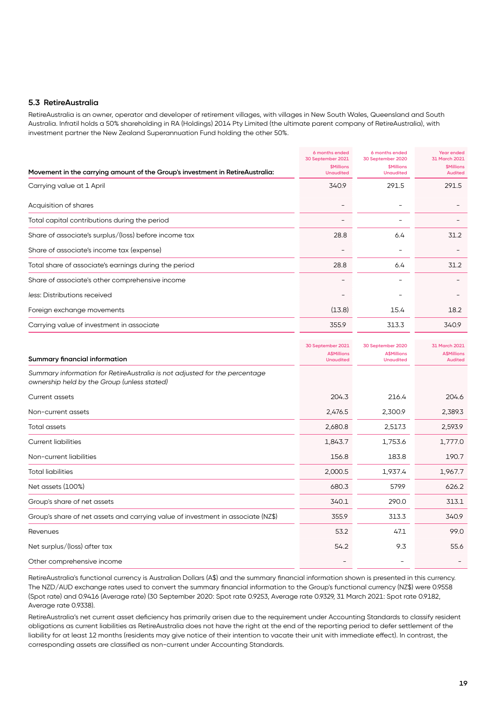#### **5.3 RetireAustralia**

RetireAustralia is an owner, operator and developer of retirement villages, with villages in New South Wales, Queensland and South Australia. Infratil holds a 50% shareholding in RA (Holdings) 2014 Pty Limited (the ultimate parent company of RetireAustralia), with investment partner the New Zealand Superannuation Fund holding the other 50%.

|                                                                                                                           | 6 months ended<br>30 September 2021         | 6 months ended<br>30 September 2020                | Year ended<br>31 March 2021           |
|---------------------------------------------------------------------------------------------------------------------------|---------------------------------------------|----------------------------------------------------|---------------------------------------|
| Movement in the carrying amount of the Group's investment in RetireAustralia:                                             | <b><i>SMillions</i></b><br><b>Unaudited</b> | <b><i><u>SMillions</u></i></b><br><b>Unaudited</b> | <b>\$Millions</b><br><b>Audited</b>   |
| Carrying value at 1 April                                                                                                 | 340.9                                       | 291.5                                              | 291.5                                 |
| Acquisition of shares                                                                                                     | $\qquad \qquad -$                           | $\overline{\phantom{0}}$                           |                                       |
| Total capital contributions during the period                                                                             |                                             |                                                    |                                       |
| Share of associate's surplus/(loss) before income tax                                                                     | 28.8                                        | 6.4                                                | 31.2                                  |
| Share of associate's income tax (expense)                                                                                 |                                             |                                                    |                                       |
| Total share of associate's earnings during the period                                                                     | 28.8                                        | 6.4                                                | 31.2                                  |
| Share of associate's other comprehensive income                                                                           |                                             |                                                    |                                       |
| less: Distributions received                                                                                              |                                             |                                                    |                                       |
| Foreign exchange movements                                                                                                | (13.8)                                      | 15.4                                               | 18.2                                  |
| Carrying value of investment in associate                                                                                 | 355.9                                       | 313.3                                              | 340.9                                 |
|                                                                                                                           | 30 September 2021                           | 30 September 2020                                  | 31 March 2021                         |
| Summary financial information                                                                                             | <b>A\$Millions</b><br><b>Unaudited</b>      | <b>A\$Millions</b><br><b>Unaudited</b>             | <b>A</b> \$Millions<br><b>Audited</b> |
| Summary information for RetireAustralia is not adjusted for the percentage<br>ownership held by the Group (unless stated) |                                             |                                                    |                                       |
| <b>Current assets</b>                                                                                                     | 204.3                                       | 216.4                                              | 204.6                                 |
| Non-current assets                                                                                                        | 2,476.5                                     | 2,300.9                                            | 2,389.3                               |
| <b>Total assets</b>                                                                                                       | 2,680.8                                     | 2,517.3                                            | 2,593.9                               |
| <b>Current liabilities</b>                                                                                                | 1,843.7                                     | 1,753.6                                            | 1,777.0                               |
| Non-current liabilities                                                                                                   | 156.8                                       | 183.8                                              | 190.7                                 |
| <b>Total liabilities</b>                                                                                                  | 2,000.5                                     | 1,937.4                                            | 1,967.7                               |
| Net assets (100%)                                                                                                         | 680.3                                       | 579.9                                              | 626.2                                 |

| Group's share of net assets                                                      | 340.1 | 290.0 | 313.1 |
|----------------------------------------------------------------------------------|-------|-------|-------|
| Group's share of net assets and carrying value of investment in associate (NZ\$) | 355.9 | 313.3 | 340.9 |
| Revenues                                                                         | 53.2  | 47.1  | 99.0  |
| Net surplus/(loss) after tax                                                     | 54.2  | 9.3   | 55.6  |
| Other comprehensive income                                                       |       |       |       |

RetireAustralia's functional currency is Australian Dollars (A\$) and the summary financial information shown is presented in this currency. The NZD/AUD exchange rates used to convert the summary financial information to the Group's functional currency (NZ\$) were 0.9558 (Spot rate) and 0.9416 (Average rate) (30 September 2020: Spot rate 0.9253, Average rate 0.9329, 31 March 2021: Spot rate 0.9182, Average rate 0.9338).

RetireAustralia's net current asset deficiency has primarily arisen due to the requirement under Accounting Standards to classify resident obligations as current liabilities as RetireAustralia does not have the right at the end of the reporting period to defer settlement of the liability for at least 12 months (residents may give notice of their intention to vacate their unit with immediate effect). In contrast, the corresponding assets are classified as non-current under Accounting Standards.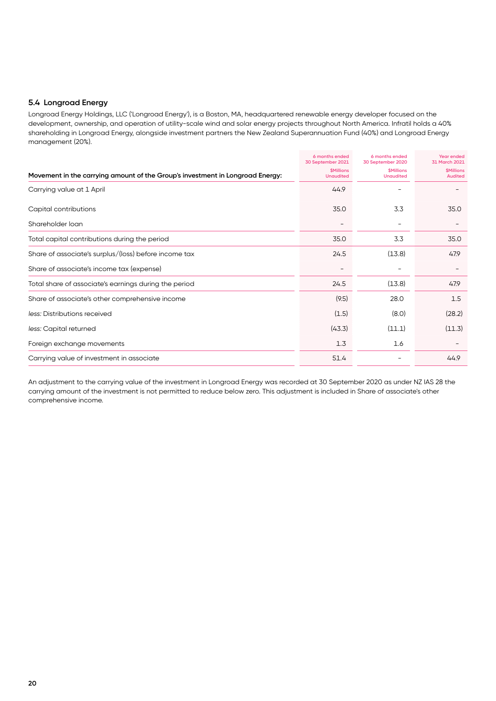#### **5.4 Longroad Energy**

Longroad Energy Holdings, LLC ('Longroad Energy'), is a Boston, MA, headquartered renewable energy developer focused on the development, ownership, and operation of utility-scale wind and solar energy projects throughout North America. Infratil holds a 40% shareholding in Longroad Energy, alongside investment partners the New Zealand Superannuation Fund (40%) and Longroad Energy management (20%).

|                                                                               | 6 months ended<br>30 September 2021         | 6 months ended<br>30 September 2020                | <b>Year ended</b><br>31 March 2021               |
|-------------------------------------------------------------------------------|---------------------------------------------|----------------------------------------------------|--------------------------------------------------|
| Movement in the carrying amount of the Group's investment in Longroad Energy: | <b><i>SMillions</i></b><br><b>Unaudited</b> | <b><i><u>SMillions</u></i></b><br><b>Unaudited</b> | <b><i><u>SMillions</u></i></b><br><b>Audited</b> |
| Carrying value at 1 April                                                     | 44.9                                        |                                                    |                                                  |
| Capital contributions                                                         | 35.0                                        | 3.3                                                | 35.0                                             |
| Shareholder loan                                                              | $\qquad \qquad$                             |                                                    |                                                  |
| Total capital contributions during the period                                 | 35.0                                        | 3.3                                                | 35.0                                             |
| Share of associate's surplus/(loss) before income tax                         | 24.5                                        | (13.8)                                             | 47.9                                             |
| Share of associate's income tax (expense)                                     |                                             |                                                    |                                                  |
| Total share of associate's earnings during the period                         | 24.5                                        | (13.8)                                             | 47.9                                             |
| Share of associate's other comprehensive income                               | (9.5)                                       | 28.0                                               | 1.5                                              |
| less: Distributions received                                                  | (1.5)                                       | (8.0)                                              | (28.2)                                           |
| less: Capital returned                                                        | (43.3)                                      | (11.1)                                             | (11.3)                                           |
| Foreign exchange movements                                                    | 1.3                                         | 1.6                                                |                                                  |
| Carrying value of investment in associate                                     | 51.4                                        |                                                    | 44.9                                             |

An adjustment to the carrying value of the investment in Longroad Energy was recorded at 30 September 2020 as under NZ IAS 28 the carrying amount of the investment is not permitted to reduce below zero. This adjustment is included in Share of associate's other comprehensive income.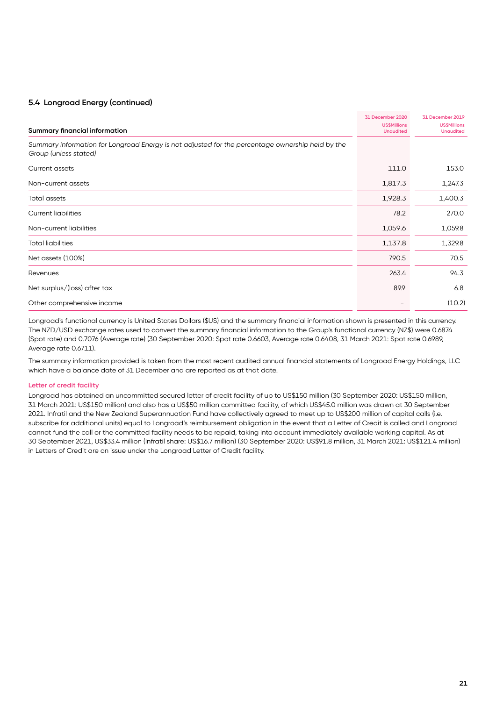#### **5.4 Longroad Energy (continued)**

| <b>Summary financial information</b>                                                                                      | 31 December 2020<br><b>US\$Millions</b><br><b>Unaudited</b> | 31 December 2019<br><b>US\$Millions</b><br><b>Unaudited</b> |
|---------------------------------------------------------------------------------------------------------------------------|-------------------------------------------------------------|-------------------------------------------------------------|
| Summary information for Longroad Energy is not adjusted for the percentage ownership held by the<br>Group (unless stated) |                                                             |                                                             |
| Current assets                                                                                                            | 111.0                                                       | 153.0                                                       |
| Non-current assets                                                                                                        | 1,817.3                                                     | 1,247.3                                                     |
| Total assets                                                                                                              | 1,928.3                                                     | 1,400.3                                                     |
| <b>Current liabilities</b>                                                                                                | 78.2                                                        | 270.0                                                       |
| Non-current liabilities                                                                                                   | 1,059.6                                                     | 1,059.8                                                     |
| <b>Total liabilities</b>                                                                                                  | 1,137.8                                                     | 1,329.8                                                     |
| Net assets (100%)                                                                                                         | 790.5                                                       | 70.5                                                        |
| Revenues                                                                                                                  | 263.4                                                       | 94.3                                                        |
| Net surplus/(loss) after tax                                                                                              | 89.9                                                        | 6.8                                                         |
| Other comprehensive income                                                                                                |                                                             | (10.2)                                                      |

Longroad's functional currency is United States Dollars (\$US) and the summary financial information shown is presented in this currency. The NZD/USD exchange rates used to convert the summary financial information to the Group's functional currency (NZ\$) were 0.6874 (Spot rate) and 0.7076 (Average rate) (30 September 2020: Spot rate 0.6603, Average rate 0.6408, 31 March 2021: Spot rate 0.6989, Average rate 0.6711).

The summary information provided is taken from the most recent audited annual financial statements of Longroad Energy Holdings, LLC which have a balance date of 31 December and are reported as at that date.

#### **Letter of credit facility**

Longroad has obtained an uncommitted secured letter of credit facility of up to US\$150 million (30 September 2020: US\$150 million, 31 March 2021: US\$150 million) and also has a US\$50 million committed facility, of which US\$45.0 million was drawn at 30 September 2021. Infratil and the New Zealand Superannuation Fund have collectively agreed to meet up to US\$200 million of capital calls (i.e. subscribe for additional units) equal to Longroad's reimbursement obligation in the event that a Letter of Credit is called and Longroad cannot fund the call or the committed facility needs to be repaid, taking into account immediately available working capital. As at 30 September 2021, US\$33.4 million (Infratil share: US\$16.7 million) (30 September 2020: US\$91.8 million, 31 March 2021: US\$121.4 million) in Letters of Credit are on issue under the Longroad Letter of Credit facility.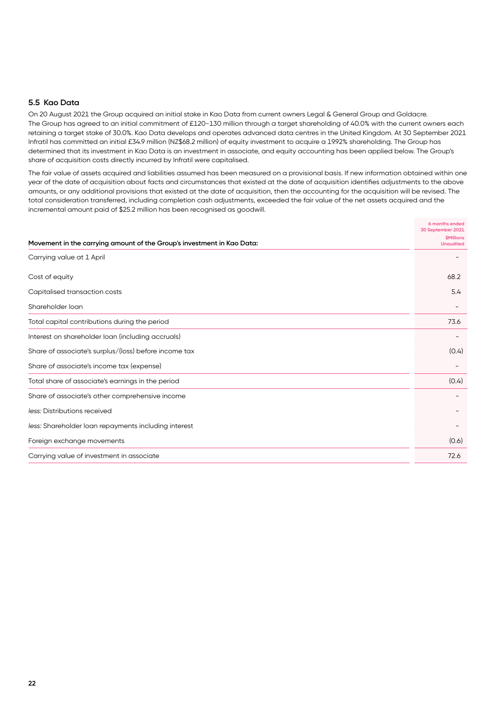#### **5.5 Kao Data**

On 20 August 2021 the Group acquired an initial stake in Kao Data from current owners Legal & General Group and Goldacre. The Group has agreed to an initial commitment of £120-130 million through a target shareholding of 40.0% with the current owners each retaining a target stake of 30.0%. Kao Data develops and operates advanced data centres in the United Kingdom. At 30 September 2021 Infratil has committed an initial £34.9 million (NZ\$68.2 million) of equity investment to acquire a 19.92% shareholding. The Group has determined that its investment in Kao Data is an investment in associate, and equity accounting has been applied below. The Group's share of acquisition costs directly incurred by Infratil were capitalised.

The fair value of assets acquired and liabilities assumed has been measured on a provisional basis. If new information obtained within one year of the date of acquisition about facts and circumstances that existed at the date of acquisition identifies adjustments to the above amounts, or any additional provisions that existed at the date of acquisition, then the accounting for the acquisition will be revised. The total consideration transferred, including completion cash adjustments, exceeded the fair value of the net assets acquired and the incremental amount paid of \$25.2 million has been recognised as goodwill.

|                                                                        | 6 months ended<br>30 September 2021         |
|------------------------------------------------------------------------|---------------------------------------------|
| Movement in the carrying amount of the Group's investment in Kao Data: | <b><i>SMillions</i></b><br><b>Unaudited</b> |
| Carrying value at 1 April                                              |                                             |
| Cost of equity                                                         | 68.2                                        |
| Capitalised transaction costs                                          | 5.4                                         |
| Shareholder loan                                                       |                                             |
| Total capital contributions during the period                          | 73.6                                        |
| Interest on shareholder loan (including accruals)                      |                                             |
| Share of associate's surplus/(loss) before income tax                  | (0.4)                                       |
| Share of associate's income tax (expense)                              |                                             |
| Total share of associate's earnings in the period                      | (0.4)                                       |
| Share of associate's other comprehensive income                        |                                             |
| less: Distributions received                                           |                                             |
| less: Shareholder loan repayments including interest                   |                                             |
| Foreign exchange movements                                             | (0.6)                                       |
| Carrying value of investment in associate                              | 72.6                                        |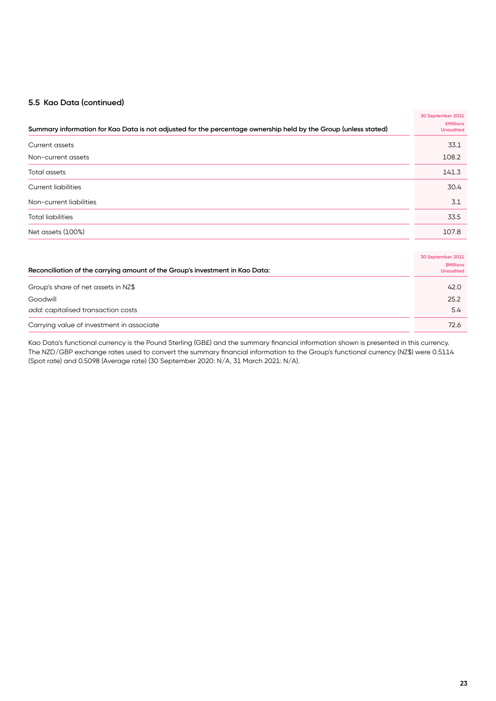#### **5.5 Kao Data (continued)**

|                                                                                                                 | 30 September 2021                           |
|-----------------------------------------------------------------------------------------------------------------|---------------------------------------------|
| Summary information for Kao Data is not adjusted for the percentage ownership held by the Group (unless stated) | <b>£Millions</b><br><b>Unaudited</b>        |
| <b>Current assets</b>                                                                                           | 33.1                                        |
| Non-current assets                                                                                              | 108.2                                       |
| <b>Total assets</b>                                                                                             | 141.3                                       |
| <b>Current liabilities</b>                                                                                      | 30.4                                        |
| Non-current liabilities                                                                                         | 3.1                                         |
| <b>Total liabilities</b>                                                                                        | 33.5                                        |
| Net assets (100%)                                                                                               | 107.8                                       |
|                                                                                                                 |                                             |
|                                                                                                                 | 30 September 2021                           |
| Reconciliation of the carrying amount of the Group's investment in Kao Data:                                    | <b><i>SMillions</i></b><br><b>Unaudited</b> |
| Group's share of net assets in NZ\$                                                                             | 42.0                                        |
| Goodwill                                                                                                        | 25.2                                        |
| add: capitalised transaction costs                                                                              | 5.4                                         |
| Carrying value of investment in associate                                                                       | 72.6                                        |

Kao Data's functional currency is the Pound Sterling (GB£) and the summary financial information shown is presented in this currency. The NZD/GBP exchange rates used to convert the summary financial information to the Group's functional currency (NZ\$) were 0.5114 (Spot rate) and 0.5098 (Average rate) (30 September 2020: N/A, 31 March 2021: N/A).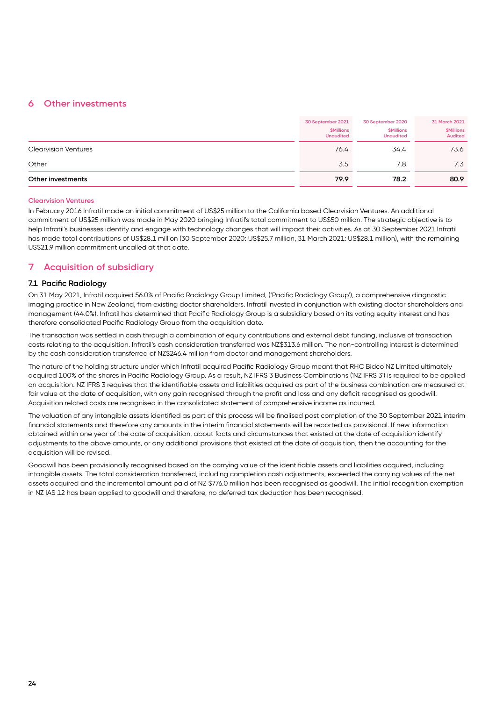#### **6 Other investments**

|                             | 30 September 2021<br><b>\$Millions</b><br><b>Unaudited</b> | 30 September 2020<br>\$Millions<br><b>Unaudited</b> | 31 March 2021<br><b>\$Millions</b><br><b>Audited</b> |
|-----------------------------|------------------------------------------------------------|-----------------------------------------------------|------------------------------------------------------|
| <b>Clearvision Ventures</b> | 76.4                                                       | 34.4                                                | 73.6                                                 |
| Other                       | 3.5                                                        | 7.8                                                 | 7.3                                                  |
| Other investments           | 79.9                                                       | 78.2                                                | 80.9                                                 |

#### **Clearvision Ventures**

In February 2016 Infratil made an initial commitment of US\$25 million to the California based Clearvision Ventures. An additional commitment of US\$25 million was made in May 2020 bringing Infratil's total commitment to US\$50 million. The strategic objective is to help Infratil's businesses identify and engage with technology changes that will impact their activities. As at 30 September 2021 Infratil has made total contributions of US\$28.1 million (30 September 2020: US\$25.7 million, 31 March 2021: US\$28.1 million), with the remaining US\$21.9 million commitment uncalled at that date.

#### **7 Acquisition of subsidiary**

#### **7.1 Pacific Radiology**

On 31 May 2021, Infratil acquired 56.0% of Pacific Radiology Group Limited, ('Pacific Radiology Group'), a comprehensive diagnostic imaging practice in New Zealand, from existing doctor shareholders. Infratil invested in conjunction with existing doctor shareholders and management (44.0%). Infratil has determined that Pacific Radiology Group is a subsidiary based on its voting equity interest and has therefore consolidated Pacific Radiology Group from the acquisition date.

The transaction was settled in cash through a combination of equity contributions and external debt funding, inclusive of transaction costs relating to the acquisition. Infratil's cash consideration transferred was NZ\$313.6 million. The non-controlling interest is determined by the cash consideration transferred of NZ\$246.4 million from doctor and management shareholders.

The nature of the holding structure under which Infratil acquired Pacific Radiology Group meant that RHC Bidco NZ Limited ultimately acquired 100% of the shares in Pacific Radiology Group. As a result, NZ IFRS 3 Business Combinations ('NZ IFRS 3') is required to be applied on acquisition. NZ IFRS 3 requires that the identifiable assets and liabilities acquired as part of the business combination are measured at fair value at the date of acquisition, with any gain recognised through the profit and loss and any deficit recognised as goodwill. Acquisition related costs are recognised in the consolidated statement of comprehensive income as incurred.

The valuation of any intangible assets identified as part of this process will be finalised post completion of the 30 September 2021 interim financial statements and therefore any amounts in the interim financial statements will be reported as provisional. If new information obtained within one year of the date of acquisition, about facts and circumstances that existed at the date of acquisition identify adjustments to the above amounts, or any additional provisions that existed at the date of acquisition, then the accounting for the acquisition will be revised.

Goodwill has been provisionally recognised based on the carrying value of the identifiable assets and liabilities acquired, including intangible assets. The total consideration transferred, including completion cash adjustments, exceeded the carrying values of the net assets acquired and the incremental amount paid of NZ \$776.0 million has been recognised as goodwill. The initial recognition exemption in NZ IAS 12 has been applied to goodwill and therefore, no deferred tax deduction has been recognised.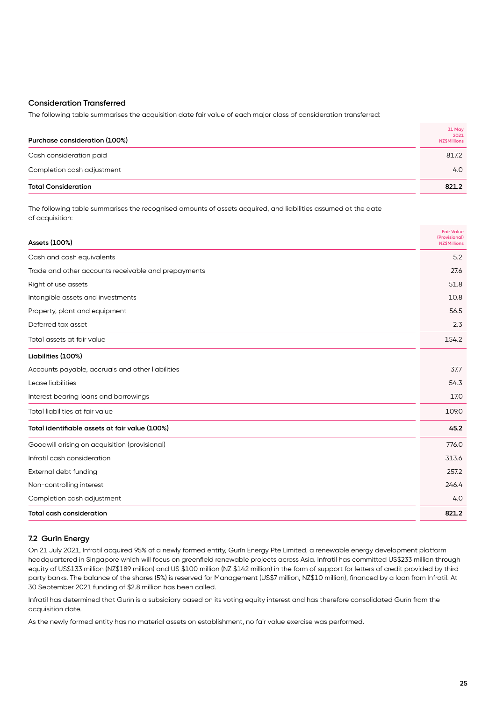#### **Consideration Transferred**

The following table summarises the acquisition date fair value of each major class of consideration transferred:

| Purchase consideration (100%) | 31 May<br>2021<br><b>NZ\$Millions</b> |
|-------------------------------|---------------------------------------|
| Cash consideration paid       | 817.2                                 |
| Completion cash adjustment    | 4.0                                   |
| <b>Total Consideration</b>    | 821.2                                 |

The following table summarises the recognised amounts of assets acquired, and liabilities assumed at the date of acquisition:

| Assets (100%)                                       | <b>Fair Value</b><br>(Provisional)<br><b>NZ\$Millions</b> |
|-----------------------------------------------------|-----------------------------------------------------------|
| Cash and cash equivalents                           | 5.2                                                       |
| Trade and other accounts receivable and prepayments | 27.6                                                      |
| Right of use assets                                 | 51.8                                                      |
| Intangible assets and investments                   | 10.8                                                      |
| Property, plant and equipment                       | 56.5                                                      |
| Deferred tax asset                                  | 2.3                                                       |
| Total assets at fair value                          | 154.2                                                     |
| Liabilities (100%)                                  |                                                           |
| Accounts payable, accruals and other liabilities    | 37.7                                                      |
| Lease liabilities                                   | 54.3                                                      |
| Interest bearing loans and borrowings               | 17.0                                                      |
| Total liabilities at fair value                     | 109.0                                                     |
| Total identifiable assets at fair value (100%)      | 45.2                                                      |
| Goodwill arising on acquisition (provisional)       | 776.0                                                     |
| Infratil cash consideration                         | 313.6                                                     |
| External debt funding                               | 257.2                                                     |
| Non-controlling interest                            | 246.4                                                     |
| Completion cash adjustment                          | 4.0                                                       |
| <b>Total cash consideration</b>                     | 821.2                                                     |

#### **7.2 Gurīn Energy**

On 21 July 2021, Infratil acquired 95% of a newly formed entity, Gurīn Energy Pte Limited, a renewable energy development platform headquartered in Singapore which will focus on greenfield renewable projects across Asia. Infratil has committed US\$233 million through equity of US\$133 million (NZ\$189 million) and US \$100 million (NZ \$142 million) in the form of support for letters of credit provided by third party banks. The balance of the shares (5%) is reserved for Management (US\$7 million, NZ\$10 million), financed by a loan from Infratil. At 30 September 2021 funding of \$2.8 million has been called.

Infratil has determined that Gurīn is a subsidiary based on its voting equity interest and has therefore consolidated Gurīn from the acquisition date.

As the newly formed entity has no material assets on establishment, no fair value exercise was performed.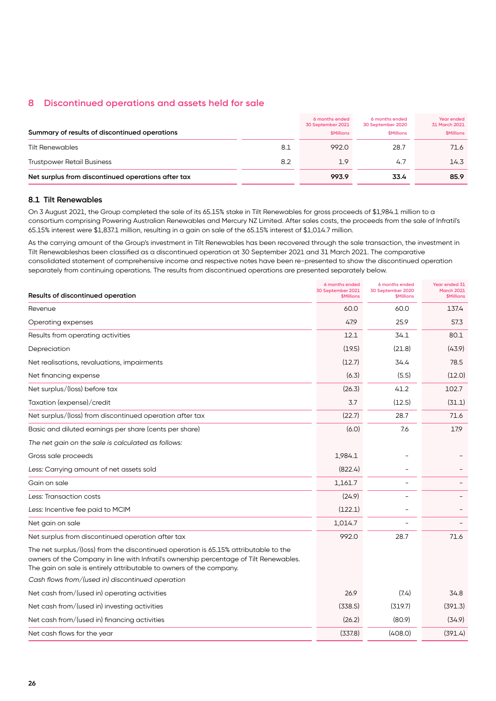#### **8 Discontinued operations and assets held for sale**

| Summary of results of discontinued operations      |     | 6 months ended<br>30 September 2021<br><b><i>SMillions</i></b> | 6 months ended<br>30 September 2020<br><b>\$Millions</b> | Year ended<br>31 March 2021<br><b><i>SMillions</i></b> |
|----------------------------------------------------|-----|----------------------------------------------------------------|----------------------------------------------------------|--------------------------------------------------------|
| <b>Tilt Renewables</b>                             | 8.1 | 992.0                                                          | 28.7                                                     | 71.6                                                   |
| <b>Trustpower Retail Business</b>                  | 8.2 | 1.9                                                            | 4.7                                                      | 14.3                                                   |
| Net surplus from discontinued operations after tax |     | 993.9                                                          | 33.4                                                     | 85.9                                                   |

#### **8.1 Tilt Renewables**

On 3 August 2021, the Group completed the sale of its 65.15% stake in Tilt Renewables for gross proceeds of \$1,984.1 million to a consortium comprising Powering Australian Renewables and Mercury NZ Limited. After sales costs, the proceeds from the sale of Infratil's 65.15% interest were \$1,837.1 million, resulting in a gain on sale of the 65.15% interest of \$1,014.7 million.

As the carrying amount of the Group's investment in Tilt Renewables has been recovered through the sale transaction, the investment in Tilt Renewableshas been classified as a discontinued operation at 30 September 2021 and 31 March 2021. The comparative consolidated statement of comprehensive income and respective notes have been re-presented to show the discontinued operation separately from continuing operations. The results from discontinued operations are presented separately below.

| Results of discontinued operation                                                                                                                                                                                                                     | 6 months ended<br>30 September 2021<br><b><i><u>SMillions</u></i></b> | 6 months ended<br>30 September 2020<br><b><i>SMillions</i></b> | Year ended 31<br><b>March 2021</b><br><b><i><u>SMillions</u></i></b> |
|-------------------------------------------------------------------------------------------------------------------------------------------------------------------------------------------------------------------------------------------------------|-----------------------------------------------------------------------|----------------------------------------------------------------|----------------------------------------------------------------------|
| Revenue                                                                                                                                                                                                                                               | 60.0                                                                  | 60.0                                                           | 137.4                                                                |
| Operating expenses                                                                                                                                                                                                                                    | 47.9                                                                  | 25.9                                                           | 57.3                                                                 |
| Results from operating activities                                                                                                                                                                                                                     | 12.1                                                                  | 34.1                                                           | 80.1                                                                 |
| Depreciation                                                                                                                                                                                                                                          | (19.5)                                                                | (21.8)                                                         | (43.9)                                                               |
| Net realisations, revaluations, impairments                                                                                                                                                                                                           | (12.7)                                                                | 34.4                                                           | 78.5                                                                 |
| Net financing expense                                                                                                                                                                                                                                 | (6.3)                                                                 | (5.5)                                                          | (12.0)                                                               |
| Net surplus/(loss) before tax                                                                                                                                                                                                                         | (26.3)                                                                | 41.2                                                           | 102.7                                                                |
| Taxation (expense)/credit                                                                                                                                                                                                                             | 3.7                                                                   | (12.5)                                                         | (31.1)                                                               |
| Net surplus/(loss) from discontinued operation after tax                                                                                                                                                                                              | (22.7)                                                                | 28.7                                                           | 71.6                                                                 |
| Basic and diluted earnings per share (cents per share)                                                                                                                                                                                                | (6.0)                                                                 | 7.6                                                            | 17.9                                                                 |
| The net gain on the sale is calculated as follows:                                                                                                                                                                                                    |                                                                       |                                                                |                                                                      |
| Gross sale proceeds                                                                                                                                                                                                                                   | 1,984.1                                                               |                                                                |                                                                      |
| Less: Carrying amount of net assets sold                                                                                                                                                                                                              | (822.4)                                                               |                                                                |                                                                      |
| Gain on sale                                                                                                                                                                                                                                          | 1,161.7                                                               |                                                                |                                                                      |
| Less: Transaction costs                                                                                                                                                                                                                               | (24.9)                                                                |                                                                |                                                                      |
| Less: Incentive fee paid to MCIM                                                                                                                                                                                                                      | (122.1)                                                               |                                                                |                                                                      |
| Net gain on sale                                                                                                                                                                                                                                      | 1,014.7                                                               |                                                                |                                                                      |
| Net surplus from discontinued operation after tax                                                                                                                                                                                                     | 992.0                                                                 | 28.7                                                           | 71.6                                                                 |
| The net surplus/(loss) from the discontinued operation is 65.15% attributable to the<br>owners of the Company in line with Infratil's ownership percentage of Tilt Renewables.<br>The gain on sale is entirely attributable to owners of the company. |                                                                       |                                                                |                                                                      |
| Cash flows from/(used in) discontinued operation                                                                                                                                                                                                      |                                                                       |                                                                |                                                                      |
| Net cash from/(used in) operating activities                                                                                                                                                                                                          | 26.9                                                                  | (7.4)                                                          | 34.8                                                                 |
| Net cash from/(used in) investing activities                                                                                                                                                                                                          | (338.5)                                                               | (319.7)                                                        | (391.3)                                                              |
| Net cash from/(used in) financing activities                                                                                                                                                                                                          | (26.2)                                                                | (80.9)                                                         | (34.9)                                                               |
| Net cash flows for the year                                                                                                                                                                                                                           | (337.8)                                                               | (408.0)                                                        | (391.4)                                                              |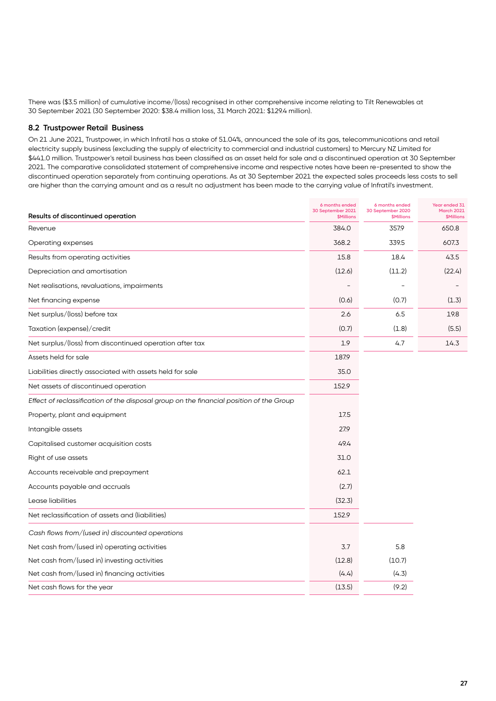There was (\$3.5 million) of cumulative income/(loss) recognised in other comprehensive income relating to Tilt Renewables at 30 September 2021 (30 September 2020: \$38.4 million loss, 31 March 2021: \$129.4 million).

#### **8.2 Trustpower Retail Business**

On 21 June 2021, Trustpower, in which Infratil has a stake of 51.04%, announced the sale of its gas, telecommunications and retail electricity supply business (excluding the supply of electricity to commercial and industrial customers) to Mercury NZ Limited for \$441.0 million. Trustpower's retail business has been classified as an asset held for sale and a discontinued operation at 30 September 2021. The comparative consolidated statement of comprehensive income and respective notes have been re-presented to show the discontinued operation separately from continuing operations. As at 30 September 2021 the expected sales proceeds less costs to sell are higher than the carrying amount and as a result no adjustment has been made to the carrying value of Infratil's investment.

| Results of discontinued operation                                                       | 6 months ended<br>30 September 2021<br><b>\$Millions</b> | 6 months ended<br>30 September 2020<br><b>\$Millions</b> | <b>Year ended 31</b><br><b>March 2021</b><br><b><i>SMillions</i></b> |
|-----------------------------------------------------------------------------------------|----------------------------------------------------------|----------------------------------------------------------|----------------------------------------------------------------------|
| Revenue                                                                                 | 384.0                                                    | 357.9                                                    | 650.8                                                                |
| Operating expenses                                                                      | 368.2                                                    | 339.5                                                    | 607.3                                                                |
| Results from operating activities                                                       | 15.8                                                     | 18.4                                                     | 43.5                                                                 |
| Depreciation and amortisation                                                           | (12.6)                                                   | (11.2)                                                   | (22.4)                                                               |
| Net realisations, revaluations, impairments                                             |                                                          |                                                          |                                                                      |
| Net financing expense                                                                   | (0.6)                                                    | (0.7)                                                    | (1.3)                                                                |
| Net surplus/(loss) before tax                                                           | 2.6                                                      | 6.5                                                      | 19.8                                                                 |
| Taxation (expense)/credit                                                               | (0.7)                                                    | (1.8)                                                    | (5.5)                                                                |
| Net surplus/(loss) from discontinued operation after tax                                | 1.9                                                      | 4.7                                                      | 14.3                                                                 |
| Assets held for sale                                                                    | 187.9                                                    |                                                          |                                                                      |
| Liabilities directly associated with assets held for sale                               | 35.0                                                     |                                                          |                                                                      |
| Net assets of discontinued operation                                                    | 152.9                                                    |                                                          |                                                                      |
| Effect of reclassification of the disposal group on the financial position of the Group |                                                          |                                                          |                                                                      |
| Property, plant and equipment                                                           | 17.5                                                     |                                                          |                                                                      |
| Intangible assets                                                                       | 27.9                                                     |                                                          |                                                                      |
| Capitalised customer acquisition costs                                                  | 49.4                                                     |                                                          |                                                                      |
| Right of use assets                                                                     | 31.0                                                     |                                                          |                                                                      |
| Accounts receivable and prepayment                                                      | 62.1                                                     |                                                          |                                                                      |
| Accounts payable and accruals                                                           | (2.7)                                                    |                                                          |                                                                      |
| Lease liabilities                                                                       | (32.3)                                                   |                                                          |                                                                      |
| Net reclassification of assets and (liabilities)                                        | 152.9                                                    |                                                          |                                                                      |
| Cash flows from/(used in) discounted operations                                         |                                                          |                                                          |                                                                      |
| Net cash from/(used in) operating activities                                            | 3.7                                                      | 5.8                                                      |                                                                      |
| Net cash from/(used in) investing activities                                            | (12.8)                                                   | (10.7)                                                   |                                                                      |
| Net cash from/(used in) financing activities                                            | (4.4)                                                    | (4.3)                                                    |                                                                      |
| Net cash flows for the year                                                             | (13.5)                                                   | (9.2)                                                    |                                                                      |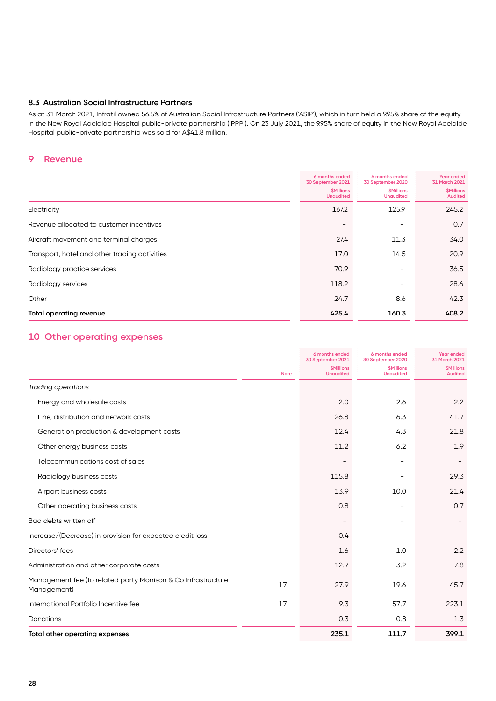#### **8.3 Australian Social Infrastructure Partners**

As at 31 March 2021, Infratil owned 56.5% of Australian Social Infrastructure Partners ('ASIP'), which in turn held a 9.95% share of the equity in the New Royal Adelaide Hospital public-private partnership ('PPP'). On 23 July 2021, the 9.95% share of equity in the New Royal Adelaide Hospital public-private partnership was sold for A\$41.8 million.

#### **9 Revenue**

|                                               | 6 months ended<br>30 September 2021   | 6 months ended<br>30 September 2020         | Year ended<br>31 March 2021         |
|-----------------------------------------------|---------------------------------------|---------------------------------------------|-------------------------------------|
|                                               | <b>\$Millions</b><br><b>Unaudited</b> | <b><i>SMillions</i></b><br><b>Unaudited</b> | <b>\$Millions</b><br><b>Audited</b> |
| Electricity                                   | 167.2                                 | 125.9                                       | 245.2                               |
| Revenue allocated to customer incentives      |                                       | $\overline{\phantom{0}}$                    | 0.7                                 |
| Aircraft movement and terminal charges        | 27.4                                  | 11.3                                        | 34.0                                |
| Transport, hotel and other trading activities | 17.0                                  | 14.5                                        | 20.9                                |
| Radiology practice services                   | 70.9                                  | $\overline{\phantom{0}}$                    | 36.5                                |
| Radiology services                            | 118.2                                 |                                             | 28.6                                |
| Other                                         | 24.7                                  | 8.6                                         | 42.3                                |
| <b>Total operating revenue</b>                | 425.4                                 | 160.3                                       | 408.2                               |

#### **10 Other operating expenses**

|                                                                              |             | 6 months ended<br>30 September 2021   | 6 months ended<br>30 September 2020   | <b>Year ended</b><br>31 March 2021  |
|------------------------------------------------------------------------------|-------------|---------------------------------------|---------------------------------------|-------------------------------------|
|                                                                              | <b>Note</b> | <b>\$Millions</b><br><b>Unaudited</b> | <b>\$Millions</b><br><b>Unaudited</b> | <b>\$Millions</b><br><b>Audited</b> |
| <b>Trading operations</b>                                                    |             |                                       |                                       |                                     |
| Energy and wholesale costs                                                   |             | 2.0                                   | 2.6                                   | 2.2                                 |
| Line, distribution and network costs                                         |             | 26.8                                  | 6.3                                   | 41.7                                |
| Generation production & development costs                                    |             | 12.4                                  | 4.3                                   | 21.8                                |
| Other energy business costs                                                  |             | 11.2                                  | 6.2                                   | 1.9                                 |
| Telecommunications cost of sales                                             |             |                                       |                                       |                                     |
| Radiology business costs                                                     |             | 115.8                                 |                                       | 29.3                                |
| Airport business costs                                                       |             | 13.9                                  | 10.0                                  | 21.4                                |
| Other operating business costs                                               |             | 0.8                                   |                                       | 0.7                                 |
| Bad debts written off                                                        |             |                                       |                                       |                                     |
| Increase/(Decrease) in provision for expected credit loss                    |             | 0.4                                   |                                       |                                     |
| Directors' fees                                                              |             | 1.6                                   | 1.0                                   | 2.2                                 |
| Administration and other corporate costs                                     |             | 12.7                                  | 3.2                                   | 7.8                                 |
| Management fee (to related party Morrison & Co Infrastructure<br>Management) | 17          | 27.9                                  | 19.6                                  | 45.7                                |
| International Portfolio Incentive fee                                        | 17          | 9.3                                   | 57.7                                  | 223.1                               |
| Donations                                                                    |             | 0.3                                   | 0.8                                   | 1.3                                 |
| Total other operating expenses                                               |             | 235.1                                 | 111.7                                 | 399.1                               |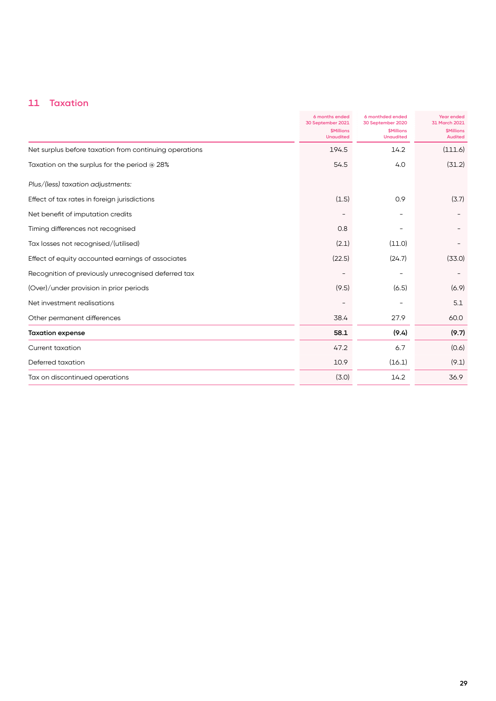## **11 Taxation**

|                                                        | 6 months ended<br>30 September 2021   | 6 monthded ended<br>30 September 2020              | <b>Year ended</b><br>31 March 2021<br><b><i>SMillions</i></b><br><b>Audited</b> |
|--------------------------------------------------------|---------------------------------------|----------------------------------------------------|---------------------------------------------------------------------------------|
|                                                        | <b>\$Millions</b><br><b>Unaudited</b> | <b><i><u>SMillions</u></i></b><br><b>Unaudited</b> |                                                                                 |
| Net surplus before taxation from continuing operations | 194.5                                 | 14.2                                               | (111.6)                                                                         |
| Taxation on the surplus for the period @ 28%           | 54.5                                  | 4.0                                                | (31.2)                                                                          |
| Plus/(less) taxation adjustments:                      |                                       |                                                    |                                                                                 |
| Effect of tax rates in foreign jurisdictions           | (1.5)                                 | 0.9                                                | (3.7)                                                                           |
| Net benefit of imputation credits                      |                                       |                                                    |                                                                                 |
| Timing differences not recognised                      | 0.8                                   |                                                    |                                                                                 |
| Tax losses not recognised/(utilised)                   | (2.1)                                 | (11.0)                                             |                                                                                 |
| Effect of equity accounted earnings of associates      | (22.5)                                | (24.7)                                             | (33.0)                                                                          |
| Recognition of previously unrecognised deferred tax    |                                       |                                                    |                                                                                 |
| (Over)/under provision in prior periods                | (9.5)                                 | (6.5)                                              | (6.9)                                                                           |
| Net investment realisations                            |                                       |                                                    | 5.1                                                                             |
| Other permanent differences                            | 38.4                                  | 27.9                                               | 60.0                                                                            |
| <b>Taxation expense</b>                                | 58.1                                  | (9.4)                                              | (9.7)                                                                           |
| Current taxation                                       | 47.2                                  | 6.7                                                | (0.6)                                                                           |
| Deferred taxation                                      | 10.9                                  | (16.1)                                             | (9.1)                                                                           |
| Tax on discontinued operations                         | (3.0)                                 | 14.2                                               | 36.9                                                                            |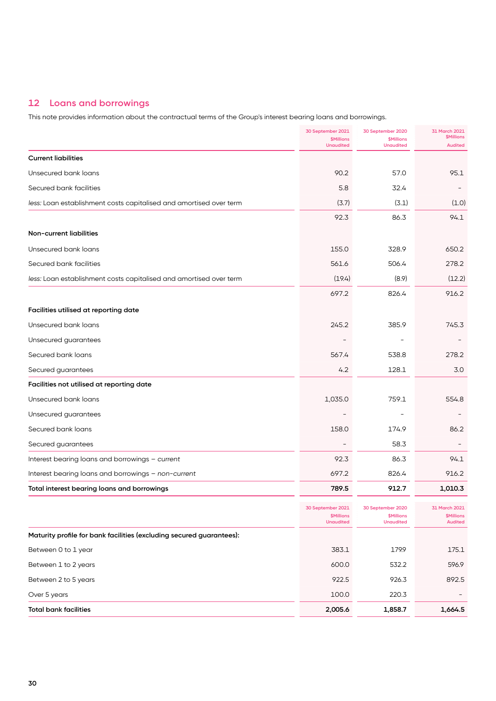## **12 Loans and borrowings**

This note provides information about the contractual terms of the Group's interest bearing loans and borrowings.

|                                                                      | 30 September 2021<br><b>\$Millions</b><br><b>Unaudited</b> | 30 September 2020<br><b>\$Millions</b><br><b>Unaudited</b> | 31 March 2021<br><b>\$Millions</b><br><b>Audited</b> |
|----------------------------------------------------------------------|------------------------------------------------------------|------------------------------------------------------------|------------------------------------------------------|
| <b>Current liabilities</b>                                           |                                                            |                                                            |                                                      |
| Unsecured bank loans                                                 | 90.2                                                       | 57.0                                                       | 95.1                                                 |
| Secured bank facilities                                              | 5.8                                                        | 32.4                                                       |                                                      |
| less: Loan establishment costs capitalised and amortised over term   | (3.7)                                                      | (3.1)                                                      | (1.0)                                                |
|                                                                      | 92.3                                                       | 86.3                                                       | 94.1                                                 |
| Non-current liabilities                                              |                                                            |                                                            |                                                      |
| Unsecured bank loans                                                 | 155.0                                                      | 328.9                                                      | 650.2                                                |
| Secured bank facilities                                              | 561.6                                                      | 506.4                                                      | 278.2                                                |
| less: Loan establishment costs capitalised and amortised over term   | (19.4)                                                     | (8.9)                                                      | (12.2)                                               |
|                                                                      | 697.2                                                      | 826.4                                                      | 916.2                                                |
| Facilities utilised at reporting date                                |                                                            |                                                            |                                                      |
| Unsecured bank loans                                                 | 245.2                                                      | 385.9                                                      | 745.3                                                |
| Unsecured guarantees                                                 |                                                            |                                                            |                                                      |
| Secured bank loans                                                   | 567.4                                                      | 538.8                                                      | 278.2                                                |
| Secured guarantees                                                   | 4.2                                                        | 128.1                                                      | 3.0                                                  |
| Facilities not utilised at reporting date                            |                                                            |                                                            |                                                      |
| Unsecured bank loans                                                 | 1,035.0                                                    | 759.1                                                      | 554.8                                                |
| Unsecured guarantees                                                 |                                                            |                                                            |                                                      |
| Secured bank loans                                                   | 158.0                                                      | 174.9                                                      | 86.2                                                 |
| Secured guarantees                                                   |                                                            | 58.3                                                       |                                                      |
| Interest bearing loans and borrowings - current                      | 92.3                                                       | 86.3                                                       | 94.1                                                 |
| Interest bearing loans and borrowings - non-current                  | 697.2                                                      | 826.4                                                      | 916.2                                                |
| Total interest bearing loans and borrowings                          | 789.5                                                      | 912.7                                                      | 1,010.3                                              |
|                                                                      | 30 September 2021<br><b>\$Millions</b><br><b>Unaudited</b> | 30 September 2020<br><b>\$Millions</b><br><b>Unaudited</b> | 31 March 2021<br><b>\$Millions</b><br><b>Audited</b> |
| Maturity profile for bank facilities (excluding secured guarantees): |                                                            |                                                            |                                                      |
| Between 0 to 1 year                                                  | 383.1                                                      | 179.9                                                      | 175.1                                                |
| Between 1 to 2 years                                                 | 600.0                                                      | 532.2                                                      | 596.9                                                |
| Between 2 to 5 years                                                 | 922.5                                                      | 926.3                                                      | 892.5                                                |
| Over 5 years                                                         | 100.0                                                      | 220.3                                                      |                                                      |
| <b>Total bank facilities</b>                                         | 2,005.6                                                    | 1,858.7                                                    | 1,664.5                                              |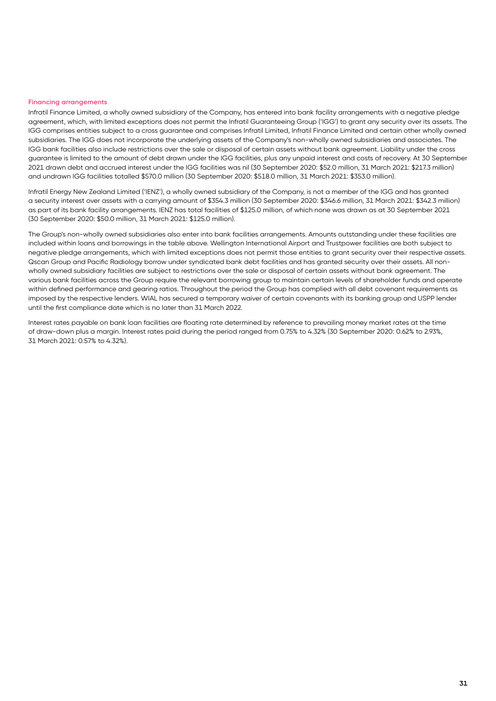#### **Financing arrangements**

Infratil Finance Limited, a wholly owned subsidiary of the Company, has entered into bank facility arrangements with a negative pledge agreement, which, with limited exceptions does not permit the Infratil Guaranteeing Group ('IGG') to grant any security over its assets. The IGG comprises entities subject to a cross guarantee and comprises Infratil Limited, Infratil Finance Limited and certain other wholly owned subsidiaries. The IGG does not incorporate the underlying assets of the Company's non-wholly owned subsidiaries and associates. The IGG bank facilities also include restrictions over the sale or disposal of certain assets without bank agreement. Liability under the cross guarantee is limited to the amount of debt drawn under the IGG facilities, plus any unpaid interest and costs of recovery. At 30 September 2021 drawn debt and accrued interest under the IGG facilities was nil (30 September 2020: \$52.0 million, 31 March 2021: \$217.3 million) and undrawn IGG facilities totalled \$570.0 million (30 September 2020: \$518.0 million, 31 March 2021: \$353.0 million).

Infratil Energy New Zealand Limited ('IENZ'), a wholly owned subsidiary of the Company, is not a member of the IGG and has granted a security interest over assets with a carrying amount of \$354.3 million (30 September 2020: \$346.6 million, 31 March 2021: \$342.3 million) as part of its bank facility arrangements. IENZ has total facilities of \$125.0 million, of which none was drawn as at 30 September 2021 (30 September 2020: \$50.0 million, 31 March 2021: \$125.0 million).

The Group's non-wholly owned subsidiaries also enter into bank facilities arrangements. Amounts outstanding under these facilities are included within loans and borrowings in the table above. Wellington International Airport and Trustpower facilities are both subject to negative pledge arrangements, which with limited exceptions does not permit those entities to grant security over their respective assets. Qscan Group and Pacific Radiology borrow under syndicated bank debt facilities and has granted security over their assets. All nonwholly owned subsidiary facilities are subject to restrictions over the sale or disposal of certain assets without bank agreement. The various bank facilities across the Group require the relevant borrowing group to maintain certain levels of shareholder funds and operate within defined performance and gearing ratios. Throughout the period the Group has complied with all debt covenant requirements as imposed by the respective lenders. WIAL has secured a temporary waiver of certain covenants with its banking group and USPP lender until the first compliance date which is no later than 31 March 2022.

Interest rates payable on bank loan facilities are floating rate determined by reference to prevailing money market rates at the time of draw-down plus a margin. Interest rates paid during the period ranged from 0.75% to 4.32% (30 September 2020: 0.62% to 2.93%, 31 March 2021: 0.57% to 4.32%).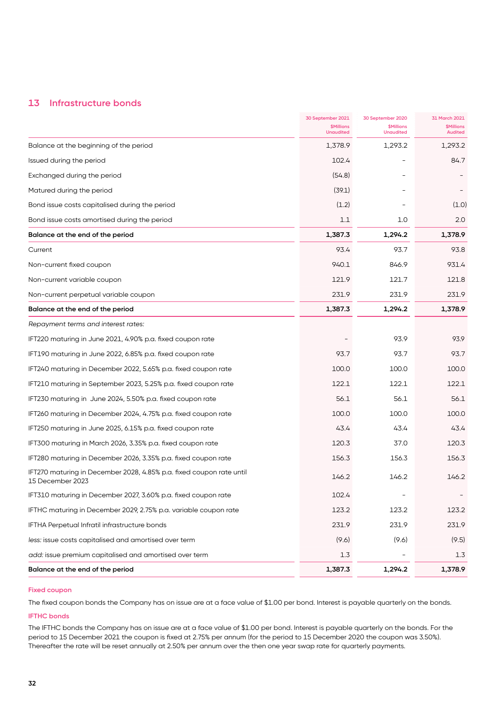#### **13 Infrastructure bonds**

|                                                                                          | 30 September 2021<br><b>\$Millions</b><br><b>Unaudited</b> | 30 September 2020<br><b>\$Millions</b><br><b>Unaudited</b> | 31 March 2021<br><b>\$Millions</b><br><b>Audited</b> |
|------------------------------------------------------------------------------------------|------------------------------------------------------------|------------------------------------------------------------|------------------------------------------------------|
| Balance at the beginning of the period                                                   | 1,378.9                                                    | 1,293.2                                                    | 1,293.2                                              |
| Issued during the period                                                                 | 102.4                                                      |                                                            | 84.7                                                 |
| Exchanged during the period                                                              | (54.8)                                                     |                                                            |                                                      |
| Matured during the period                                                                | (39.1)                                                     |                                                            |                                                      |
| Bond issue costs capitalised during the period                                           | (1.2)                                                      |                                                            | (1.0)                                                |
| Bond issue costs amortised during the period                                             | 1.1                                                        | 1.0                                                        | 2.0                                                  |
| Balance at the end of the period                                                         | 1,387.3                                                    | 1,294.2                                                    | 1,378.9                                              |
| Current                                                                                  | 93.4                                                       | 93.7                                                       | 93.8                                                 |
| Non-current fixed coupon                                                                 | 940.1                                                      | 846.9                                                      | 931.4                                                |
| Non-current variable coupon                                                              | 121.9                                                      | 121.7                                                      | 121.8                                                |
| Non-current perpetual variable coupon                                                    | 231.9                                                      | 231.9                                                      | 231.9                                                |
| Balance at the end of the period                                                         | 1,387.3                                                    | 1,294.2                                                    | 1,378.9                                              |
| Repayment terms and interest rates:                                                      |                                                            |                                                            |                                                      |
| IFT220 maturing in June 2021, 4.90% p.a. fixed coupon rate                               |                                                            | 93.9                                                       | 93.9                                                 |
| IFT190 maturing in June 2022, 6.85% p.a. fixed coupon rate                               | 93.7                                                       | 93.7                                                       | 93.7                                                 |
| IFT240 maturing in December 2022, 5.65% p.a. fixed coupon rate                           | 100.0                                                      | 100.0                                                      | 100.0                                                |
| IFT210 maturing in September 2023, 5.25% p.a. fixed coupon rate                          | 122.1                                                      | 122.1                                                      | 122.1                                                |
| IFT230 maturing in June 2024, 5.50% p.a. fixed coupon rate                               | 56.1                                                       | 56.1                                                       | 56.1                                                 |
| IFT260 maturing in December 2024, 4.75% p.a. fixed coupon rate                           | 100.0                                                      | 100.0                                                      | 100.0                                                |
| IFT250 maturing in June 2025, 6.15% p.a. fixed coupon rate                               | 43.4                                                       | 43.4                                                       | 43.4                                                 |
| IFT300 maturing in March 2026, 3.35% p.a. fixed coupon rate                              | 120.3                                                      | 37.0                                                       | 120.3                                                |
| IFT280 maturing in December 2026, 3.35% p.a. fixed coupon rate                           | 156.3                                                      | 156.3                                                      | 156.3                                                |
| IFT270 maturing in December 2028, 4.85% p.a. fixed coupon rate until<br>15 December 2023 | 146.2                                                      | 146.2                                                      | 146.2                                                |
| IFT310 maturing in December 2027, 3.60% p.a. fixed coupon rate                           | 102.4                                                      |                                                            |                                                      |
| IFTHC maturing in December 2029, 2.75% p.a. variable coupon rate                         | 123.2                                                      | 123.2                                                      | 123.2                                                |
| IFTHA Perpetual Infratil infrastructure bonds                                            | 231.9                                                      | 231.9                                                      | 231.9                                                |
| less: issue costs capitalised and amortised over term                                    | (9.6)                                                      | (9.6)                                                      | (9.5)                                                |
| add: issue premium capitalised and amortised over term                                   | 1.3                                                        |                                                            | 1.3                                                  |
| Balance at the end of the period                                                         | 1,387.3                                                    | 1,294.2                                                    | 1,378.9                                              |

#### **Fixed coupon**

The fixed coupon bonds the Company has on issue are at a face value of \$1.00 per bond. Interest is payable quarterly on the bonds.

#### **IFTHC bonds**

The IFTHC bonds the Company has on issue are at a face value of \$1.00 per bond. Interest is payable quarterly on the bonds. For the period to 15 December 2021 the coupon is fixed at 2.75% per annum (for the period to 15 December 2020 the coupon was 3.50%). Thereafter the rate will be reset annually at 2.50% per annum over the then one year swap rate for quarterly payments.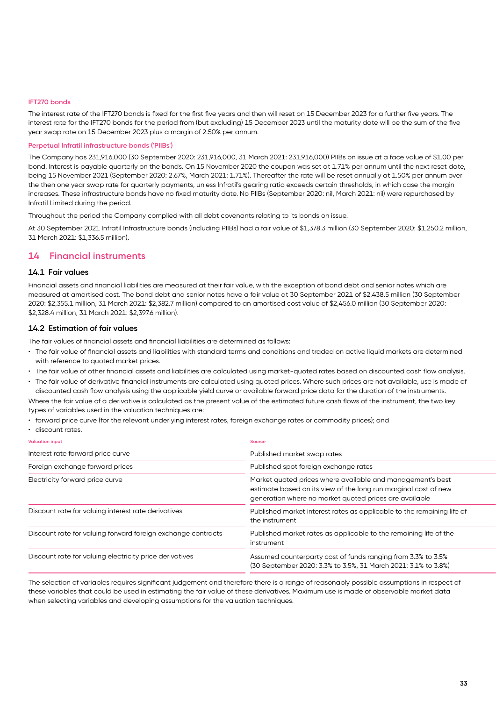#### **IFT270 bonds**

The interest rate of the IFT270 bonds is fixed for the first five years and then will reset on 15 December 2023 for a further five years. The interest rate for the IFT270 bonds for the period from (but excluding) 15 December 2023 until the maturity date will be the sum of the five year swap rate on 15 December 2023 plus a margin of 2.50% per annum.

#### **Perpetual Infratil infrastructure bonds ('PIIBs')**

The Company has 231,916,000 (30 September 2020: 231,916,000, 31 March 2021: 231,916,000) PIIBs on issue at a face value of \$1.00 per bond. Interest is payable quarterly on the bonds. On 15 November 2020 the coupon was set at 1.71% per annum until the next reset date, being 15 November 2021 (September 2020: 2.67%, March 2021: 1.71%). Thereafter the rate will be reset annually at 1.50% per annum over the then one year swap rate for quarterly payments, unless Infratil's gearing ratio exceeds certain thresholds, in which case the margin increases. These infrastructure bonds have no fixed maturity date. No PIIBs (September 2020: nil, March 2021: nil) were repurchased by Infratil Limited during the period.

Throughout the period the Company complied with all debt covenants relating to its bonds on issue.

At 30 September 2021 Infratil Infrastructure bonds (including PIIBs) had a fair value of \$1,378.3 million (30 September 2020: \$1,250.2 million, 31 March 2021: \$1,336.5 million).

#### **14 Financial instruments**

#### **14.1 Fair values**

Financial assets and financial liabilities are measured at their fair value, with the exception of bond debt and senior notes which are measured at amortised cost. The bond debt and senior notes have a fair value at 30 September 2021 of \$2,438.5 million (30 September 2020: \$2,355.1 million, 31 March 2021: \$2,382.7 million) compared to an amortised cost value of \$2,456.0 million (30 September 2020: \$2,328.4 million, 31 March 2021: \$2,397.6 million).

#### **14.2 Estimation of fair values**

The fair values of financial assets and financial liabilities are determined as follows:

- The fair value of financial assets and liabilities with standard terms and conditions and traded on active liquid markets are determined with reference to quoted market prices.
- The fair value of other financial assets and liabilities are calculated using market-quoted rates based on discounted cash flow analysis.
- The fair value of derivative financial instruments are calculated using quoted prices. Where such prices are not available, use is made of discounted cash flow analysis using the applicable yield curve or available forward price data for the duration of the instruments.

Where the fair value of a derivative is calculated as the present value of the estimated future cash flows of the instrument, the two key types of variables used in the valuation techniques are:

- forward price curve (for the relevant underlying interest rates, foreign exchange rates or commodity prices); and
- discount rates.

| <b>Valuation input</b>                                       | Source                                                                                                                                                                                  |
|--------------------------------------------------------------|-----------------------------------------------------------------------------------------------------------------------------------------------------------------------------------------|
| Interest rate forward price curve                            | Published market swap rates                                                                                                                                                             |
| Foreign exchange forward prices                              | Published spot foreign exchange rates                                                                                                                                                   |
| Electricity forward price curve                              | Market quoted prices where available and management's best<br>estimate based on its view of the long run marginal cost of new<br>generation where no market quoted prices are available |
| Discount rate for valuing interest rate derivatives          | Published market interest rates as applicable to the remaining life of<br>the instrument                                                                                                |
| Discount rate for valuing forward foreign exchange contracts | Published market rates as applicable to the remaining life of the<br>instrument                                                                                                         |
| Discount rate for valuing electricity price derivatives      | Assumed counterparty cost of funds ranging from 3.3% to 3.5%<br>(30 September 2020: 3.3% to 3.5%, 31 March 2021: 3.1% to 3.8%)                                                          |

The selection of variables requires significant judgement and therefore there is a range of reasonably possible assumptions in respect of these variables that could be used in estimating the fair value of these derivatives. Maximum use is made of observable market data when selecting variables and developing assumptions for the valuation techniques.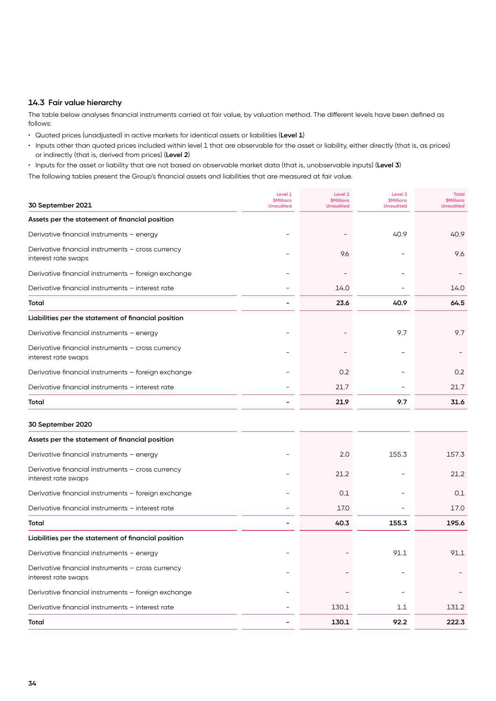#### **14.3 Fair value hierarchy**

The table below analyses financial instruments carried at fair value, by valuation method. The different levels have been defined as follows:

- Quoted prices (unadjusted) in active markets for identical assets or liabilities (**Level 1**)
- Inputs other than quoted prices included within level 1 that are observable for the asset or liability, either directly (that is, as prices) or indirectly (that is, derived from prices) (**Level 2**)
- Inputs for the asset or liability that are not based on observable market data (that is, unobservable inputs) (**Level 3**)

The following tables present the Group's financial assets and liabilities that are measured at fair value.

| 30 September 2021                                                        | Level 1<br><b>\$Millions</b><br><b>Unaudited</b> | Level <sub>2</sub><br><b>\$Millions</b><br><b>Unaudited</b> | Level 3<br><b>\$Millions</b><br><b>Unaudited</b> | <b>Total</b><br><b>\$Millions</b><br><b>Unaudited</b> |
|--------------------------------------------------------------------------|--------------------------------------------------|-------------------------------------------------------------|--------------------------------------------------|-------------------------------------------------------|
| Assets per the statement of financial position                           |                                                  |                                                             |                                                  |                                                       |
| Derivative financial instruments - energy                                |                                                  |                                                             | 40.9                                             | 40.9                                                  |
| Derivative financial instruments - cross currency<br>interest rate swaps |                                                  | 9.6                                                         |                                                  | 9.6                                                   |
| Derivative financial instruments - foreign exchange                      |                                                  |                                                             |                                                  |                                                       |
| Derivative financial instruments - interest rate                         |                                                  | 14.0                                                        |                                                  | 14.0                                                  |
| Total                                                                    |                                                  | 23.6                                                        | 40.9                                             | 64.5                                                  |
| Liabilities per the statement of financial position                      |                                                  |                                                             |                                                  |                                                       |
| Derivative financial instruments - energy                                |                                                  |                                                             | 9.7                                              | 9.7                                                   |
| Derivative financial instruments - cross currency<br>interest rate swaps |                                                  |                                                             |                                                  |                                                       |
| Derivative financial instruments - foreign exchange                      |                                                  | 0.2                                                         |                                                  | 0.2                                                   |
| Derivative financial instruments - interest rate                         |                                                  | 21.7                                                        |                                                  | 21.7                                                  |
| Total                                                                    | $\overline{\phantom{0}}$                         | 21.9                                                        | 9.7                                              | 31.6                                                  |
| 30 September 2020                                                        |                                                  |                                                             |                                                  |                                                       |
| Assets per the statement of financial position                           |                                                  |                                                             |                                                  |                                                       |
| Derivative financial instruments - energy                                |                                                  | 2.0                                                         | 155.3                                            | 157.3                                                 |
| Derivative financial instruments - cross currency<br>interest rate swaps |                                                  | 21.2                                                        |                                                  | 21.2                                                  |
| Derivative financial instruments - foreign exchange                      |                                                  | 0.1                                                         |                                                  | 0.1                                                   |
| Derivative financial instruments - interest rate                         |                                                  | 17.0                                                        |                                                  | 17.0                                                  |
| Total                                                                    |                                                  | 40.3                                                        | 155.3                                            | 195.6                                                 |
| Liabilities per the statement of financial position                      |                                                  |                                                             |                                                  |                                                       |
| Derivative financial instruments - energy                                |                                                  |                                                             | 91.1                                             | 91.1                                                  |
| Derivative financial instruments - cross currency<br>interest rate swaps |                                                  |                                                             |                                                  |                                                       |
| Derivative financial instruments - foreign exchange                      |                                                  |                                                             |                                                  |                                                       |
| Derivative financial instruments - interest rate                         |                                                  | 130.1                                                       | 1.1                                              | 131.2                                                 |
| Total                                                                    |                                                  | 130.1                                                       | 92.2                                             | 222.3                                                 |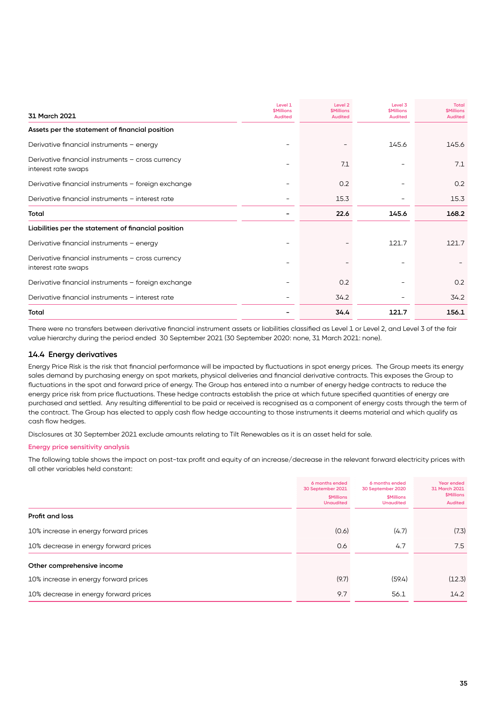| 31 March 2021                                                            | Level 1<br><b><i><u>SMillions</u></i></b><br><b>Audited</b> | Level <sub>2</sub><br><b><i>SMillions</i></b><br><b>Audited</b> | Level 3<br><b><i><u>SMillions</u></i></b><br><b>Audited</b> | <b>Total</b><br><b><i>SMillions</i></b><br><b>Audited</b> |
|--------------------------------------------------------------------------|-------------------------------------------------------------|-----------------------------------------------------------------|-------------------------------------------------------------|-----------------------------------------------------------|
| Assets per the statement of financial position                           |                                                             |                                                                 |                                                             |                                                           |
| Derivative financial instruments - energy                                |                                                             |                                                                 | 145.6                                                       | 145.6                                                     |
| Derivative financial instruments - cross currency<br>interest rate swaps |                                                             | 7.1                                                             |                                                             | 7.1                                                       |
| Derivative financial instruments - foreign exchange                      |                                                             | 0.2                                                             |                                                             | 0.2                                                       |
| Derivative financial instruments - interest rate                         |                                                             | 15.3                                                            |                                                             | 15.3                                                      |
| Total                                                                    |                                                             | 22.6                                                            | 145.6                                                       | 168.2                                                     |
| Liabilities per the statement of financial position                      |                                                             |                                                                 |                                                             |                                                           |
| Derivative financial instruments - energy                                |                                                             |                                                                 | 121.7                                                       | 121.7                                                     |
| Derivative financial instruments - cross currency<br>interest rate swaps |                                                             |                                                                 |                                                             |                                                           |
| Derivative financial instruments - foreign exchange                      |                                                             | O.2                                                             |                                                             | 0.2                                                       |
| Derivative financial instruments - interest rate                         |                                                             | 34.2                                                            |                                                             | 34.2                                                      |
| Total                                                                    |                                                             | 34.4                                                            | 121.7                                                       | 156.1                                                     |

There were no transfers between derivative financial instrument assets or liabilities classified as Level 1 or Level 2, and Level 3 of the fair value hierarchy during the period ended 30 September 2021 (30 September 2020: none, 31 March 2021: none).

#### **14.4 Energy derivatives**

Energy Price Risk is the risk that financial performance will be impacted by fluctuations in spot energy prices. The Group meets its energy sales demand by purchasing energy on spot markets, physical deliveries and financial derivative contracts. This exposes the Group to fluctuations in the spot and forward price of energy. The Group has entered into a number of energy hedge contracts to reduce the energy price risk from price fluctuations. These hedge contracts establish the price at which future specified quantities of energy are purchased and settled. Any resulting differential to be paid or received is recognised as a component of energy costs through the term of the contract. The Group has elected to apply cash flow hedge accounting to those instruments it deems material and which qualify as cash flow hedges.

Disclosures at 30 September 2021 exclude amounts relating to Tilt Renewables as it is an asset held for sale.

#### **Energy price sensitivity analysis**

The following table shows the impact on post-tax profit and equity of an increase/decrease in the relevant forward electricity prices with all other variables held constant:

|                                       | 6 months ended<br>30 September 2021<br><b><i>SMillions</i></b><br><b>Unaudited</b> | 6 months ended<br>30 September 2020<br><b><i>SMillions</i></b><br><b>Unaudited</b> | Year ended<br>31 March 2021<br><b>\$Millions</b><br><b>Audited</b> |
|---------------------------------------|------------------------------------------------------------------------------------|------------------------------------------------------------------------------------|--------------------------------------------------------------------|
| Profit and loss                       |                                                                                    |                                                                                    |                                                                    |
| 10% increase in energy forward prices | (0.6)                                                                              | (4.7)                                                                              | (7.3)                                                              |
| 10% decrease in energy forward prices | 0.6                                                                                | 4.7                                                                                | 7.5                                                                |
| Other comprehensive income            |                                                                                    |                                                                                    |                                                                    |
| 10% increase in energy forward prices | (9.7)                                                                              | (59.4)                                                                             | (12.3)                                                             |
| 10% decrease in energy forward prices | 9.7                                                                                | 56.1                                                                               | 14.2                                                               |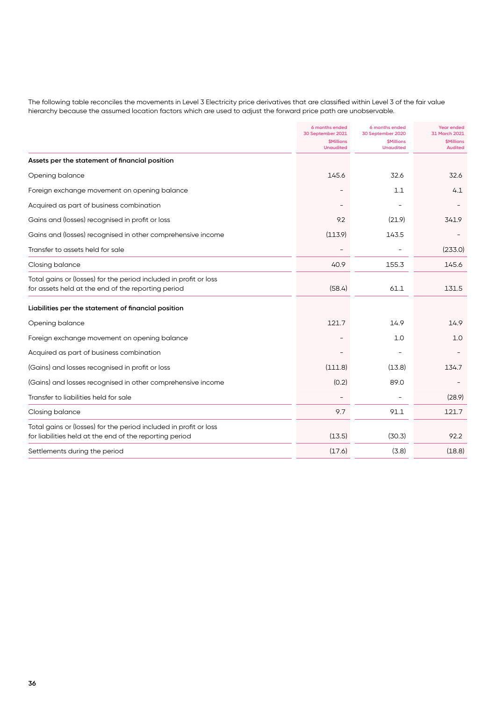The following table reconciles the movements in Level 3 Electricity price derivatives that are classified within Level 3 of the fair value hierarchy because the assumed location factors which are used to adjust the forward price path are unobservable.

|                                                                                                                              | 6 months ended<br>30 September 2021         | 6 months ended<br>30 September 2020                | <b>Year ended</b><br>31 March 2021        |
|------------------------------------------------------------------------------------------------------------------------------|---------------------------------------------|----------------------------------------------------|-------------------------------------------|
|                                                                                                                              | <b><i>SMillions</i></b><br><b>Unaudited</b> | <b><i><u>SMillions</u></i></b><br><b>Unaudited</b> | <b><i>SMillions</i></b><br><b>Audited</b> |
| Assets per the statement of financial position                                                                               |                                             |                                                    |                                           |
| Opening balance                                                                                                              | 145.6                                       | 32.6                                               | 32.6                                      |
| Foreign exchange movement on opening balance                                                                                 |                                             | 1.1                                                | 4.1                                       |
| Acquired as part of business combination                                                                                     |                                             |                                                    |                                           |
| Gains and (losses) recognised in profit or loss                                                                              | 9.2                                         | (21.9)                                             | 341.9                                     |
| Gains and (losses) recognised in other comprehensive income                                                                  | (113.9)                                     | 143.5                                              |                                           |
| Transfer to assets held for sale                                                                                             |                                             |                                                    | (233.0)                                   |
| Closing balance                                                                                                              | 40.9                                        | 155.3                                              | 145.6                                     |
| Total gains or (losses) for the period included in profit or loss<br>for assets held at the end of the reporting period      | (58.4)                                      | 61.1                                               | 131.5                                     |
| Liabilities per the statement of financial position                                                                          |                                             |                                                    |                                           |
| Opening balance                                                                                                              | 121.7                                       | 14.9                                               | 14.9                                      |
| Foreign exchange movement on opening balance                                                                                 |                                             | 1.0                                                | 1.0                                       |
| Acquired as part of business combination                                                                                     |                                             |                                                    |                                           |
| (Gains) and losses recognised in profit or loss                                                                              | (111.8)                                     | (13.8)                                             | 134.7                                     |
| (Gains) and losses recognised in other comprehensive income                                                                  | (0.2)                                       | 89.0                                               |                                           |
| Transfer to liabilities held for sale                                                                                        |                                             |                                                    | (28.9)                                    |
| Closing balance                                                                                                              | 9.7                                         | 91.1                                               | 121.7                                     |
| Total gains or (losses) for the period included in profit or loss<br>for liabilities held at the end of the reporting period | (13.5)                                      | (30.3)                                             | 92.2                                      |
| Settlements during the period                                                                                                | (17.6)                                      | (3.8)                                              | (18.8)                                    |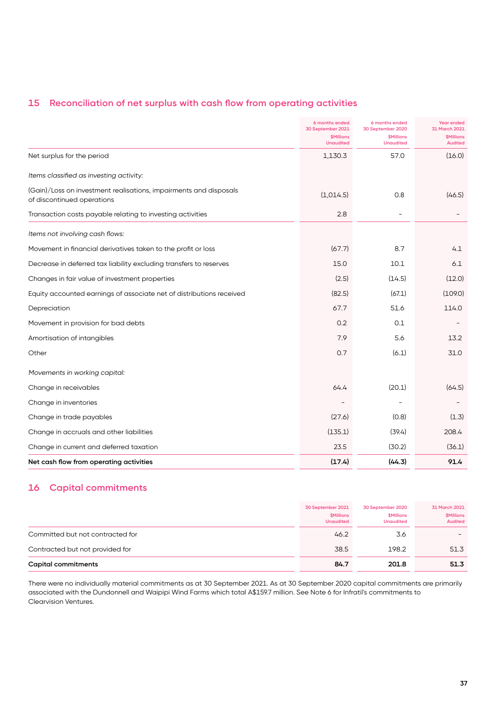## **15 Reconciliation of net surplus with cash flow from operating activities**

|                                                                                                 | 6 months ended<br>30 September 2021<br><b>\$Millions</b><br><b>Unaudited</b> | 6 months ended<br>30 September 2020<br><b>\$Millions</b><br><b>Unaudited</b> | Year ended<br>31 March 2021<br><b><i>SMillions</i></b><br><b>Audited</b> |
|-------------------------------------------------------------------------------------------------|------------------------------------------------------------------------------|------------------------------------------------------------------------------|--------------------------------------------------------------------------|
| Net surplus for the period                                                                      | 1,130.3                                                                      | 57.0                                                                         | (16.0)                                                                   |
| Items classified as investing activity:                                                         |                                                                              |                                                                              |                                                                          |
| (Gain)/Loss on investment realisations, impairments and disposals<br>of discontinued operations | (1,014.5)                                                                    | 0.8                                                                          | (46.5)                                                                   |
| Transaction costs payable relating to investing activities                                      | 2.8                                                                          | $\overline{a}$                                                               |                                                                          |
| Items not involving cash flows:                                                                 |                                                                              |                                                                              |                                                                          |
| Movement in financial derivatives taken to the profit or loss                                   | (67.7)                                                                       | 8.7                                                                          | 4.1                                                                      |
| Decrease in deferred tax liability excluding transfers to reserves                              | 15.0                                                                         | 10.1                                                                         | 6.1                                                                      |
| Changes in fair value of investment properties                                                  | (2.5)                                                                        | (14.5)                                                                       | (12.0)                                                                   |
| Equity accounted earnings of associate net of distributions received                            | (82.5)                                                                       | (67.1)                                                                       | (109.0)                                                                  |
| Depreciation                                                                                    | 67.7                                                                         | 51.6                                                                         | 114.0                                                                    |
| Movement in provision for bad debts                                                             | 0.2                                                                          | 0.1                                                                          |                                                                          |
| Amortisation of intangibles                                                                     | 7.9                                                                          | 5.6                                                                          | 13.2                                                                     |
| Other                                                                                           | 0.7                                                                          | (6.1)                                                                        | 31.0                                                                     |
| Movements in working capital:                                                                   |                                                                              |                                                                              |                                                                          |
| Change in receivables                                                                           | 64.4                                                                         | (20.1)                                                                       | (64.5)                                                                   |
| Change in inventories                                                                           |                                                                              |                                                                              |                                                                          |
| Change in trade payables                                                                        | (27.6)                                                                       | (0.8)                                                                        | (1.3)                                                                    |
| Change in accruals and other liabilities                                                        | (135.1)                                                                      | (39.4)                                                                       | 208.4                                                                    |
| Change in current and deferred taxation                                                         | 23.5                                                                         | (30.2)                                                                       | (36.1)                                                                   |
| Net cash flow from operating activities                                                         | (17.4)                                                                       | (44.3)                                                                       | 91.4                                                                     |

## **16 Capital commitments**

|                                  | 30 September 2021<br><b>\$Millions</b><br><b>Unaudited</b> | 30 September 2020<br><b>\$Millions</b><br><b>Unaudited</b> | 31 March 2021<br><b>\$Millions</b><br><b>Audited</b> |
|----------------------------------|------------------------------------------------------------|------------------------------------------------------------|------------------------------------------------------|
| Committed but not contracted for | 46.2                                                       | 3.6                                                        |                                                      |
| Contracted but not provided for  | 38.5                                                       | 198.2                                                      | 51.3                                                 |
| <b>Capital commitments</b>       | 84.7                                                       | 201.8                                                      | 51.3                                                 |

There were no individually material commitments as at 30 September 2021. As at 30 September 2020 capital commitments are primarily associated with the Dundonnell and Waipipi Wind Farms which total A\$159.7 million. See Note 6 for Infratil's commitments to Clearvision Ventures.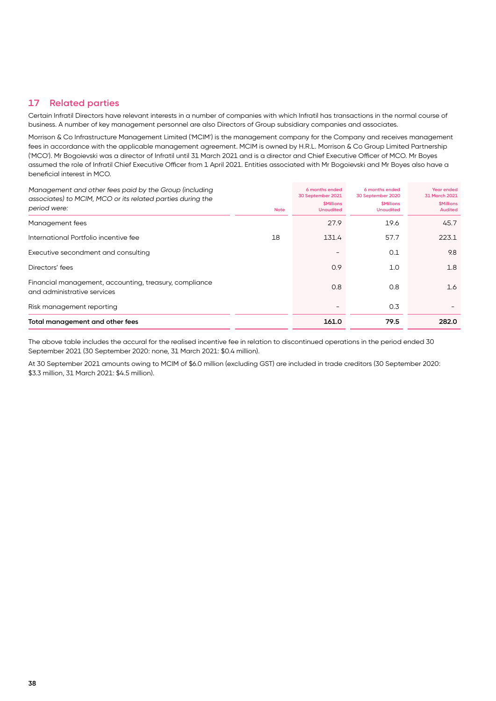## **17 Related parties**

Certain Infratil Directors have relevant interests in a number of companies with which Infratil has transactions in the normal course of business. A number of key management personnel are also Directors of Group subsidiary companies and associates.

Morrison & Co Infrastructure Management Limited ('MCIM') is the management company for the Company and receives management fees in accordance with the applicable management agreement. MCIM is owned by H.R.L. Morrison & Co Group Limited Partnership ('MCO'). Mr Bogoievski was a director of Infratil until 31 March 2021 and is a director and Chief Executive Officer of MCO. Mr Boyes assumed the role of Infratil Chief Executive Officer from 1 April 2021. Entities associated with Mr Bogoievski and Mr Boyes also have a beneficial interest in MCO.

| Management and other fees paid by the Group (including<br>associates) to MCIM, MCO or its related parties during the<br>period were: | <b>Note</b> | 6 months ended<br>30 September 2021<br><b><i><u>SMillions</u></i></b><br><b>Unaudited</b> | 6 months ended<br>30 September 2020<br><b><i><u>SMillions</u></i></b><br><b>Unaudited</b> | Year ended<br>31 March 2021<br><b><i>SMillions</i></b><br><b>Audited</b> |
|--------------------------------------------------------------------------------------------------------------------------------------|-------------|-------------------------------------------------------------------------------------------|-------------------------------------------------------------------------------------------|--------------------------------------------------------------------------|
| Management fees                                                                                                                      |             | 27.9                                                                                      | 19.6                                                                                      | 45.7                                                                     |
| International Portfolio incentive fee                                                                                                | 18          | 131.4                                                                                     | 57.7                                                                                      | 223.1                                                                    |
| Executive secondment and consulting                                                                                                  |             |                                                                                           | 0.1                                                                                       | 9.8                                                                      |
| Directors' fees                                                                                                                      |             | 0.9                                                                                       | 1.0                                                                                       | 1.8                                                                      |
| Financial management, accounting, treasury, compliance<br>and administrative services                                                |             | 0.8                                                                                       | 0.8                                                                                       | 1.6                                                                      |
| Risk management reporting                                                                                                            |             |                                                                                           | 0.3                                                                                       |                                                                          |
| Total management and other fees                                                                                                      |             | 161.0                                                                                     | 79.5                                                                                      | 282.0                                                                    |

The above table includes the accural for the realised incentive fee in relation to discontinued operations in the period ended 30 September 2021 (30 September 2020: none, 31 March 2021: \$0.4 million).

At 30 September 2021 amounts owing to MCIM of \$6.0 million (excluding GST) are included in trade creditors (30 September 2020: \$3.3 million, 31 March 2021: \$4.5 million).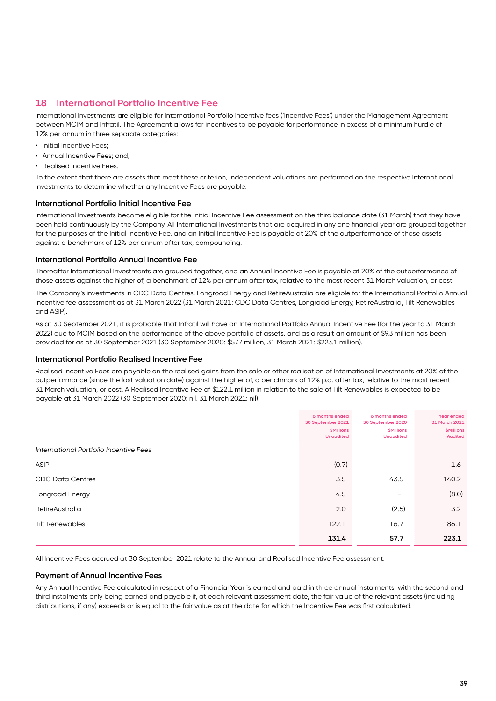#### **18 International Portfolio Incentive Fee**

International Investments are eligible for International Portfolio incentive fees ('Incentive Fees') under the Management Agreement between MCIM and Infratil. The Agreement allows for incentives to be payable for performance in excess of a minimum hurdle of 12% per annum in three separate categories:

- Initial Incentive Fees;
- Annual Incentive Fees; and,
- Realised Incentive Fees.

To the extent that there are assets that meet these criterion, independent valuations are performed on the respective International Investments to determine whether any Incentive Fees are payable.

#### **International Portfolio Initial Incentive Fee**

International Investments become eligible for the Initial Incentive Fee assessment on the third balance date (31 March) that they have been held continuously by the Company. All International Investments that are acquired in any one financial year are grouped together for the purposes of the Initial Incentive Fee, and an Initial Incentive Fee is payable at 20% of the outperformance of those assets against a benchmark of 12% per annum after tax, compounding.

#### **International Portfolio Annual Incentive Fee**

Thereafter International Investments are grouped together, and an Annual Incentive Fee is payable at 20% of the outperformance of those assets against the higher of, a benchmark of 12% per annum after tax, relative to the most recent 31 March valuation, or cost.

The Company's investments in CDC Data Centres, Longroad Energy and RetireAustralia are eligible for the International Portfolio Annual Incentive fee assessment as at 31 March 2022 (31 March 2021: CDC Data Centres, Longroad Energy, RetireAustralia, Tilt Renewables and ASIP).

As at 30 September 2021, it is probable that Infratil will have an International Portfolio Annual Incentive Fee (for the year to 31 March 2022) due to MCIM based on the performance of the above portfolio of assets, and as a result an amount of \$9.3 million has been provided for as at 30 September 2021 (30 September 2020: \$57.7 million, 31 March 2021: \$223.1 million).

#### **International Portfolio Realised Incentive Fee**

Realised Incentive Fees are payable on the realised gains from the sale or other realisation of International Investments at 20% of the outperformance (since the last valuation date) against the higher of, a benchmark of 12% p.a. after tax, relative to the most recent 31 March valuation, or cost. A Realised Incentive Fee of \$122.1 million in relation to the sale of Tilt Renewables is expected to be payable at 31 March 2022 (30 September 2020: nil, 31 March 2021: nil).

|                                        | 6 months ended<br>30 September 2021<br><b>\$Millions</b><br><b>Unaudited</b> | 6 months ended<br>30 September 2020<br><b><i>SMillions</i></b><br><b>Unaudited</b> | Year ended<br>31 March 2021<br><b>\$Millions</b><br><b>Audited</b> |
|----------------------------------------|------------------------------------------------------------------------------|------------------------------------------------------------------------------------|--------------------------------------------------------------------|
| International Portfolio Incentive Fees |                                                                              |                                                                                    |                                                                    |
| <b>ASIP</b>                            | (0.7)                                                                        |                                                                                    | 1.6                                                                |
| <b>CDC Data Centres</b>                | 3.5                                                                          | 43.5                                                                               | 140.2                                                              |
| Longroad Energy                        | 4.5                                                                          | $\overline{\phantom{0}}$                                                           | (8.0)                                                              |
| <b>RetireAustralia</b>                 | 2.0                                                                          | (2.5)                                                                              | 3.2                                                                |
| <b>Tilt Renewables</b>                 | 122.1                                                                        | 16.7                                                                               | 86.1                                                               |
|                                        | 131.4                                                                        | 57.7                                                                               | 223.1                                                              |

All Incentive Fees accrued at 30 September 2021 relate to the Annual and Realised Incentive Fee assessment.

#### **Payment of Annual Incentive Fees**

Any Annual Incentive Fee calculated in respect of a Financial Year is earned and paid in three annual instalments, with the second and third instalments only being earned and payable if, at each relevant assessment date, the fair value of the relevant assets (including distributions, if any) exceeds or is equal to the fair value as at the date for which the Incentive Fee was first calculated.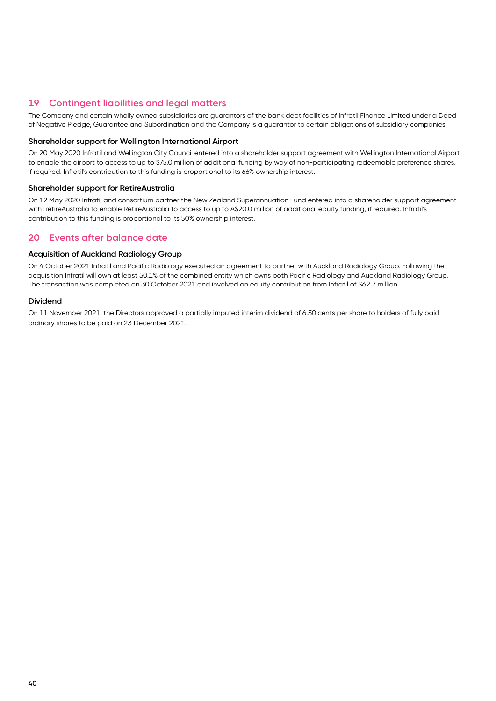## **19 Contingent liabilities and legal matters**

The Company and certain wholly owned subsidiaries are guarantors of the bank debt facilities of Infratil Finance Limited under a Deed of Negative Pledge, Guarantee and Subordination and the Company is a guarantor to certain obligations of subsidiary companies.

#### **Shareholder support for Wellington International Airport**

On 20 May 2020 Infratil and Wellington City Council entered into a shareholder support agreement with Wellington International Airport to enable the airport to access to up to \$75.0 million of additional funding by way of non-participating redeemable preference shares, if required. Infratil's contribution to this funding is proportional to its 66% ownership interest.

#### **Shareholder support for RetireAustralia**

On 12 May 2020 Infratil and consortium partner the New Zealand Superannuation Fund entered into a shareholder support agreement with RetireAustralia to enable RetireAustralia to access to up to A\$20.0 million of additional equity funding, if required. Infratil's contribution to this funding is proportional to its 50% ownership interest.

#### **20 Events after balance date**

#### **Acquisition of Auckland Radiology Group**

On 4 October 2021 Infratil and Pacific Radiology executed an agreement to partner with Auckland Radiology Group. Following the acquisition Infratil will own at least 50.1% of the combined entity which owns both Pacific Radiology and Auckland Radiology Group. The transaction was completed on 30 October 2021 and involved an equity contribution from Infratil of \$62.7 million.

#### **Dividend**

On 11 November 2021, the Directors approved a partially imputed interim dividend of 6.50 cents per share to holders of fully paid ordinary shares to be paid on 23 December 2021.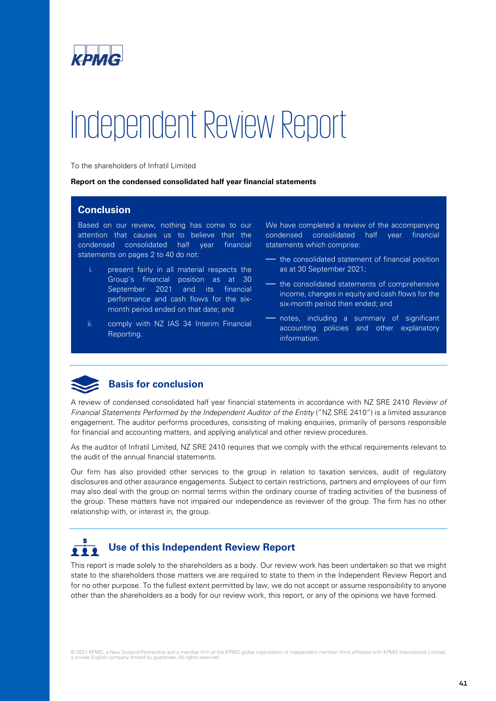

# Independent Review Report

To the shareholders of Infratil Limited

#### **Report on the condensed consolidated half year financial statements**

#### **Conclusion**

Based on our review, nothing has come to our attention that causes us to believe that the condensed consolidated half year financial statements on pages 2 to 40 do not:

- i. present fairly in all material respects the Group's financial position as at 30 September 2021 and its financial performance and cash flows for the sixmonth period ended on that date; and
- ii. comply with NZ IAS 34 Interim Financial Reporting.

We have completed a review of the accompanying condensed consolidated half year financial statements which comprise:

- the consolidated statement of financial position as at 30 September 2021;
- the consolidated statements of comprehensive income, changes in equity and cash flows for the six-month period then ended; and
- notes, including a summary of significant accounting policies and other explanatory information.



A review of condensed consolidated half year financial statements in accordance with NZ SRE 2410 *Review of Financial Statements Performed by the Independent Auditor of the Entity* ("NZ SRE 2410") is a limited assurance engagement. The auditor performs procedures, consisting of making enquiries, primarily of persons responsible for financial and accounting matters, and applying analytical and other review procedures.

As the auditor of Infratil Limited, NZ SRE 2410 requires that we comply with the ethical requirements relevant to the audit of the annual financial statements.

Our firm has also provided other services to the group in relation to taxation services, audit of regulatory disclosures and other assurance engagements. Subject to certain restrictions, partners and employees of our firm may also deal with the group on normal terms within the ordinary course of trading activities of the business of the group. These matters have not impaired our independence as reviewer of the group. The firm has no other relationship with, or interest in, the group.

# **Use of this Independent Review Report**

This report is made solely to the shareholders as a body. Our review work has been undertaken so that we might state to the shareholders those matters we are required to state to them in the Independent Review Report and for no other purpose. To the fullest extent permitted by law, we do not accept or assume responsibility to anyone other than the shareholders as a body for our review work, this report, or any of the opinions we have formed.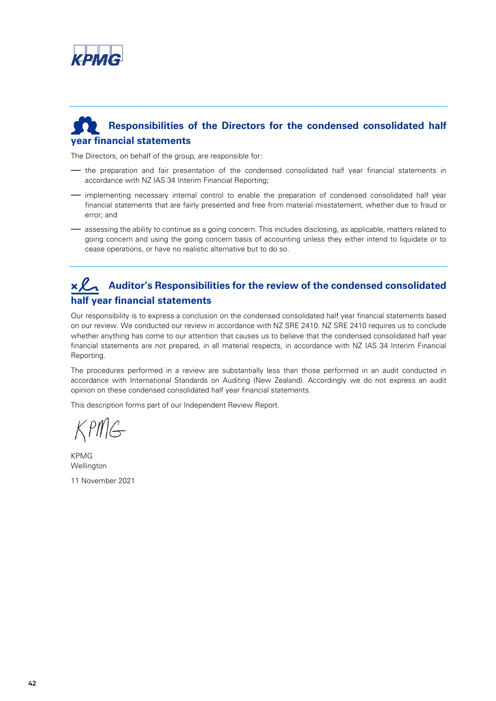

# **Responsibilities of the Directors for the condensed consolidated half year financial statements**

The Directors, on behalf of the group, are responsible for:

- the preparation and fair presentation of the condensed consolidated half year financial statements in accordance with NZ IAS 34 Interim Financial Reporting;
- implementing necessary internal control to enable the preparation of condensed consolidated half year financial statements that are fairly presented and free from material misstatement, whether due to fraud or error; and
- assessing the ability to continue as a going concern. This includes disclosing, as applicable, matters related to going concern and using the going concern basis of accounting unless they either intend to liquidate or to cease operations, or have no realistic alternative but to do so.

# **Auditor's Responsibilities for the review of the condensed consolidated half year financial statements**

Our responsibility is to express a conclusion on the condensed consolidated half year financial statements based on our review. We conducted our review in accordance with NZ SRE 2410. NZ SRE 2410 requires us to conclude whether anything has come to our attention that causes us to believe that the condensed consolidated half year financial statements are not prepared, in all material respects, in accordance with NZ IAS 34 Interim Financial Reporting.

The procedures performed in a review are substantially less than those performed in an audit conducted in accordance with International Standards on Auditing (New Zealand). Accordingly we do not express an audit opinion on these condensed consolidated half year financial statements.

This description forms part of our Independent Review Report.

 $KPMG$ 

KPMG Wellington

11 November 2021